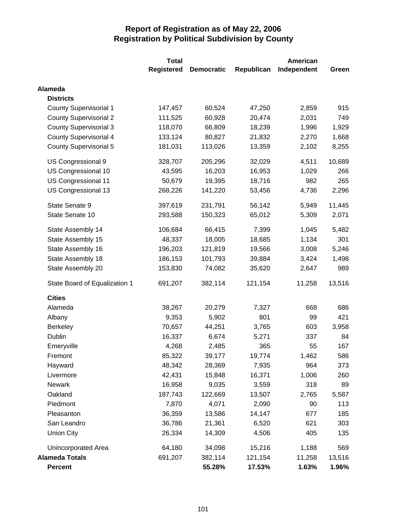|                               | <b>Total</b>      |                   | <b>American</b> |             |        |  |
|-------------------------------|-------------------|-------------------|-----------------|-------------|--------|--|
|                               | <b>Registered</b> | <b>Democratic</b> | Republican      | Independent | Green  |  |
| <b>Alameda</b>                |                   |                   |                 |             |        |  |
| <b>Districts</b>              |                   |                   |                 |             |        |  |
| <b>County Supervisorial 1</b> | 147,457           | 60,524            | 47,250          | 2,859       | 915    |  |
| <b>County Supervisorial 2</b> | 111,525           | 60,928            | 20,474          | 2,031       | 749    |  |
| <b>County Supervisorial 3</b> | 118,070           | 66,809            | 18,239          | 1,996       | 1,929  |  |
| <b>County Supervisorial 4</b> | 133,124           | 80,827            | 21,832          | 2,270       | 1,668  |  |
| County Supervisorial 5        | 181,031           | 113,026           | 13,359          | 2,102       | 8,255  |  |
| US Congressional 9            | 328,707           | 205,296           | 32,029          | 4,511       | 10,689 |  |
| US Congressional 10           | 43,595            | 16,203            | 16,953          | 1,029       | 266    |  |
| US Congressional 11           | 50,679            | 19,395            | 18,716          | 982         | 265    |  |
| US Congressional 13           | 268,226           | 141,220           | 53,456          | 4,736       | 2,296  |  |
| State Senate 9                | 397,619           | 231,791           | 56,142          | 5,949       | 11,445 |  |
| State Senate 10               | 293,588           | 150,323           | 65,012          | 5,309       | 2,071  |  |
| State Assembly 14             | 106,684           | 66,415            | 7,399           | 1,045       | 5,482  |  |
| State Assembly 15             | 48,337            | 18,005            | 18,685          | 1,134       | 301    |  |
| State Assembly 16             | 196,203           | 121,819           | 19,566          | 3,008       | 5,246  |  |
| State Assembly 18             | 186,153           | 101,793           | 39,884          | 3,424       | 1,498  |  |
| State Assembly 20             | 153,830           | 74,082            | 35,620          | 2,647       | 989    |  |
| State Board of Equalization 1 | 691,207           | 382,114           | 121,154         | 11,258      | 13,516 |  |
| <b>Cities</b>                 |                   |                   |                 |             |        |  |
| Alameda                       | 38,267            | 20,279            | 7,327           | 668         | 686    |  |
| Albany                        | 9,353             | 5,902             | 801             | 99          | 421    |  |
| <b>Berkeley</b>               | 70,657            | 44,251            | 3,765           | 603         | 3,958  |  |
| <b>Dublin</b>                 | 16,337            | 6,674             | 5,271           | 337         | 84     |  |
| Emeryville                    | 4,268             | 2,485             | 365             | 55          | 167    |  |
| Fremont                       | 85,322            | 39,177            | 19,774          | 1,462       | 586    |  |
| Hayward                       | 48,342            | 28,369            | 7,935           | 964         | 373    |  |
| Livermore                     | 42,431            | 15,848            | 16,371          | 1,006       | 260    |  |
| <b>Newark</b>                 | 16,958            | 9,035             | 3,559           | 318         | 89     |  |
| Oakland                       | 187,743           | 122,669           | 13,507          | 2,765       | 5,587  |  |
| Piedmont                      | 7,870             | 4,071             | 2,090           | 90          | 113    |  |
| Pleasanton                    | 36,359            | 13,586            | 14,147          | 677         | 185    |  |
| San Leandro                   | 36,786            | 21,361            | 6,520           | 621         | 303    |  |
| <b>Union City</b>             | 26,334            | 14,309            | 4,506           | 405         | 135    |  |
| Unincorporated Area           | 64,180            | 34,098            | 15,216          | 1,188       | 569    |  |
| <b>Alameda Totals</b>         | 691,207           | 382,114           | 121,154         | 11,258      | 13,516 |  |
| <b>Percent</b>                |                   | 55.28%            | 17.53%          | 1.63%       | 1.96%  |  |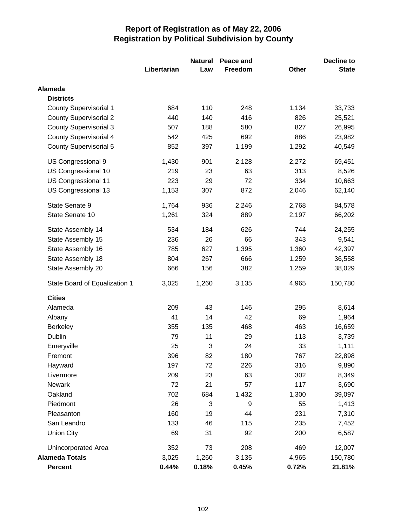|                               |             | <b>Natural</b><br>Peace and |         |       | Decline to   |  |
|-------------------------------|-------------|-----------------------------|---------|-------|--------------|--|
|                               | Libertarian | Law                         | Freedom | Other | <b>State</b> |  |
| Alameda                       |             |                             |         |       |              |  |
| <b>Districts</b>              |             |                             |         |       |              |  |
| <b>County Supervisorial 1</b> | 684         | 110                         | 248     | 1,134 | 33,733       |  |
| <b>County Supervisorial 2</b> | 440         | 140                         | 416     | 826   | 25,521       |  |
| <b>County Supervisorial 3</b> | 507         | 188                         | 580     | 827   | 26,995       |  |
| <b>County Supervisorial 4</b> | 542         | 425                         | 692     | 886   | 23,982       |  |
| <b>County Supervisorial 5</b> | 852         | 397                         | 1,199   | 1,292 | 40,549       |  |
| US Congressional 9            | 1,430       | 901                         | 2,128   | 2,272 | 69,451       |  |
| US Congressional 10           | 219         | 23                          | 63      | 313   | 8,526        |  |
| US Congressional 11           | 223         | 29                          | 72      | 334   | 10,663       |  |
| US Congressional 13           | 1,153       | 307                         | 872     | 2,046 | 62,140       |  |
| State Senate 9                | 1,764       | 936                         | 2,246   | 2,768 | 84,578       |  |
| State Senate 10               | 1,261       | 324                         | 889     | 2,197 | 66,202       |  |
| State Assembly 14             | 534         | 184                         | 626     | 744   | 24,255       |  |
| State Assembly 15             | 236         | 26                          | 66      | 343   | 9,541        |  |
| State Assembly 16             | 785         | 627                         | 1,395   | 1,360 | 42,397       |  |
| State Assembly 18             | 804         | 267                         | 666     | 1,259 | 36,558       |  |
| State Assembly 20             | 666         | 156                         | 382     | 1,259 | 38,029       |  |
| State Board of Equalization 1 | 3,025       | 1,260                       | 3,135   | 4,965 | 150,780      |  |
| <b>Cities</b>                 |             |                             |         |       |              |  |
| Alameda                       | 209         | 43                          | 146     | 295   | 8,614        |  |
| Albany                        | 41          | 14                          | 42      | 69    | 1,964        |  |
| <b>Berkeley</b>               | 355         | 135                         | 468     | 463   | 16,659       |  |
| <b>Dublin</b>                 | 79          | 11                          | 29      | 113   | 3,739        |  |
| Emeryville                    | 25          | 3                           | 24      | 33    | 1,111        |  |
| Fremont                       | 396         | 82                          | 180     | 767   | 22,898       |  |
| Hayward                       | 197         | 72                          | 226     | 316   | 9,890        |  |
| Livermore                     | 209         | 23                          | 63      | 302   | 8,349        |  |
| Newark                        | 72          | 21                          | 57      | 117   | 3,690        |  |
| Oakland                       | 702         | 684                         | 1,432   | 1,300 | 39,097       |  |
| Piedmont                      | 26          | 3                           | 9       | 55    | 1,413        |  |
| Pleasanton                    | 160         | 19                          | 44      | 231   | 7,310        |  |
| San Leandro                   | 133         | 46                          | 115     | 235   | 7,452        |  |
| <b>Union City</b>             | 69          | 31                          | 92      | 200   | 6,587        |  |
| <b>Unincorporated Area</b>    | 352         | 73                          | 208     | 469   | 12,007       |  |
| <b>Alameda Totals</b>         | 3,025       | 1,260                       | 3,135   | 4,965 | 150,780      |  |
| <b>Percent</b>                | 0.44%       | 0.18%                       | 0.45%   | 0.72% | 21.81%       |  |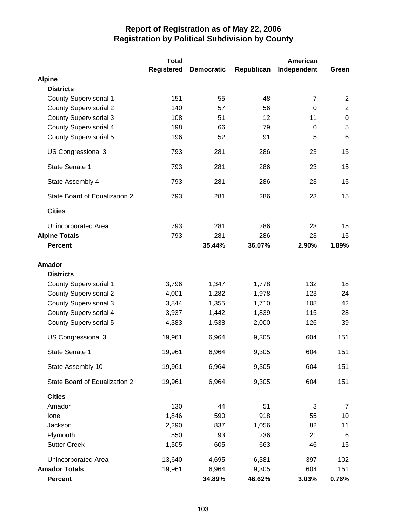|                               | <b>Total</b>      |                   |            | <b>American</b> |                |
|-------------------------------|-------------------|-------------------|------------|-----------------|----------------|
|                               | <b>Registered</b> | <b>Democratic</b> | Republican | Independent     | Green          |
| <b>Alpine</b>                 |                   |                   |            |                 |                |
| <b>Districts</b>              |                   |                   |            |                 |                |
| <b>County Supervisorial 1</b> | 151               | 55                | 48         | $\overline{7}$  | $\overline{2}$ |
| <b>County Supervisorial 2</b> | 140               | 57                | 56         | $\mathbf 0$     | $\overline{c}$ |
| <b>County Supervisorial 3</b> | 108               | 51                | 12         | 11              | $\pmb{0}$      |
| <b>County Supervisorial 4</b> | 198               | 66                | 79         | 0               | $\overline{5}$ |
| <b>County Supervisorial 5</b> | 196               | 52                | 91         | 5               | 6              |
| US Congressional 3            | 793               | 281               | 286        | 23              | 15             |
| State Senate 1                | 793               | 281               | 286        | 23              | 15             |
| State Assembly 4              | 793               | 281               | 286        | 23              | 15             |
| State Board of Equalization 2 | 793               | 281               | 286        | 23              | 15             |
| <b>Cities</b>                 |                   |                   |            |                 |                |
| Unincorporated Area           | 793               | 281               | 286        | 23              | 15             |
| <b>Alpine Totals</b>          | 793               | 281               | 286        | 23              | 15             |
| <b>Percent</b>                |                   | 35.44%            | 36.07%     | 2.90%           | 1.89%          |
| <b>Amador</b>                 |                   |                   |            |                 |                |
| <b>Districts</b>              |                   |                   |            |                 |                |
| <b>County Supervisorial 1</b> | 3,796             | 1,347             | 1,778      | 132             | 18             |
| <b>County Supervisorial 2</b> | 4,001             | 1,282             | 1,978      | 123             | 24             |
| <b>County Supervisorial 3</b> | 3,844             | 1,355             | 1,710      | 108             | 42             |
| <b>County Supervisorial 4</b> | 3,937             | 1,442             | 1,839      | 115             | 28             |
| <b>County Supervisorial 5</b> | 4,383             | 1,538             | 2,000      | 126             | 39             |
| US Congressional 3            | 19,961            | 6,964             | 9,305      | 604             | 151            |
| State Senate 1                | 19,961            | 6,964             | 9,305      | 604             | 151            |
| State Assembly 10             | 19,961            | 6,964             | 9,305      | 604             | 151            |
| State Board of Equalization 2 | 19,961            | 6,964             | 9,305      | 604             | 151            |
| <b>Cities</b>                 |                   |                   |            |                 |                |
| Amador                        | 130               | 44                | 51         | 3               | 7              |
| Ione                          | 1,846             | 590               | 918        | 55              | 10             |
| Jackson                       | 2,290             | 837               | 1,056      | 82              | 11             |
| Plymouth                      | 550               | 193               | 236        | 21              | 6              |
| <b>Sutter Creek</b>           | 1,505             | 605               | 663        | 46              | 15             |
| Unincorporated Area           | 13,640            | 4,695             | 6,381      | 397             | 102            |
| <b>Amador Totals</b>          | 19,961            | 6,964             | 9,305      | 604             | 151            |
| <b>Percent</b>                |                   | 34.89%            | 46.62%     | 3.03%           | 0.76%          |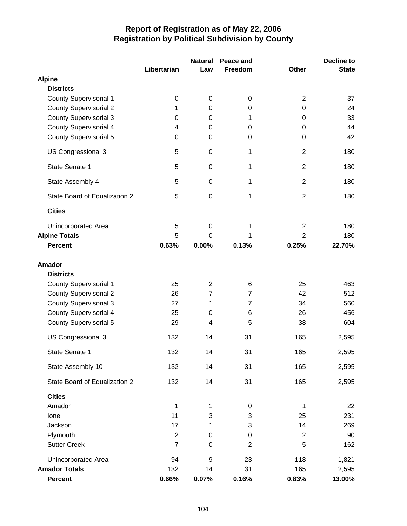|                               |                | <b>Natural</b> | Peace and      |                  | <b>Decline to</b> |
|-------------------------------|----------------|----------------|----------------|------------------|-------------------|
|                               | Libertarian    | Law            | Freedom        | <b>Other</b>     | <b>State</b>      |
| <b>Alpine</b>                 |                |                |                |                  |                   |
| <b>Districts</b>              |                |                |                |                  |                   |
| <b>County Supervisorial 1</b> | 0              | $\mathbf 0$    | 0              | $\overline{2}$   | 37                |
| <b>County Supervisorial 2</b> | 1              | 0              | 0              | 0                | 24                |
| County Supervisorial 3        | 0              | $\Omega$       | 1              | 0                | 33                |
| <b>County Supervisorial 4</b> | 4              | 0              | 0              | 0                | 44                |
| <b>County Supervisorial 5</b> | 0              | $\mathbf 0$    | 0              | $\boldsymbol{0}$ | 42                |
| US Congressional 3            | 5              | 0              | 1              | $\overline{2}$   | 180               |
| State Senate 1                | 5              | 0              | 1              | $\overline{2}$   | 180               |
| State Assembly 4              | 5              | $\mathbf 0$    | 1              | $\overline{2}$   | 180               |
| State Board of Equalization 2 | 5              | $\mathbf 0$    | 1              | $\overline{2}$   | 180               |
| <b>Cities</b>                 |                |                |                |                  |                   |
| Unincorporated Area           | 5              | 0              | 1              | $\overline{2}$   | 180               |
| <b>Alpine Totals</b>          | 5              | $\Omega$       | 1              | $\overline{2}$   | 180               |
| <b>Percent</b>                | 0.63%          | 0.00%          | 0.13%          | 0.25%            | 22.70%            |
| <b>Amador</b>                 |                |                |                |                  |                   |
| <b>Districts</b>              |                |                |                |                  |                   |
| <b>County Supervisorial 1</b> | 25             | $\overline{2}$ | 6              | 25               | 463               |
| <b>County Supervisorial 2</b> | 26             | $\overline{7}$ | $\overline{7}$ | 42               | 512               |
| <b>County Supervisorial 3</b> | 27             | 1              | $\overline{7}$ | 34               | 560               |
| <b>County Supervisorial 4</b> | 25             | $\pmb{0}$      | 6              | 26               | 456               |
| <b>County Supervisorial 5</b> | 29             | 4              | 5              | 38               | 604               |
| US Congressional 3            | 132            | 14             | 31             | 165              | 2,595             |
| State Senate 1                | 132            | 14             | 31             | 165              | 2,595             |
|                               |                |                |                |                  |                   |
| State Assembly 10             | 132            | 14             | 31             | 165              | 2,595             |
| State Board of Equalization 2 | 132            | 14             | 31             | 165              | 2,595             |
| <b>Cities</b>                 |                |                |                |                  |                   |
| Amador                        | 1              | 1              | 0              | $\mathbf 1$      | 22                |
| lone                          | 11             | 3              | 3              | 25               | 231               |
| Jackson                       | 17             | 1              | 3              | 14               | 269               |
| Plymouth                      | $\mathbf{2}$   | 0              | 0              | $\overline{2}$   | 90                |
| <b>Sutter Creek</b>           | $\overline{7}$ | $\mathbf 0$    | $\overline{2}$ | 5                | 162               |
| Unincorporated Area           | 94             | 9              | 23             | 118              | 1,821             |
| <b>Amador Totals</b>          | 132            | 14             | 31             | 165              | 2,595             |
| Percent                       | 0.66%          | 0.07%          | 0.16%          | 0.83%            | 13.00%            |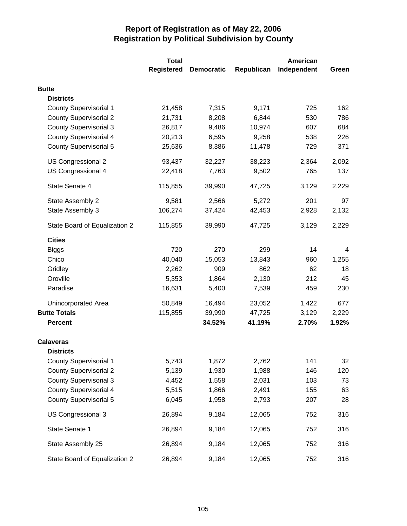|                               | <b>Total</b>      |                   |            | <b>American</b> |       |
|-------------------------------|-------------------|-------------------|------------|-----------------|-------|
|                               | <b>Registered</b> | <b>Democratic</b> | Republican | Independent     | Green |
| <b>Butte</b>                  |                   |                   |            |                 |       |
| <b>Districts</b>              |                   |                   |            |                 |       |
| <b>County Supervisorial 1</b> | 21,458            | 7,315             | 9,171      | 725             | 162   |
| <b>County Supervisorial 2</b> | 21,731            | 8,208             | 6,844      | 530             | 786   |
| <b>County Supervisorial 3</b> | 26,817            | 9,486             | 10,974     | 607             | 684   |
| <b>County Supervisorial 4</b> | 20,213            | 6,595             | 9,258      | 538             | 226   |
| <b>County Supervisorial 5</b> | 25,636            | 8,386             | 11,478     | 729             | 371   |
| US Congressional 2            | 93,437            | 32,227            | 38,223     | 2,364           | 2,092 |
| US Congressional 4            | 22,418            | 7,763             | 9,502      | 765             | 137   |
| State Senate 4                | 115,855           | 39,990            | 47,725     | 3,129           | 2,229 |
| State Assembly 2              | 9,581             | 2,566             | 5,272      | 201             | 97    |
| State Assembly 3              | 106,274           | 37,424            | 42,453     | 2,928           | 2,132 |
| State Board of Equalization 2 | 115,855           | 39,990            | 47,725     | 3,129           | 2,229 |
| <b>Cities</b>                 |                   |                   |            |                 |       |
| <b>Biggs</b>                  | 720               | 270               | 299        | 14              | 4     |
| Chico                         | 40,040            | 15,053            | 13,843     | 960             | 1,255 |
| Gridley                       | 2,262             | 909               | 862        | 62              | 18    |
| Oroville                      | 5,353             | 1,864             | 2,130      | 212             | 45    |
| Paradise                      | 16,631            | 5,400             | 7,539      | 459             | 230   |
| Unincorporated Area           | 50,849            | 16,494            | 23,052     | 1,422           | 677   |
| <b>Butte Totals</b>           | 115,855           | 39,990            | 47,725     | 3,129           | 2,229 |
| <b>Percent</b>                |                   | 34.52%            | 41.19%     | 2.70%           | 1.92% |
| <b>Calaveras</b>              |                   |                   |            |                 |       |
| <b>Districts</b>              |                   |                   |            |                 |       |
| <b>County Supervisorial 1</b> | 5,743             | 1,872             | 2,762      | 141             | 32    |
| <b>County Supervisorial 2</b> | 5,139             | 1,930             | 1,988      | 146             | 120   |
| <b>County Supervisorial 3</b> | 4,452             | 1,558             | 2,031      | 103             | 73    |
| <b>County Supervisorial 4</b> | 5,515             | 1,866             | 2,491      | 155             | 63    |
| <b>County Supervisorial 5</b> | 6,045             | 1,958             | 2,793      | 207             | 28    |
| US Congressional 3            | 26,894            | 9,184             | 12,065     | 752             | 316   |
| State Senate 1                | 26,894            | 9,184             | 12,065     | 752             | 316   |
| State Assembly 25             | 26,894            | 9,184             | 12,065     | 752             | 316   |
| State Board of Equalization 2 | 26,894            | 9,184             | 12,065     | 752             | 316   |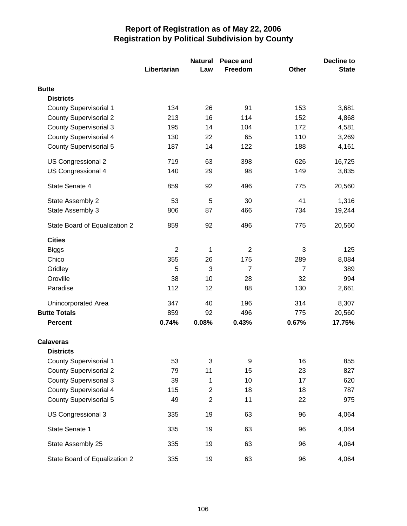|                               |                | <b>Natural</b>            | Peace and      |                | <b>Decline to</b> |
|-------------------------------|----------------|---------------------------|----------------|----------------|-------------------|
|                               | Libertarian    | Law                       | Freedom        | <b>Other</b>   | <b>State</b>      |
| <b>Butte</b>                  |                |                           |                |                |                   |
| <b>Districts</b>              |                |                           |                |                |                   |
| <b>County Supervisorial 1</b> | 134            | 26                        | 91             | 153            | 3,681             |
| <b>County Supervisorial 2</b> | 213            | 16                        | 114            | 152            | 4,868             |
| <b>County Supervisorial 3</b> | 195            | 14                        | 104            | 172            | 4,581             |
| <b>County Supervisorial 4</b> | 130            | 22                        | 65             | 110            | 3,269             |
| <b>County Supervisorial 5</b> | 187            | 14                        | 122            | 188            | 4,161             |
| US Congressional 2            | 719            | 63                        | 398            | 626            | 16,725            |
| US Congressional 4            | 140            | 29                        | 98             | 149            | 3,835             |
| State Senate 4                | 859            | 92                        | 496            | 775            | 20,560            |
| State Assembly 2              | 53             | 5                         | 30             | 41             | 1,316             |
| State Assembly 3              | 806            | 87                        | 466            | 734            | 19,244            |
| State Board of Equalization 2 | 859            | 92                        | 496            | 775            | 20,560            |
| <b>Cities</b>                 |                |                           |                |                |                   |
| <b>Biggs</b>                  | $\overline{2}$ | 1                         | $\overline{2}$ | 3              | 125               |
| Chico                         | 355            | 26                        | 175            | 289            | 8,084             |
| Gridley                       | 5              | 3                         | $\overline{7}$ | $\overline{7}$ | 389               |
| Oroville                      | 38             | 10                        | 28             | 32             | 994               |
| Paradise                      | 112            | 12                        | 88             | 130            | 2,661             |
| Unincorporated Area           | 347            | 40                        | 196            | 314            | 8,307             |
| <b>Butte Totals</b>           | 859            | 92                        | 496            | 775            | 20,560            |
| <b>Percent</b>                | 0.74%          | 0.08%                     | 0.43%          | 0.67%          | 17.75%            |
| <b>Calaveras</b>              |                |                           |                |                |                   |
| <b>Districts</b>              |                |                           |                |                |                   |
| <b>County Supervisorial 1</b> | 53             | $\ensuremath{\mathsf{3}}$ | 9              | 16             | 855               |
| <b>County Supervisorial 2</b> | 79             | 11                        | 15             | 23             | 827               |
| <b>County Supervisorial 3</b> | 39             | 1                         | 10             | 17             | 620               |
| <b>County Supervisorial 4</b> | 115            | $\overline{\mathbf{c}}$   | 18             | 18             | 787               |
| <b>County Supervisorial 5</b> | 49             | $\mathbf 2$               | 11             | 22             | 975               |
| US Congressional 3            | 335            | 19                        | 63             | 96             | 4,064             |
| State Senate 1                | 335            | 19                        | 63             | 96             | 4,064             |
| State Assembly 25             | 335            | 19                        | 63             | 96             | 4,064             |
| State Board of Equalization 2 | 335            | 19                        | 63             | 96             | 4,064             |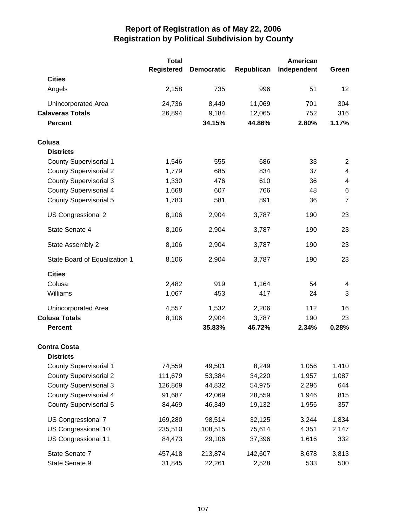|                               | <b>Total</b>      |                   |            | American    |                |
|-------------------------------|-------------------|-------------------|------------|-------------|----------------|
|                               | <b>Registered</b> | <b>Democratic</b> | Republican | Independent | Green          |
| <b>Cities</b>                 |                   |                   |            |             |                |
| Angels                        | 2,158             | 735               | 996        | 51          | 12             |
| Unincorporated Area           | 24,736            | 8,449             | 11,069     | 701         | 304            |
| <b>Calaveras Totals</b>       | 26,894            | 9,184             | 12,065     | 752         | 316            |
| <b>Percent</b>                |                   | 34.15%            | 44.86%     | 2.80%       | 1.17%          |
| Colusa                        |                   |                   |            |             |                |
| <b>Districts</b>              |                   |                   |            |             |                |
| <b>County Supervisorial 1</b> | 1,546             | 555               | 686        | 33          | $\overline{2}$ |
| <b>County Supervisorial 2</b> | 1,779             | 685               | 834        | 37          | 4              |
| <b>County Supervisorial 3</b> | 1,330             | 476               | 610        | 36          | 4              |
| <b>County Supervisorial 4</b> | 1,668             | 607               | 766        | 48          | $\,6$          |
| <b>County Supervisorial 5</b> | 1,783             | 581               | 891        | 36          | $\overline{7}$ |
| US Congressional 2            | 8,106             | 2,904             | 3,787      | 190         | 23             |
| State Senate 4                | 8,106             | 2,904             | 3,787      | 190         | 23             |
| State Assembly 2              | 8,106             | 2,904             | 3,787      | 190         | 23             |
| State Board of Equalization 1 | 8,106             | 2,904             | 3,787      | 190         | 23             |
| <b>Cities</b>                 |                   |                   |            |             |                |
| Colusa                        | 2,482             | 919               | 1,164      | 54          | 4              |
| Williams                      | 1,067             | 453               | 417        | 24          | 3              |
| Unincorporated Area           | 4,557             | 1,532             | 2,206      | 112         | 16             |
| <b>Colusa Totals</b>          | 8,106             | 2,904             | 3,787      | 190         | 23             |
| <b>Percent</b>                |                   | 35.83%            | 46.72%     | 2.34%       | 0.28%          |
| <b>Contra Costa</b>           |                   |                   |            |             |                |
| <b>Districts</b>              |                   |                   |            |             |                |
| <b>County Supervisorial 1</b> | 74,559            | 49,501            | 8,249      | 1,056       | 1,410          |
| <b>County Supervisorial 2</b> | 111,679           | 53,384            | 34,220     | 1,957       | 1,087          |
| <b>County Supervisorial 3</b> | 126,869           | 44,832            | 54,975     | 2,296       | 644            |
| <b>County Supervisorial 4</b> | 91,687            | 42,069            | 28,559     | 1,946       | 815            |
| <b>County Supervisorial 5</b> | 84,469            | 46,349            | 19,132     | 1,956       | 357            |
| US Congressional 7            | 169,280           | 98,514            | 32,125     | 3,244       | 1,834          |
| US Congressional 10           | 235,510           | 108,515           | 75,614     | 4,351       | 2,147          |
| US Congressional 11           | 84,473            | 29,106            | 37,396     | 1,616       | 332            |
| State Senate 7                | 457,418           | 213,874           | 142,607    | 8,678       | 3,813          |
| State Senate 9                | 31,845            | 22,261            | 2,528      | 533         | 500            |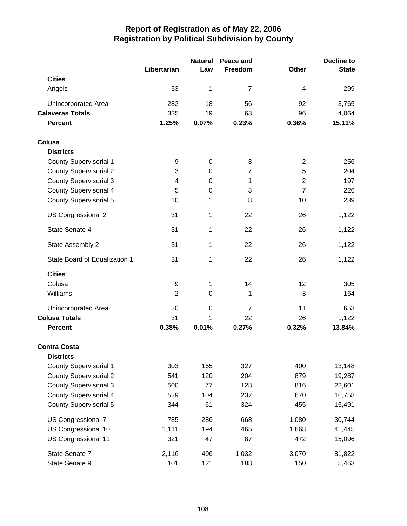|                               |                | <b>Natural</b> | Peace and      |                | Decline to   |
|-------------------------------|----------------|----------------|----------------|----------------|--------------|
|                               | Libertarian    | Law            | Freedom        | <b>Other</b>   | <b>State</b> |
| <b>Cities</b>                 |                |                |                |                |              |
| Angels                        | 53             | 1              | $\overline{7}$ | 4              | 299          |
| <b>Unincorporated Area</b>    | 282            | 18             | 56             | 92             | 3,765        |
| <b>Calaveras Totals</b>       | 335            | 19             | 63             | 96             | 4,064        |
| <b>Percent</b>                | 1.25%          | 0.07%          | 0.23%          | 0.36%          | 15.11%       |
| Colusa                        |                |                |                |                |              |
| <b>Districts</b>              |                |                |                |                |              |
| <b>County Supervisorial 1</b> | 9              | $\mathbf 0$    | 3              | $\overline{2}$ | 256          |
| <b>County Supervisorial 2</b> | 3              | 0              | 7              | 5              | 204          |
| <b>County Supervisorial 3</b> | 4              | 0              | 1              | $\overline{2}$ | 197          |
| <b>County Supervisorial 4</b> | 5              | 0              | 3              | $\overline{7}$ | 226          |
| <b>County Supervisorial 5</b> | 10             | 1              | 8              | 10             | 239          |
| US Congressional 2            | 31             | 1              | 22             | 26             | 1,122        |
| State Senate 4                | 31             | 1              | 22             | 26             | 1,122        |
| State Assembly 2              | 31             | 1              | 22             | 26             | 1,122        |
| State Board of Equalization 1 | 31             | 1              | 22             | 26             | 1,122        |
| <b>Cities</b>                 |                |                |                |                |              |
| Colusa                        | 9              | 1              | 14             | 12             | 305          |
| Williams                      | $\overline{2}$ | 0              | 1              | 3              | 164          |
| Unincorporated Area           | 20             | 0              | $\overline{7}$ | 11             | 653          |
| <b>Colusa Totals</b>          | 31             | 1              | 22             | 26             | 1,122        |
| <b>Percent</b>                | 0.38%          | 0.01%          | 0.27%          | 0.32%          | 13.84%       |
| <b>Contra Costa</b>           |                |                |                |                |              |
| <b>Districts</b>              |                |                |                |                |              |
| <b>County Supervisorial 1</b> | 303            | 165            | 327            | 400            | 13,148       |
| <b>County Supervisorial 2</b> | 541            | 120            | 204            | 879            | 19,287       |
| <b>County Supervisorial 3</b> | 500            | 77             | 128            | 816            | 22,601       |
| <b>County Supervisorial 4</b> | 529            | 104            | 237            | 670            | 16,758       |
| <b>County Supervisorial 5</b> | 344            | 61             | 324            | 455            | 15,491       |
| US Congressional 7            | 785            | 286            | 668            | 1,080          | 30,744       |
| US Congressional 10           | 1,111          | 194            | 465            | 1,668          | 41,445       |
| US Congressional 11           | 321            | 47             | 87             | 472            | 15,096       |
| State Senate 7                | 2,116          | 406            | 1,032          | 3,070          | 81,822       |
| State Senate 9                | 101            | 121            | 188            | 150            | 5,463        |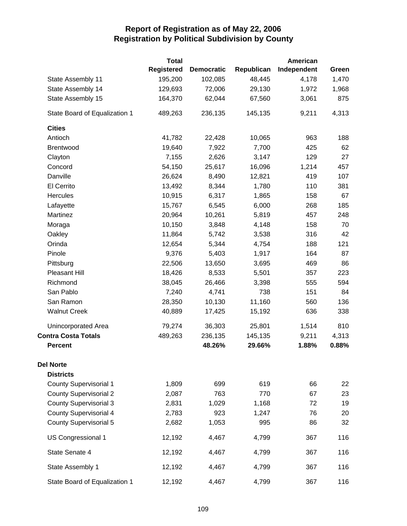|                               | <b>Total</b>      |                   |            | American    |       |
|-------------------------------|-------------------|-------------------|------------|-------------|-------|
|                               | <b>Registered</b> | <b>Democratic</b> | Republican | Independent | Green |
| State Assembly 11             | 195,200           | 102,085           | 48,445     | 4,178       | 1,470 |
| State Assembly 14             | 129,693           | 72,006            | 29,130     | 1,972       | 1,968 |
| State Assembly 15             | 164,370           | 62,044            | 67,560     | 3,061       | 875   |
| State Board of Equalization 1 | 489,263           | 236,135           | 145,135    | 9,211       | 4,313 |
| <b>Cities</b>                 |                   |                   |            |             |       |
| Antioch                       | 41,782            | 22,428            | 10,065     | 963         | 188   |
| Brentwood                     | 19,640            | 7,922             | 7,700      | 425         | 62    |
| Clayton                       | 7,155             | 2,626             | 3,147      | 129         | 27    |
| Concord                       | 54,150            | 25,617            | 16,096     | 1,214       | 457   |
| Danville                      | 26,624            | 8,490             | 12,821     | 419         | 107   |
| El Cerrito                    | 13,492            | 8,344             | 1,780      | 110         | 381   |
| Hercules                      | 10,915            | 6,317             | 1,865      | 158         | 67    |
| Lafayette                     | 15,767            | 6,545             | 6,000      | 268         | 185   |
| Martinez                      | 20,964            | 10,261            | 5,819      | 457         | 248   |
| Moraga                        | 10,150            | 3,848             | 4,148      | 158         | 70    |
| Oakley                        | 11,864            | 5,742             | 3,538      | 316         | 42    |
| Orinda                        | 12,654            | 5,344             | 4,754      | 188         | 121   |
| Pinole                        | 9,376             | 5,403             | 1,917      | 164         | 87    |
| Pittsburg                     | 22,506            | 13,650            | 3,695      | 469         | 86    |
| Pleasant Hill                 | 18,426            | 8,533             | 5,501      | 357         | 223   |
| Richmond                      | 38,045            | 26,466            | 3,398      | 555         | 594   |
| San Pablo                     | 7,240             | 4,741             | 738        | 151         | 84    |
| San Ramon                     | 28,350            | 10,130            | 11,160     | 560         | 136   |
| <b>Walnut Creek</b>           | 40,889            | 17,425            | 15,192     | 636         | 338   |
| Unincorporated Area           | 79,274            | 36,303            | 25,801     | 1,514       | 810   |
| <b>Contra Costa Totals</b>    | 489,263           | 236,135           | 145,135    | 9,211       | 4,313 |
| <b>Percent</b>                |                   | 48.26%            | 29.66%     | 1.88%       | 0.88% |
| <b>Del Norte</b>              |                   |                   |            |             |       |
| <b>Districts</b>              |                   |                   |            |             |       |
| <b>County Supervisorial 1</b> | 1,809             | 699               | 619        | 66          | 22    |
| <b>County Supervisorial 2</b> | 2,087             | 763               | 770        | 67          | 23    |
| <b>County Supervisorial 3</b> | 2,831             | 1,029             | 1,168      | 72          | 19    |
| <b>County Supervisorial 4</b> | 2,783             | 923               | 1,247      | 76          | 20    |
| <b>County Supervisorial 5</b> | 2,682             | 1,053             | 995        | 86          | 32    |
| US Congressional 1            | 12,192            | 4,467             | 4,799      | 367         | 116   |
| State Senate 4                | 12,192            | 4,467             | 4,799      | 367         | 116   |
| State Assembly 1              | 12,192            | 4,467             | 4,799      | 367         | 116   |
| State Board of Equalization 1 | 12,192            | 4,467             | 4,799      | 367         | 116   |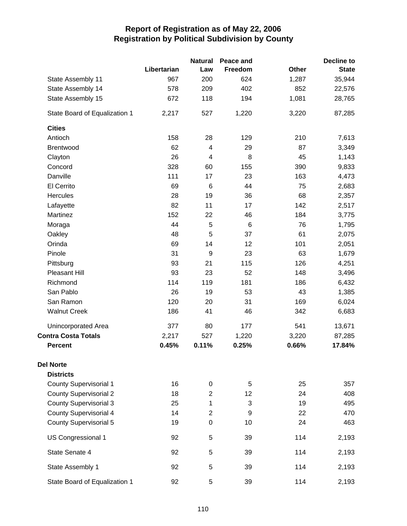|                               |             | <b>Natural</b>           | Peace and       |       | <b>Decline to</b> |
|-------------------------------|-------------|--------------------------|-----------------|-------|-------------------|
|                               | Libertarian | Law                      | Freedom         | Other | <b>State</b>      |
| State Assembly 11             | 967         | 200                      | 624             | 1,287 | 35,944            |
| State Assembly 14             | 578         | 209                      | 402             | 852   | 22,576            |
| State Assembly 15             | 672         | 118                      | 194             | 1,081 | 28,765            |
| State Board of Equalization 1 | 2,217       | 527                      | 1,220           | 3,220 | 87,285            |
| <b>Cities</b>                 |             |                          |                 |       |                   |
| Antioch                       | 158         | 28                       | 129             | 210   | 7,613             |
| Brentwood                     | 62          | $\overline{\mathcal{A}}$ | 29              | 87    | 3,349             |
| Clayton                       | 26          | $\overline{\mathbf{4}}$  | 8               | 45    | 1,143             |
| Concord                       | 328         | 60                       | 155             | 390   | 9,833             |
| Danville                      | 111         | 17                       | 23              | 163   | 4,473             |
| El Cerrito                    | 69          | $\,6$                    | 44              | 75    | 2,683             |
| Hercules                      | 28          | 19                       | 36              | 68    | 2,357             |
| Lafayette                     | 82          | 11                       | 17              | 142   | 2,517             |
| Martinez                      | 152         | 22                       | 46              | 184   | 3,775             |
| Moraga                        | 44          | 5                        | $6\phantom{1}6$ | 76    | 1,795             |
| Oakley                        | 48          | 5                        | 37              | 61    | 2,075             |
| Orinda                        | 69          | 14                       | 12              | 101   | 2,051             |
| Pinole                        | 31          | 9                        | 23              | 63    | 1,679             |
| Pittsburg                     | 93          | 21                       | 115             | 126   | 4,251             |
| Pleasant Hill                 | 93          | 23                       | 52              | 148   | 3,496             |
| Richmond                      | 114         | 119                      | 181             | 186   | 6,432             |
| San Pablo                     | 26          | 19                       | 53              | 43    | 1,385             |
| San Ramon                     | 120         | 20                       | 31              | 169   | 6,024             |
| <b>Walnut Creek</b>           | 186         | 41                       | 46              | 342   | 6,683             |
| Unincorporated Area           | 377         | 80                       | 177             | 541   | 13,671            |
| <b>Contra Costa Totals</b>    | 2,217       | 527                      | 1,220           | 3,220 | 87,285            |
| <b>Percent</b>                | 0.45%       | 0.11%                    | 0.25%           | 0.66% | 17.84%            |
| <b>Del Norte</b>              |             |                          |                 |       |                   |
| <b>Districts</b>              |             |                          |                 |       |                   |
| <b>County Supervisorial 1</b> | 16          | 0                        | 5               | 25    | 357               |
| <b>County Supervisorial 2</b> | 18          | $\overline{2}$           | 12              | 24    | 408               |
| <b>County Supervisorial 3</b> | 25          | 1                        | $\mathbf{3}$    | 19    | 495               |
| <b>County Supervisorial 4</b> | 14          | $\overline{2}$           | 9               | 22    | 470               |
| <b>County Supervisorial 5</b> | 19          | 0                        | 10              | 24    | 463               |
| US Congressional 1            | 92          | 5                        | 39              | 114   | 2,193             |
| State Senate 4                | 92          | 5                        | 39              | 114   | 2,193             |
| State Assembly 1              | 92          | 5                        | 39              | 114   | 2,193             |
| State Board of Equalization 1 | 92          | 5                        | 39              | 114   | 2,193             |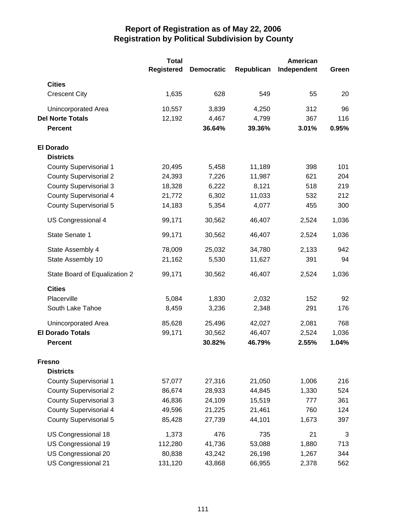|                               | <b>Total</b><br><b>Registered</b> | <b>Democratic</b> | Republican | American<br>Independent | Green |
|-------------------------------|-----------------------------------|-------------------|------------|-------------------------|-------|
| <b>Cities</b>                 |                                   |                   |            |                         |       |
| <b>Crescent City</b>          | 1,635                             | 628               | 549        | 55                      | 20    |
| Unincorporated Area           | 10,557                            | 3,839             | 4,250      | 312                     | 96    |
| <b>Del Norte Totals</b>       | 12,192                            | 4,467             | 4,799      | 367                     | 116   |
| <b>Percent</b>                |                                   | 36.64%            | 39.36%     | 3.01%                   | 0.95% |
| <b>El Dorado</b>              |                                   |                   |            |                         |       |
| <b>Districts</b>              |                                   |                   |            |                         |       |
| <b>County Supervisorial 1</b> | 20,495                            | 5,458             | 11,189     | 398                     | 101   |
| <b>County Supervisorial 2</b> | 24,393                            | 7,226             | 11,987     | 621                     | 204   |
| <b>County Supervisorial 3</b> | 18,328                            | 6,222             | 8,121      | 518                     | 219   |
| <b>County Supervisorial 4</b> | 21,772                            | 6,302             | 11,033     | 532                     | 212   |
| <b>County Supervisorial 5</b> | 14,183                            | 5,354             | 4,077      | 455                     | 300   |
| US Congressional 4            | 99,171                            | 30,562            | 46,407     | 2,524                   | 1,036 |
| State Senate 1                | 99,171                            | 30,562            | 46,407     | 2,524                   | 1,036 |
| State Assembly 4              | 78,009                            | 25,032            | 34,780     | 2,133                   | 942   |
| State Assembly 10             | 21,162                            | 5,530             | 11,627     | 391                     | 94    |
| State Board of Equalization 2 | 99,171                            | 30,562            | 46,407     | 2,524                   | 1,036 |
| <b>Cities</b>                 |                                   |                   |            |                         |       |
| Placerville                   | 5,084                             | 1,830             | 2,032      | 152                     | 92    |
| South Lake Tahoe              | 8,459                             | 3,236             | 2,348      | 291                     | 176   |
| Unincorporated Area           | 85,628                            | 25,496            | 42,027     | 2,081                   | 768   |
| <b>El Dorado Totals</b>       | 99,171                            | 30,562            | 46,407     | 2,524                   | 1,036 |
| <b>Percent</b>                |                                   | 30.82%            | 46.79%     | 2.55%                   | 1.04% |
| <b>Fresno</b>                 |                                   |                   |            |                         |       |
| <b>Districts</b>              |                                   |                   |            |                         |       |
| County Supervisorial 1        | 57,077                            | 27,316            | 21,050     | 1,006                   | 216   |
| <b>County Supervisorial 2</b> | 86,674                            | 28,933            | 44,845     | 1,330                   | 524   |
| <b>County Supervisorial 3</b> | 46,836                            | 24,109            | 15,519     | 777                     | 361   |
| <b>County Supervisorial 4</b> | 49,596                            | 21,225            | 21,461     | 760                     | 124   |
| <b>County Supervisorial 5</b> | 85,428                            | 27,739            | 44,101     | 1,673                   | 397   |
| US Congressional 18           | 1,373                             | 476               | 735        | 21                      | 3     |
| US Congressional 19           | 112,280                           | 41,736            | 53,088     | 1,880                   | 713   |
| US Congressional 20           | 80,838                            | 43,242            | 26,198     | 1,267                   | 344   |
| US Congressional 21           | 131,120                           | 43,868            | 66,955     | 2,378                   | 562   |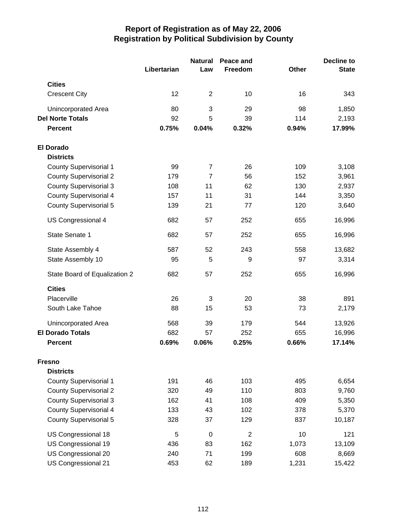|                               | Libertarian | <b>Natural</b><br>Law | Peace and<br>Freedom | Other | Decline to<br><b>State</b> |
|-------------------------------|-------------|-----------------------|----------------------|-------|----------------------------|
| <b>Cities</b>                 |             |                       |                      |       |                            |
|                               | 12          | $\overline{2}$        |                      | 16    |                            |
| <b>Crescent City</b>          |             |                       | 10                   |       | 343                        |
| Unincorporated Area           | 80          | 3                     | 29                   | 98    | 1,850                      |
| <b>Del Norte Totals</b>       | 92          | 5                     | 39                   | 114   | 2,193                      |
| <b>Percent</b>                | 0.75%       | 0.04%                 | 0.32%                | 0.94% | 17.99%                     |
| <b>El Dorado</b>              |             |                       |                      |       |                            |
| <b>Districts</b>              |             |                       |                      |       |                            |
| <b>County Supervisorial 1</b> | 99          | 7                     | 26                   | 109   | 3,108                      |
| <b>County Supervisorial 2</b> | 179         | $\overline{7}$        | 56                   | 152   | 3,961                      |
| <b>County Supervisorial 3</b> | 108         | 11                    | 62                   | 130   | 2,937                      |
| <b>County Supervisorial 4</b> | 157         | 11                    | 31                   | 144   | 3,350                      |
| <b>County Supervisorial 5</b> | 139         | 21                    | 77                   | 120   | 3,640                      |
| US Congressional 4            | 682         | 57                    | 252                  | 655   | 16,996                     |
| State Senate 1                | 682         | 57                    | 252                  | 655   | 16,996                     |
| State Assembly 4              | 587         | 52                    | 243                  | 558   | 13,682                     |
| State Assembly 10             | 95          | 5                     | 9                    | 97    | 3,314                      |
| State Board of Equalization 2 | 682         | 57                    | 252                  | 655   | 16,996                     |
| <b>Cities</b>                 |             |                       |                      |       |                            |
| Placerville                   | 26          | 3                     | 20                   | 38    | 891                        |
| South Lake Tahoe              | 88          | 15                    | 53                   | 73    | 2,179                      |
| Unincorporated Area           | 568         | 39                    | 179                  | 544   | 13,926                     |
| <b>El Dorado Totals</b>       | 682         | 57                    | 252                  | 655   | 16,996                     |
| <b>Percent</b>                | 0.69%       | 0.06%                 | 0.25%                | 0.66% | 17.14%                     |
| <b>Fresno</b>                 |             |                       |                      |       |                            |
| <b>Districts</b>              |             |                       |                      |       |                            |
| <b>County Supervisorial 1</b> | 191         | 46                    | 103                  | 495   | 6,654                      |
| <b>County Supervisorial 2</b> | 320         | 49                    | 110                  | 803   | 9,760                      |
| <b>County Supervisorial 3</b> | 162         | 41                    | 108                  | 409   | 5,350                      |
| <b>County Supervisorial 4</b> | 133         | 43                    | 102                  | 378   | 5,370                      |
| <b>County Supervisorial 5</b> | 328         | 37                    | 129                  | 837   | 10,187                     |
| US Congressional 18           | 5           | $\mathbf 0$           | $\overline{2}$       | 10    | 121                        |
| US Congressional 19           | 436         | 83                    | 162                  | 1,073 | 13,109                     |
| US Congressional 20           | 240         | 71                    | 199                  | 608   | 8,669                      |
| US Congressional 21           | 453         | 62                    | 189                  | 1,231 | 15,422                     |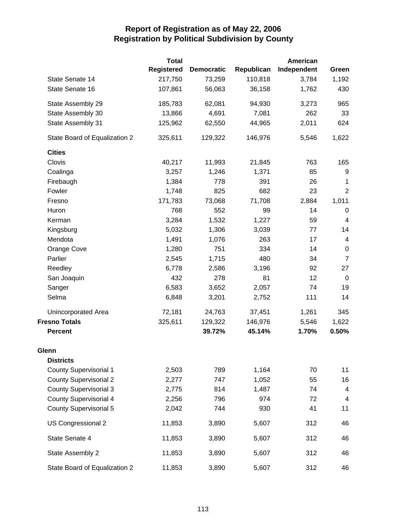|                               | <b>Total</b>      |                   |            | American    |                         |
|-------------------------------|-------------------|-------------------|------------|-------------|-------------------------|
|                               | <b>Registered</b> | <b>Democratic</b> | Republican | Independent | Green                   |
| State Senate 14               | 217,750           | 73,259            | 110,818    | 3,784       | 1,192                   |
| State Senate 16               | 107,861           | 56,063            | 36,158     | 1,762       | 430                     |
| State Assembly 29             | 185,783           | 62,081            | 94,930     | 3,273       | 965                     |
| State Assembly 30             | 13,866            | 4,691             | 7,081      | 262         | 33                      |
| State Assembly 31             | 125,962           | 62,550            | 44,965     | 2,011       | 624                     |
| State Board of Equalization 2 | 325,611           | 129,322           | 146,976    | 5,546       | 1,622                   |
| <b>Cities</b>                 |                   |                   |            |             |                         |
| Clovis                        | 40,217            | 11,993            | 21,845     | 763         | 165                     |
| Coalinga                      | 3,257             | 1,246             | 1,371      | 85          | 9                       |
| Firebaugh                     | 1,384             | 778               | 391        | 26          | 1                       |
| Fowler                        | 1,748             | 825               | 682        | 23          | $\boldsymbol{2}$        |
| Fresno                        | 171,783           | 73,068            | 71,708     | 2,884       | 1,011                   |
| Huron                         | 768               | 552               | 99         | 14          | $\mathbf 0$             |
| Kerman                        | 3,284             | 1,532             | 1,227      | 59          | $\overline{\mathbf{4}}$ |
| Kingsburg                     | 5,032             | 1,306             | 3,039      | 77          | 14                      |
| Mendota                       | 1,491             | 1,076             | 263        | 17          | 4                       |
| Orange Cove                   | 1,280             | 751               | 334        | 14          | $\pmb{0}$               |
| Parlier                       | 2,545             | 1,715             | 480        | 34          | $\overline{7}$          |
| Reedley                       | 6,778             | 2,586             | 3,196      | 92          | 27                      |
| San Joaquin                   | 432               | 278               | 81         | 12          | $\mathbf 0$             |
| Sanger                        | 6,583             | 3,652             | 2,057      | 74          | 19                      |
| Selma                         | 6,848             | 3,201             | 2,752      | 111         | 14                      |
| Unincorporated Area           | 72,181            | 24,763            | 37,451     | 1,261       | 345                     |
| <b>Fresno Totals</b>          | 325,611           | 129,322           | 146,976    | 5,546       | 1,622                   |
| <b>Percent</b>                |                   | 39.72%            | 45.14%     | 1.70%       | 0.50%                   |
| Glenn                         |                   |                   |            |             |                         |
| <b>Districts</b>              |                   |                   |            |             |                         |
| <b>County Supervisorial 1</b> | 2,503             | 789               | 1,164      | 70          | 11                      |
| <b>County Supervisorial 2</b> | 2,277             | 747               | 1,052      | 55          | 16                      |
| <b>County Supervisorial 3</b> | 2,775             | 814               | 1,487      | 74          | 4                       |
| <b>County Supervisorial 4</b> | 2,256             | 796               | 974        | 72          | 4                       |
| <b>County Supervisorial 5</b> | 2,042             | 744               | 930        | 41          | 11                      |
| US Congressional 2            | 11,853            | 3,890             | 5,607      | 312         | 46                      |
| State Senate 4                | 11,853            | 3,890             | 5,607      | 312         | 46                      |
| State Assembly 2              | 11,853            | 3,890             | 5,607      | 312         | 46                      |
| State Board of Equalization 2 | 11,853            | 3,890             | 5,607      | 312         | 46                      |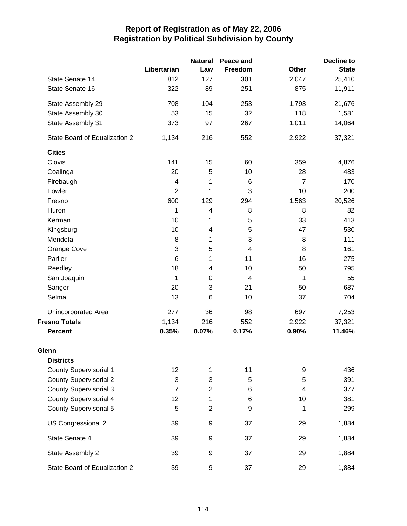|                               |                | <b>Natural</b>          | Peace and                 |                | <b>Decline to</b> |
|-------------------------------|----------------|-------------------------|---------------------------|----------------|-------------------|
|                               | Libertarian    | Law                     | Freedom                   | Other          | <b>State</b>      |
| State Senate 14               | 812            | 127                     | 301                       | 2,047          | 25,410            |
| State Senate 16               | 322            | 89                      | 251                       | 875            | 11,911            |
| State Assembly 29             | 708            | 104                     | 253                       | 1,793          | 21,676            |
| State Assembly 30             | 53             | 15                      | 32                        | 118            | 1,581             |
| State Assembly 31             | 373            | 97                      | 267                       | 1,011          | 14,064            |
| State Board of Equalization 2 | 1,134          | 216                     | 552                       | 2,922          | 37,321            |
| <b>Cities</b>                 |                |                         |                           |                |                   |
| Clovis                        | 141            | 15                      | 60                        | 359            | 4,876             |
| Coalinga                      | 20             | 5                       | 10                        | 28             | 483               |
| Firebaugh                     | 4              | 1                       | 6                         | $\overline{7}$ | 170               |
| Fowler                        | $\overline{2}$ | 1                       | 3                         | 10             | 200               |
| Fresno                        | 600            | 129                     | 294                       | 1,563          | 20,526            |
| Huron                         | 1              | 4                       | 8                         | 8              | 82                |
| Kerman                        | 10             | 1                       | 5                         | 33             | 413               |
| Kingsburg                     | 10             | 4                       | 5                         | 47             | 530               |
| Mendota                       | 8              | 1                       | $\ensuremath{\mathsf{3}}$ | 8              | 111               |
| Orange Cove                   | 3              | 5                       | $\overline{4}$            | 8              | 161               |
| Parlier                       | 6              | 1                       | 11                        | 16             | 275               |
| Reedley                       | 18             | $\overline{\mathbf{4}}$ | 10                        | 50             | 795               |
| San Joaquin                   | 1              | 0                       | 4                         | 1              | 55                |
| Sanger                        | 20             | 3                       | 21                        | 50             | 687               |
| Selma                         | 13             | 6                       | 10                        | 37             | 704               |
| Unincorporated Area           | 277            | 36                      | 98                        | 697            | 7,253             |
| <b>Fresno Totals</b>          | 1,134          | 216                     | 552                       | 2,922          | 37,321            |
| <b>Percent</b>                | 0.35%          | 0.07%                   | 0.17%                     | 0.90%          | 11.46%            |
| Glenn                         |                |                         |                           |                |                   |
| <b>Districts</b>              |                |                         |                           |                |                   |
| <b>County Supervisorial 1</b> | 12             | 1                       | 11                        | 9              | 436               |
| <b>County Supervisorial 2</b> | 3              | 3                       | 5                         | 5              | 391               |
| <b>County Supervisorial 3</b> | $\overline{7}$ | $\overline{2}$          | 6                         | 4              | 377               |
| <b>County Supervisorial 4</b> | 12             | 1                       | 6                         | 10             | 381               |
| <b>County Supervisorial 5</b> | 5              | $\overline{2}$          | 9                         | 1              | 299               |
| US Congressional 2            | 39             | $\boldsymbol{9}$        | 37                        | 29             | 1,884             |
| State Senate 4                | 39             | 9                       | 37                        | 29             | 1,884             |
| State Assembly 2              | 39             | 9                       | 37                        | 29             | 1,884             |
| State Board of Equalization 2 | 39             | 9                       | 37                        | 29             | 1,884             |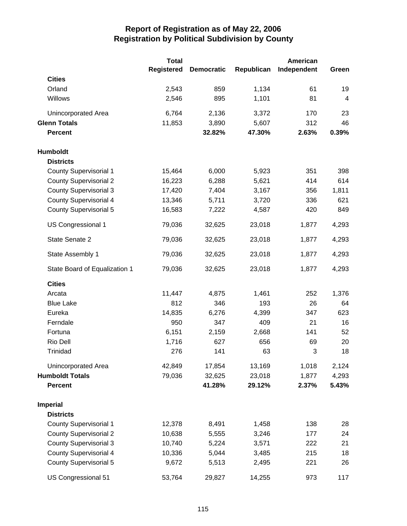|                               | <b>Total</b>      |                   |            | <b>American</b> |       |
|-------------------------------|-------------------|-------------------|------------|-----------------|-------|
|                               | <b>Registered</b> | <b>Democratic</b> | Republican | Independent     | Green |
| <b>Cities</b>                 |                   |                   |            |                 |       |
| Orland                        | 2,543             | 859               | 1,134      | 61              | 19    |
| Willows                       | 2,546             | 895               | 1,101      | 81              | 4     |
| Unincorporated Area           | 6,764             | 2,136             | 3,372      | 170             | 23    |
| <b>Glenn Totals</b>           | 11,853            | 3,890             | 5,607      | 312             | 46    |
| <b>Percent</b>                |                   | 32.82%            | 47.30%     | 2.63%           | 0.39% |
| <b>Humboldt</b>               |                   |                   |            |                 |       |
| <b>Districts</b>              |                   |                   |            |                 |       |
| <b>County Supervisorial 1</b> | 15,464            | 6,000             | 5,923      | 351             | 398   |
| <b>County Supervisorial 2</b> | 16,223            | 6,288             | 5,621      | 414             | 614   |
| <b>County Supervisorial 3</b> | 17,420            | 7,404             | 3,167      | 356             | 1,811 |
| <b>County Supervisorial 4</b> | 13,346            | 5,711             | 3,720      | 336             | 621   |
| <b>County Supervisorial 5</b> | 16,583            | 7,222             | 4,587      | 420             | 849   |
| <b>US Congressional 1</b>     | 79,036            | 32,625            | 23,018     | 1,877           | 4,293 |
| State Senate 2                | 79,036            | 32,625            | 23,018     | 1,877           | 4,293 |
| State Assembly 1              | 79,036            | 32,625            | 23,018     | 1,877           | 4,293 |
| State Board of Equalization 1 | 79,036            | 32,625            | 23,018     | 1,877           | 4,293 |
| <b>Cities</b>                 |                   |                   |            |                 |       |
| Arcata                        | 11,447            | 4,875             | 1,461      | 252             | 1,376 |
| <b>Blue Lake</b>              | 812               | 346               | 193        | 26              | 64    |
| Eureka                        | 14,835            | 6,276             | 4,399      | 347             | 623   |
| Ferndale                      | 950               | 347               | 409        | 21              | 16    |
| Fortuna                       | 6,151             | 2,159             | 2,668      | 141             | 52    |
| Rio Dell                      | 1,716             | 627               | 656        | 69              | 20    |
| Trinidad                      | 276               | 141               | 63         | 3               | 18    |
| Unincorporated Area           | 42,849            | 17,854            | 13,169     | 1,018           | 2,124 |
| <b>Humboldt Totals</b>        | 79,036            | 32,625            | 23,018     | 1,877           | 4,293 |
| <b>Percent</b>                |                   | 41.28%            | 29.12%     | 2.37%           | 5.43% |
| <b>Imperial</b>               |                   |                   |            |                 |       |
| <b>Districts</b>              |                   |                   |            |                 |       |
| <b>County Supervisorial 1</b> | 12,378            | 8,491             | 1,458      | 138             | 28    |
| <b>County Supervisorial 2</b> | 10,638            | 5,555             | 3,246      | 177             | 24    |
| <b>County Supervisorial 3</b> | 10,740            | 5,224             | 3,571      | 222             | 21    |
| <b>County Supervisorial 4</b> | 10,336            | 5,044             | 3,485      | 215             | 18    |
| <b>County Supervisorial 5</b> | 9,672             | 5,513             | 2,495      | 221             | 26    |
| US Congressional 51           | 53,764            | 29,827            | 14,255     | 973             | 117   |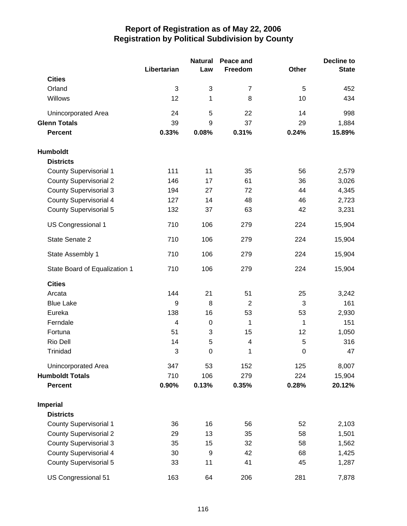|                               |             | <b>Natural</b>   | Peace and      |                  | <b>Decline to</b> |
|-------------------------------|-------------|------------------|----------------|------------------|-------------------|
|                               | Libertarian | Law              | Freedom        | <b>Other</b>     | <b>State</b>      |
| <b>Cities</b>                 |             |                  |                |                  |                   |
| Orland                        | 3           | 3                | $\overline{7}$ | 5                | 452               |
| Willows                       | 12          | 1                | 8              | 10               | 434               |
| Unincorporated Area           | 24          | 5                | 22             | 14               | 998               |
| <b>Glenn Totals</b>           | 39          | 9                | 37             | 29               | 1,884             |
| <b>Percent</b>                | 0.33%       | 0.08%            | 0.31%          | 0.24%            | 15.89%            |
| <b>Humboldt</b>               |             |                  |                |                  |                   |
| <b>Districts</b>              |             |                  |                |                  |                   |
| <b>County Supervisorial 1</b> | 111         | 11               | 35             | 56               | 2,579             |
| <b>County Supervisorial 2</b> | 146         | 17               | 61             | 36               | 3,026             |
| <b>County Supervisorial 3</b> | 194         | 27               | 72             | 44               | 4,345             |
| <b>County Supervisorial 4</b> | 127         | 14               | 48             | 46               | 2,723             |
| <b>County Supervisorial 5</b> | 132         | 37               | 63             | 42               | 3,231             |
| US Congressional 1            | 710         | 106              | 279            | 224              | 15,904            |
| State Senate 2                | 710         | 106              | 279            | 224              | 15,904            |
| State Assembly 1              | 710         | 106              | 279            | 224              | 15,904            |
| State Board of Equalization 1 | 710         | 106              | 279            | 224              | 15,904            |
| <b>Cities</b>                 |             |                  |                |                  |                   |
| Arcata                        | 144         | 21               | 51             | 25               | 3,242             |
| <b>Blue Lake</b>              | 9           | 8                | $\overline{2}$ | 3                | 161               |
| Eureka                        | 138         | 16               | 53             | 53               | 2,930             |
| Ferndale                      | 4           | $\mathbf 0$      | 1              | 1                | 151               |
| Fortuna                       | 51          | 3                | 15             | 12               | 1,050             |
| Rio Dell                      | 14          | 5                | 4              | 5                | 316               |
| Trinidad                      | 3           | $\boldsymbol{0}$ | 1              | $\boldsymbol{0}$ | 47                |
| Unincorporated Area           | 347         | 53               | 152            | 125              | 8,007             |
| <b>Humboldt Totals</b>        | 710         | 106              | 279            | 224              | 15,904            |
| <b>Percent</b>                | 0.90%       | 0.13%            | 0.35%          | 0.28%            | 20.12%            |
| <b>Imperial</b>               |             |                  |                |                  |                   |
| <b>Districts</b>              |             |                  |                |                  |                   |
| <b>County Supervisorial 1</b> | 36          | 16               | 56             | 52               | 2,103             |
| <b>County Supervisorial 2</b> | 29          | 13               | 35             | 58               | 1,501             |
| <b>County Supervisorial 3</b> | 35          | 15               | 32             | 58               | 1,562             |
| <b>County Supervisorial 4</b> | 30          | 9                | 42             | 68               | 1,425             |
| <b>County Supervisorial 5</b> | 33          | 11               | 41             | 45               | 1,287             |
| US Congressional 51           | 163         | 64               | 206            | 281              | 7,878             |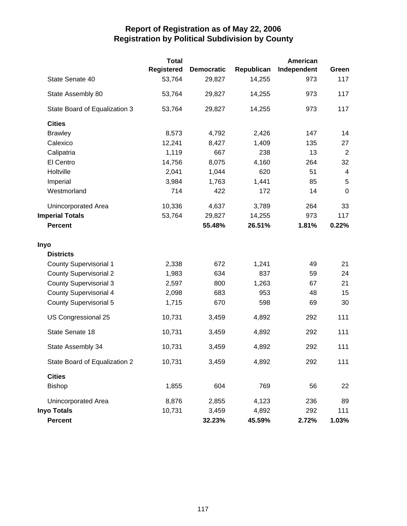|                               | <b>Total</b>      |                   |            | American    |                  |
|-------------------------------|-------------------|-------------------|------------|-------------|------------------|
|                               | <b>Registered</b> | <b>Democratic</b> | Republican | Independent | Green            |
| State Senate 40               | 53,764            | 29,827            | 14,255     | 973         | 117              |
| State Assembly 80             | 53,764            | 29,827            | 14,255     | 973         | 117              |
| State Board of Equalization 3 | 53,764            | 29,827            | 14,255     | 973         | 117              |
| <b>Cities</b>                 |                   |                   |            |             |                  |
| <b>Brawley</b>                | 8,573             | 4,792             | 2,426      | 147         | 14               |
| Calexico                      | 12,241            | 8,427             | 1,409      | 135         | 27               |
| Calipatria                    | 1,119             | 667               | 238        | 13          | $\overline{2}$   |
| El Centro                     | 14,756            | 8,075             | 4,160      | 264         | 32               |
| Holtville                     | 2,041             | 1,044             | 620        | 51          | $\overline{4}$   |
| Imperial                      | 3,984             | 1,763             | 1,441      | 85          | 5                |
| Westmorland                   | 714               | 422               | 172        | 14          | $\boldsymbol{0}$ |
| Unincorporated Area           | 10,336            | 4,637             | 3,789      | 264         | 33               |
| <b>Imperial Totals</b>        | 53,764            | 29,827            | 14,255     | 973         | 117              |
| <b>Percent</b>                |                   | 55.48%            | 26.51%     | 1.81%       | 0.22%            |
| Inyo                          |                   |                   |            |             |                  |
| <b>Districts</b>              |                   |                   |            |             |                  |
| <b>County Supervisorial 1</b> | 2,338             | 672               | 1,241      | 49          | 21               |
| <b>County Supervisorial 2</b> | 1,983             | 634               | 837        | 59          | 24               |
| <b>County Supervisorial 3</b> | 2,597             | 800               | 1,263      | 67          | 21               |
| <b>County Supervisorial 4</b> | 2,098             | 683               | 953        | 48          | 15               |
| <b>County Supervisorial 5</b> | 1,715             | 670               | 598        | 69          | 30               |
| US Congressional 25           | 10,731            | 3,459             | 4,892      | 292         | 111              |
| State Senate 18               | 10,731            | 3,459             | 4,892      | 292         | 111              |
| State Assembly 34             | 10,731            | 3,459             | 4,892      | 292         | 111              |
| State Board of Equalization 2 | 10,731            | 3,459             | 4,892      | 292         | 111              |
| <b>Cities</b>                 |                   |                   |            |             |                  |
| <b>Bishop</b>                 | 1,855             | 604               | 769        | 56          | 22               |
| Unincorporated Area           | 8,876             | 2,855             | 4,123      | 236         | 89               |
| <b>Inyo Totals</b>            | 10,731            | 3,459             | 4,892      | 292         | 111              |
| <b>Percent</b>                |                   | 32.23%            | 45.59%     | 2.72%       | 1.03%            |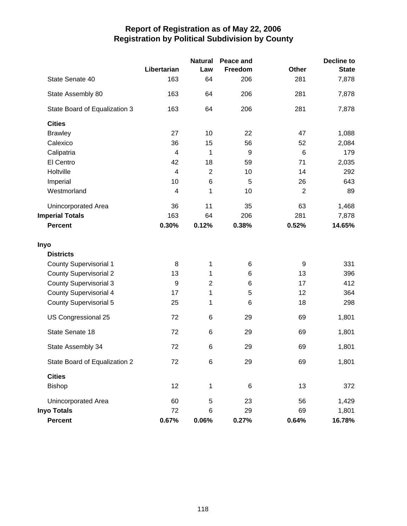|                               |                          | <b>Natural</b> | Peace and        |                | <b>Decline to</b> |
|-------------------------------|--------------------------|----------------|------------------|----------------|-------------------|
|                               | Libertarian              | Law            | Freedom          | <b>Other</b>   | <b>State</b>      |
| State Senate 40               | 163                      | 64             | 206              | 281            | 7,878             |
| State Assembly 80             | 163                      | 64             | 206              | 281            | 7,878             |
| State Board of Equalization 3 | 163                      | 64             | 206              | 281            | 7,878             |
| <b>Cities</b>                 |                          |                |                  |                |                   |
| <b>Brawley</b>                | 27                       | 10             | 22               | 47             | 1,088             |
| Calexico                      | 36                       | 15             | 56               | 52             | 2,084             |
| Calipatria                    | 4                        | 1              | $\boldsymbol{9}$ | 6              | 179               |
| El Centro                     | 42                       | 18             | 59               | 71             | 2,035             |
| Holtville                     | $\overline{\mathcal{A}}$ | $\overline{2}$ | 10               | 14             | 292               |
| Imperial                      | 10                       | 6              | 5                | 26             | 643               |
| Westmorland                   | 4                        | 1              | 10               | $\overline{2}$ | 89                |
| Unincorporated Area           | 36                       | 11             | 35               | 63             | 1,468             |
| <b>Imperial Totals</b>        | 163                      | 64             | 206              | 281            | 7,878             |
| <b>Percent</b>                | 0.30%                    | 0.12%          | 0.38%            | 0.52%          | 14.65%            |
| Inyo                          |                          |                |                  |                |                   |
| <b>Districts</b>              |                          |                |                  |                |                   |
| <b>County Supervisorial 1</b> | 8                        | 1              | 6                | 9              | 331               |
| <b>County Supervisorial 2</b> | 13                       | 1              | 6                | 13             | 396               |
| <b>County Supervisorial 3</b> | $\boldsymbol{9}$         | $\overline{c}$ | 6                | 17             | 412               |
| <b>County Supervisorial 4</b> | 17                       | 1              | 5                | 12             | 364               |
| <b>County Supervisorial 5</b> | 25                       | 1              | 6                | 18             | 298               |
| US Congressional 25           | 72                       | 6              | 29               | 69             | 1,801             |
| State Senate 18               | 72                       | 6              | 29               | 69             | 1,801             |
| State Assembly 34             | 72                       | 6              | 29               | 69             | 1,801             |
| State Board of Equalization 2 | 72                       | 6              | 29               | 69             | 1,801             |
| <b>Cities</b>                 |                          |                |                  |                |                   |
| <b>Bishop</b>                 | 12                       | 1              | 6                | 13             | 372               |
| Unincorporated Area           | 60                       | 5              | 23               | 56             | 1,429             |
| <b>Inyo Totals</b>            | 72                       | 6              | 29               | 69             | 1,801             |
| Percent                       | 0.67%                    | 0.06%          | 0.27%            | 0.64%          | 16.78%            |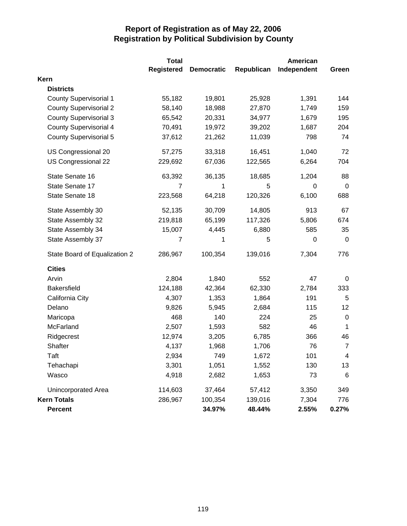|                               | <b>Total</b>      |                   |            | <b>American</b> |                |
|-------------------------------|-------------------|-------------------|------------|-----------------|----------------|
|                               | <b>Registered</b> | <b>Democratic</b> | Republican | Independent     | Green          |
| Kern                          |                   |                   |            |                 |                |
| <b>Districts</b>              |                   |                   |            |                 |                |
| <b>County Supervisorial 1</b> | 55,182            | 19,801            | 25,928     | 1,391           | 144            |
| <b>County Supervisorial 2</b> | 58,140            | 18,988            | 27,870     | 1,749           | 159            |
| <b>County Supervisorial 3</b> | 65,542            | 20,331            | 34,977     | 1,679           | 195            |
| <b>County Supervisorial 4</b> | 70,491            | 19,972            | 39,202     | 1,687           | 204            |
| <b>County Supervisorial 5</b> | 37,612            | 21,262            | 11,039     | 798             | 74             |
| US Congressional 20           | 57,275            | 33,318            | 16,451     | 1,040           | 72             |
| US Congressional 22           | 229,692           | 67,036            | 122,565    | 6,264           | 704            |
| State Senate 16               | 63,392            | 36,135            | 18,685     | 1,204           | 88             |
| State Senate 17               | 7                 | 1                 | 5          | 0               | 0              |
| State Senate 18               | 223,568           | 64,218            | 120,326    | 6,100           | 688            |
| State Assembly 30             | 52,135            | 30,709            | 14,805     | 913             | 67             |
| State Assembly 32             | 219,818           | 65,199            | 117,326    | 5,806           | 674            |
| State Assembly 34             | 15,007            | 4,445             | 6,880      | 585             | 35             |
| State Assembly 37             | 7                 | 1                 | 5          | 0               | $\mathbf 0$    |
| State Board of Equalization 2 | 286,967           | 100,354           | 139,016    | 7,304           | 776            |
| <b>Cities</b>                 |                   |                   |            |                 |                |
| Arvin                         | 2,804             | 1,840             | 552        | 47              | 0              |
| <b>Bakersfield</b>            | 124,188           | 42,364            | 62,330     | 2,784           | 333            |
| California City               | 4,307             | 1,353             | 1,864      | 191             | 5              |
| Delano                        | 9,826             | 5,945             | 2,684      | 115             | 12             |
| Maricopa                      | 468               | 140               | 224        | 25              | 0              |
| McFarland                     | 2,507             | 1,593             | 582        | 46              | $\mathbf 1$    |
| Ridgecrest                    | 12,974            | 3,205             | 6,785      | 366             | 46             |
| Shafter                       | 4,137             | 1,968             | 1,706      | 76              | $\overline{7}$ |
| Taft                          | 2,934             | 749               | 1,672      | 101             | 4              |
| Tehachapi                     | 3,301             | 1,051             | 1,552      | 130             | 13             |
| Wasco                         | 4,918             | 2,682             | 1,653      | 73              | $\,6$          |
| Unincorporated Area           | 114,603           | 37,464            | 57,412     | 3,350           | 349            |
| <b>Kern Totals</b>            | 286,967           | 100,354           | 139,016    | 7,304           | 776            |
| <b>Percent</b>                |                   | 34.97%            | 48.44%     | 2.55%           | 0.27%          |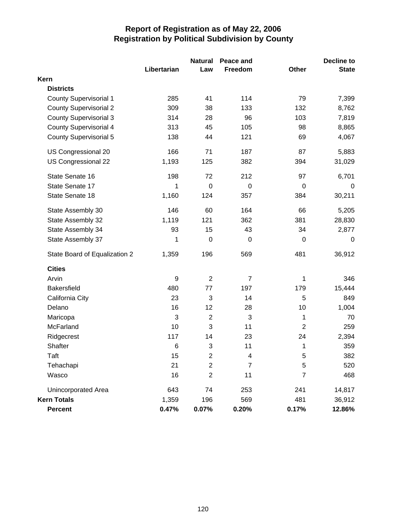|                               |             | <b>Natural</b> | Peace and                |                | <b>Decline to</b> |
|-------------------------------|-------------|----------------|--------------------------|----------------|-------------------|
|                               | Libertarian | Law            | Freedom                  | Other          | <b>State</b>      |
| Kern                          |             |                |                          |                |                   |
| <b>Districts</b>              |             |                |                          |                |                   |
| <b>County Supervisorial 1</b> | 285         | 41             | 114                      | 79             | 7,399             |
| <b>County Supervisorial 2</b> | 309         | 38             | 133                      | 132            | 8,762             |
| <b>County Supervisorial 3</b> | 314         | 28             | 96                       | 103            | 7,819             |
| <b>County Supervisorial 4</b> | 313         | 45             | 105                      | 98             | 8,865             |
| <b>County Supervisorial 5</b> | 138         | 44             | 121                      | 69             | 4,067             |
| US Congressional 20           | 166         | 71             | 187                      | 87             | 5,883             |
| US Congressional 22           | 1,193       | 125            | 382                      | 394            | 31,029            |
| State Senate 16               | 198         | 72             | 212                      | 97             | 6,701             |
| State Senate 17               | 1           | 0              | 0                        | 0              | 0                 |
| State Senate 18               | 1,160       | 124            | 357                      | 384            | 30,211            |
| State Assembly 30             | 146         | 60             | 164                      | 66             | 5,205             |
| State Assembly 32             | 1,119       | 121            | 362                      | 381            | 28,830            |
| State Assembly 34             | 93          | 15             | 43                       | 34             | 2,877             |
| State Assembly 37             | 1           | $\mathbf 0$    | $\mathbf 0$              | $\mathbf 0$    | $\mathbf 0$       |
| State Board of Equalization 2 | 1,359       | 196            | 569                      | 481            | 36,912            |
| <b>Cities</b>                 |             |                |                          |                |                   |
| Arvin                         | 9           | $\overline{2}$ | $\overline{7}$           | 1              | 346               |
| <b>Bakersfield</b>            | 480         | 77             | 197                      | 179            | 15,444            |
| California City               | 23          | 3              | 14                       | 5              | 849               |
| Delano                        | 16          | 12             | 28                       | 10             | 1,004             |
| Maricopa                      | 3           | $\overline{2}$ | 3                        | 1              | 70                |
| McFarland                     | 10          | 3              | 11                       | $\overline{2}$ | 259               |
| Ridgecrest                    | 117         | 14             | 23                       | 24             | 2,394             |
| Shafter                       | 6           | 3              | 11                       | 1              | 359               |
| Taft                          | 15          | 2              | $\overline{\mathcal{A}}$ | 5              | 382               |
| Tehachapi                     | 21          | $\overline{2}$ | $\overline{7}$           | 5              | 520               |
| Wasco                         | 16          | $\overline{2}$ | 11                       | 7              | 468               |
| Unincorporated Area           | 643         | 74             | 253                      | 241            | 14,817            |
| <b>Kern Totals</b>            | 1,359       | 196            | 569                      | 481            | 36,912            |
| Percent                       | 0.47%       | 0.07%          | 0.20%                    | 0.17%          | 12.86%            |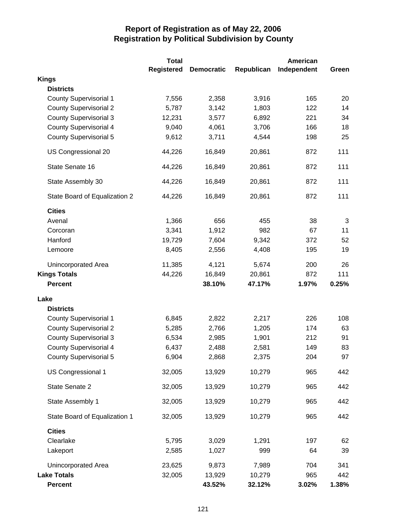|                               | <b>Total</b>      |                   |            | <b>American</b> |       |
|-------------------------------|-------------------|-------------------|------------|-----------------|-------|
|                               | <b>Registered</b> | <b>Democratic</b> | Republican | Independent     | Green |
| <b>Kings</b>                  |                   |                   |            |                 |       |
| <b>Districts</b>              |                   |                   |            |                 |       |
| <b>County Supervisorial 1</b> | 7,556             | 2,358             | 3,916      | 165             | 20    |
| <b>County Supervisorial 2</b> | 5,787             | 3,142             | 1,803      | 122             | 14    |
| <b>County Supervisorial 3</b> | 12,231            | 3,577             | 6,892      | 221             | 34    |
| <b>County Supervisorial 4</b> | 9,040             | 4,061             | 3,706      | 166             | 18    |
| <b>County Supervisorial 5</b> | 9,612             | 3,711             | 4,544      | 198             | 25    |
| US Congressional 20           | 44,226            | 16,849            | 20,861     | 872             | 111   |
| State Senate 16               | 44,226            | 16,849            | 20,861     | 872             | 111   |
| State Assembly 30             | 44,226            | 16,849            | 20,861     | 872             | 111   |
| State Board of Equalization 2 | 44,226            | 16,849            | 20,861     | 872             | 111   |
| <b>Cities</b>                 |                   |                   |            |                 |       |
| Avenal                        | 1,366             | 656               | 455        | 38              | 3     |
| Corcoran                      | 3,341             | 1,912             | 982        | 67              | 11    |
| Hanford                       | 19,729            | 7,604             | 9,342      | 372             | 52    |
| Lemoore                       | 8,405             | 2,556             | 4,408      | 195             | 19    |
| Unincorporated Area           | 11,385            | 4,121             | 5,674      | 200             | 26    |
| <b>Kings Totals</b>           | 44,226            | 16,849            | 20,861     | 872             | 111   |
| <b>Percent</b>                |                   | 38.10%            | 47.17%     | 1.97%           | 0.25% |
| Lake                          |                   |                   |            |                 |       |
| <b>Districts</b>              |                   |                   |            |                 |       |
| <b>County Supervisorial 1</b> | 6,845             | 2,822             | 2,217      | 226             | 108   |
| <b>County Supervisorial 2</b> | 5,285             | 2,766             | 1,205      | 174             | 63    |
| <b>County Supervisorial 3</b> | 6,534             | 2,985             | 1,901      | 212             | 91    |
| <b>County Supervisorial 4</b> | 6,437             | 2,488             | 2,581      | 149             | 83    |
| <b>County Supervisorial 5</b> | 6,904             | 2,868             | 2,375      | 204             | 97    |
| US Congressional 1            | 32,005            | 13,929            | 10,279     | 965             | 442   |
| State Senate 2                | 32,005            | 13,929            | 10,279     | 965             | 442   |
| State Assembly 1              | 32,005            | 13,929            | 10,279     | 965             | 442   |
| State Board of Equalization 1 | 32,005            | 13,929            | 10,279     | 965             | 442   |
| <b>Cities</b>                 |                   |                   |            |                 |       |
| Clearlake                     | 5,795             | 3,029             | 1,291      | 197             | 62    |
| Lakeport                      | 2,585             | 1,027             | 999        | 64              | 39    |
| Unincorporated Area           | 23,625            | 9,873             | 7,989      | 704             | 341   |
| <b>Lake Totals</b>            | 32,005            | 13,929            | 10,279     | 965             | 442   |
| <b>Percent</b>                |                   | 43.52%            | 32.12%     | 3.02%           | 1.38% |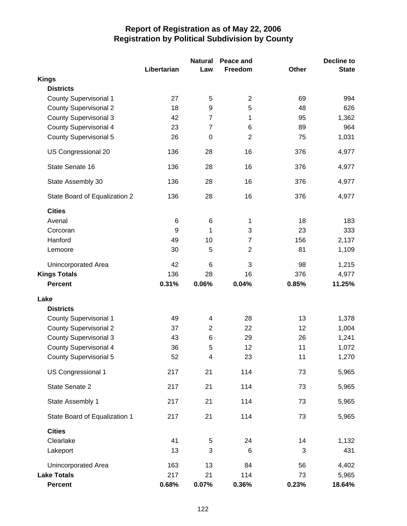|                               |             | <b>Natural</b>          | Peace and      |              | <b>Decline to</b> |
|-------------------------------|-------------|-------------------------|----------------|--------------|-------------------|
|                               | Libertarian | Law                     | Freedom        | <b>Other</b> | <b>State</b>      |
| <b>Kings</b>                  |             |                         |                |              |                   |
| <b>Districts</b>              |             |                         |                |              |                   |
| <b>County Supervisorial 1</b> | 27          | 5                       | $\overline{2}$ | 69           | 994               |
| <b>County Supervisorial 2</b> | 18          | 9                       | 5              | 48           | 626               |
| <b>County Supervisorial 3</b> | 42          | $\overline{7}$          | 1              | 95           | 1,362             |
| <b>County Supervisorial 4</b> | 23          | $\overline{7}$          | 6              | 89           | 964               |
| <b>County Supervisorial 5</b> | 26          | $\mathbf 0$             | $\overline{2}$ | 75           | 1,031             |
| US Congressional 20           | 136         | 28                      | 16             | 376          | 4,977             |
| State Senate 16               | 136         | 28                      | 16             | 376          | 4,977             |
| State Assembly 30             | 136         | 28                      | 16             | 376          | 4,977             |
| State Board of Equalization 2 | 136         | 28                      | 16             | 376          | 4,977             |
| <b>Cities</b>                 |             |                         |                |              |                   |
| Avenal                        | 6           | 6                       | 1              | 18           | 183               |
| Corcoran                      | 9           | 1                       | 3              | 23           | 333               |
| Hanford                       | 49          | 10                      | 7              | 156          | 2,137             |
| Lemoore                       | 30          | 5                       | $\overline{2}$ | 81           | 1,109             |
| Unincorporated Area           | 42          | 6                       | 3              | 98           | 1,215             |
| <b>Kings Totals</b>           | 136         | 28                      | 16             | 376          | 4,977             |
| <b>Percent</b>                | 0.31%       | 0.06%                   | 0.04%          | 0.85%        | 11.25%            |
| Lake                          |             |                         |                |              |                   |
| <b>Districts</b>              |             |                         |                |              |                   |
| <b>County Supervisorial 1</b> | 49          | 4                       | 28             | 13           | 1,378             |
| <b>County Supervisorial 2</b> | 37          | $\overline{2}$          | 22             | 12           | 1,004             |
| <b>County Supervisorial 3</b> | 43          | 6                       | 29             | 26           | 1,241             |
| <b>County Supervisorial 4</b> | 36          | 5                       | 12             | 11           | 1,072             |
| County Supervisorial 5        | 52          | $\overline{\mathbf{4}}$ | 23             | 11           | 1,270             |
| US Congressional 1            | 217         | 21                      | 114            | 73           | 5,965             |
| State Senate 2                | 217         | 21                      | 114            | 73           | 5,965             |
| State Assembly 1              | 217         | 21                      | 114            | 73           | 5,965             |
| State Board of Equalization 1 | 217         | 21                      | 114            | 73           | 5,965             |
| <b>Cities</b>                 |             |                         |                |              |                   |
| Clearlake                     | 41          | 5                       | 24             | 14           | 1,132             |
| Lakeport                      | 13          | 3                       | 6              | 3            | 431               |
| Unincorporated Area           | 163         | 13                      | 84             | 56           | 4,402             |
| <b>Lake Totals</b>            | 217         | 21                      | 114            | 73           | 5,965             |
| <b>Percent</b>                | 0.68%       | 0.07%                   | 0.36%          | 0.23%        | 18.64%            |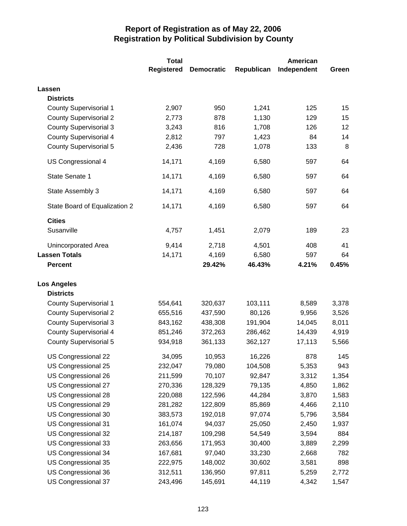|                               | <b>Total</b>      |                   |            | American    |       |
|-------------------------------|-------------------|-------------------|------------|-------------|-------|
|                               | <b>Registered</b> | <b>Democratic</b> | Republican | Independent | Green |
| Lassen                        |                   |                   |            |             |       |
| <b>Districts</b>              |                   |                   |            |             |       |
| <b>County Supervisorial 1</b> | 2,907             | 950               | 1,241      | 125         | 15    |
| <b>County Supervisorial 2</b> | 2,773             | 878               | 1,130      | 129         | 15    |
| <b>County Supervisorial 3</b> | 3,243             | 816               | 1,708      | 126         | 12    |
| <b>County Supervisorial 4</b> | 2,812             | 797               | 1,423      | 84          | 14    |
| <b>County Supervisorial 5</b> | 2,436             | 728               | 1,078      | 133         | 8     |
| US Congressional 4            | 14,171            | 4,169             | 6,580      | 597         | 64    |
| State Senate 1                | 14,171            | 4,169             | 6,580      | 597         | 64    |
| State Assembly 3              | 14,171            | 4,169             | 6,580      | 597         | 64    |
| State Board of Equalization 2 | 14,171            | 4,169             | 6,580      | 597         | 64    |
| <b>Cities</b>                 |                   |                   |            |             |       |
| Susanville                    | 4,757             | 1,451             | 2,079      | 189         | 23    |
| Unincorporated Area           | 9,414             | 2,718             | 4,501      | 408         | 41    |
| <b>Lassen Totals</b>          | 14,171            | 4,169             | 6,580      | 597         | 64    |
| <b>Percent</b>                |                   | 29.42%            | 46.43%     | 4.21%       | 0.45% |
| <b>Los Angeles</b>            |                   |                   |            |             |       |
| <b>Districts</b>              |                   |                   |            |             |       |
| <b>County Supervisorial 1</b> | 554,641           | 320,637           | 103,111    | 8,589       | 3,378 |
| <b>County Supervisorial 2</b> | 655,516           | 437,590           | 80,126     | 9,956       | 3,526 |
| <b>County Supervisorial 3</b> | 843,162           | 438,308           | 191,904    | 14,045      | 8,011 |
| <b>County Supervisorial 4</b> | 851,246           | 372,263           | 286,462    | 14,439      | 4,919 |
| <b>County Supervisorial 5</b> | 934,918           | 361,133           | 362,127    | 17,113      | 5,566 |
| US Congressional 22           | 34,095            | 10,953            | 16,226     | 878         | 145   |
| US Congressional 25           | 232,047           | 79,080            | 104,508    | 5,353       | 943   |
| US Congressional 26           | 211,599           | 70,107            | 92,847     | 3,312       | 1,354 |
| US Congressional 27           | 270,336           | 128,329           | 79,135     | 4,850       | 1,862 |
| US Congressional 28           | 220,088           | 122,596           | 44,284     | 3,870       | 1,583 |
| US Congressional 29           | 281,282           | 122,809           | 85,869     | 4,466       | 2,110 |
| US Congressional 30           | 383,573           | 192,018           | 97,074     | 5,796       | 3,584 |
| US Congressional 31           | 161,074           | 94,037            | 25,050     | 2,450       | 1,937 |
| US Congressional 32           | 214,187           | 109,298           | 54,549     | 3,594       | 884   |
| US Congressional 33           | 263,656           | 171,953           | 30,400     | 3,889       | 2,299 |
| US Congressional 34           | 167,681           | 97,040            | 33,230     | 2,668       | 782   |
| US Congressional 35           | 222,975           | 148,002           | 30,602     | 3,581       | 898   |
| US Congressional 36           | 312,511           | 136,950           | 97,811     | 5,259       | 2,772 |
| US Congressional 37           | 243,496           | 145,691           | 44,119     | 4,342       | 1,547 |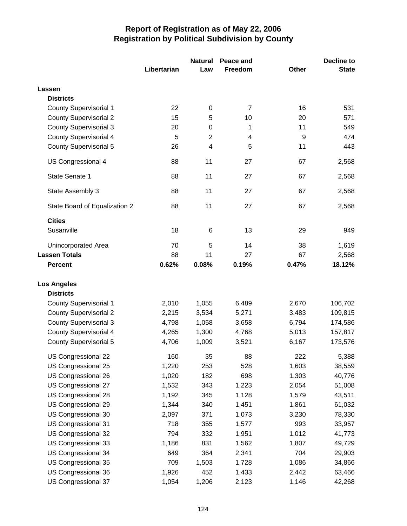|                               |             | <b>Natural</b>          | Peace and      |              | Decline to   |
|-------------------------------|-------------|-------------------------|----------------|--------------|--------------|
|                               | Libertarian | Law                     | Freedom        | <b>Other</b> | <b>State</b> |
| Lassen                        |             |                         |                |              |              |
| <b>Districts</b>              |             |                         |                |              |              |
| <b>County Supervisorial 1</b> | 22          | $\boldsymbol{0}$        | $\overline{7}$ | 16           | 531          |
| <b>County Supervisorial 2</b> | 15          | 5                       | 10             | 20           | 571          |
| <b>County Supervisorial 3</b> | 20          | 0                       | 1              | 11           | 549          |
| <b>County Supervisorial 4</b> | 5           | $\overline{2}$          | 4              | 9            | 474          |
| <b>County Supervisorial 5</b> | 26          | $\overline{\mathbf{4}}$ | 5              | 11           | 443          |
| US Congressional 4            | 88          | 11                      | 27             | 67           | 2,568        |
| State Senate 1                | 88          | 11                      | 27             | 67           | 2,568        |
| State Assembly 3              | 88          | 11                      | 27             | 67           | 2,568        |
| State Board of Equalization 2 | 88          | 11                      | 27             | 67           | 2,568        |
| <b>Cities</b>                 |             |                         |                |              |              |
| Susanville                    | 18          | 6                       | 13             | 29           | 949          |
| <b>Unincorporated Area</b>    | 70          | 5                       | 14             | 38           | 1,619        |
| <b>Lassen Totals</b>          | 88          | 11                      | 27             | 67           | 2,568        |
| <b>Percent</b>                | 0.62%       | 0.08%                   | 0.19%          | 0.47%        | 18.12%       |
| <b>Los Angeles</b>            |             |                         |                |              |              |
| <b>Districts</b>              |             |                         |                |              |              |
| County Supervisorial 1        | 2,010       | 1,055                   | 6,489          | 2,670        | 106,702      |
| <b>County Supervisorial 2</b> | 2,215       | 3,534                   | 5,271          | 3,483        | 109,815      |
| <b>County Supervisorial 3</b> | 4,798       | 1,058                   | 3,658          | 6,794        | 174,586      |
| <b>County Supervisorial 4</b> | 4,265       | 1,300                   | 4,768          | 5,013        | 157,817      |
| <b>County Supervisorial 5</b> | 4,706       | 1,009                   | 3,521          | 6,167        | 173,576      |
| US Congressional 22           | 160         | 35                      | 88             | 222          | 5,388        |
| US Congressional 25           | 1,220       | 253                     | 528            | 1,603        | 38,559       |
| US Congressional 26           | 1,020       | 182                     | 698            | 1,303        | 40,776       |
| US Congressional 27           | 1,532       | 343                     | 1,223          | 2,054        | 51,008       |
| US Congressional 28           | 1,192       | 345                     | 1,128          | 1,579        | 43,511       |
| US Congressional 29           | 1,344       | 340                     | 1,451          | 1,861        | 61,032       |
| US Congressional 30           | 2,097       | 371                     | 1,073          | 3,230        | 78,330       |
| US Congressional 31           | 718         | 355                     | 1,577          | 993          | 33,957       |
| US Congressional 32           | 794         | 332                     | 1,951          | 1,012        | 41,773       |
| US Congressional 33           | 1,186       | 831                     | 1,562          | 1,807        | 49,729       |
| US Congressional 34           | 649         | 364                     | 2,341          | 704          | 29,903       |
| US Congressional 35           | 709         | 1,503                   | 1,728          | 1,086        | 34,866       |
| US Congressional 36           | 1,926       | 452                     | 1,433          | 2,442        | 63,466       |
| US Congressional 37           | 1,054       | 1,206                   | 2,123          | 1,146        | 42,268       |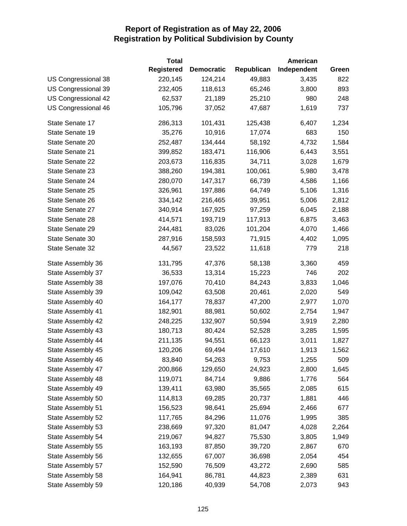|                     | <b>Total</b>      |                   |            | American    |       |
|---------------------|-------------------|-------------------|------------|-------------|-------|
|                     | <b>Registered</b> | <b>Democratic</b> | Republican | Independent | Green |
| US Congressional 38 | 220,145           | 124,214           | 49,883     | 3,435       | 822   |
| US Congressional 39 | 232,405           | 118,613           | 65,246     | 3,800       | 893   |
| US Congressional 42 | 62,537            | 21,189            | 25,210     | 980         | 248   |
| US Congressional 46 | 105,796           | 37,052            | 47,687     | 1,619       | 737   |
| State Senate 17     | 286,313           | 101,431           | 125,438    | 6,407       | 1,234 |
| State Senate 19     | 35,276            | 10,916            | 17,074     | 683         | 150   |
| State Senate 20     | 252,487           | 134,444           | 58,192     | 4,732       | 1,584 |
| State Senate 21     | 399,852           | 183,471           | 116,906    | 6,443       | 3,551 |
| State Senate 22     | 203,673           | 116,835           | 34,711     | 3,028       | 1,679 |
| State Senate 23     | 388,260           | 194,381           | 100,061    | 5,980       | 3,478 |
| State Senate 24     | 280,070           | 147,317           | 66,739     | 4,586       | 1,166 |
| State Senate 25     | 326,961           | 197,886           | 64,749     | 5,106       | 1,316 |
| State Senate 26     | 334,142           | 216,465           | 39,951     | 5,006       | 2,812 |
| State Senate 27     | 340,914           | 167,925           | 97,259     | 6,045       | 2,188 |
| State Senate 28     | 414,571           | 193,719           | 117,913    | 6,875       | 3,463 |
| State Senate 29     | 244,481           | 83,026            | 101,204    | 4,070       | 1,466 |
| State Senate 30     | 287,916           | 158,593           | 71,915     | 4,402       | 1,095 |
| State Senate 32     | 44,567            | 23,522            | 11,618     | 779         | 218   |
| State Assembly 36   | 131,795           | 47,376            | 58,138     | 3,360       | 459   |
| State Assembly 37   | 36,533            | 13,314            | 15,223     | 746         | 202   |
| State Assembly 38   | 197,076           | 70,410            | 84,243     | 3,833       | 1,046 |
| State Assembly 39   | 109,042           | 63,508            | 20,461     | 2,020       | 549   |
| State Assembly 40   | 164,177           | 78,837            | 47,200     | 2,977       | 1,070 |
| State Assembly 41   | 182,901           | 88,981            | 50,602     | 2,754       | 1,947 |
| State Assembly 42   | 248,225           | 132,907           | 50,594     | 3,919       | 2,280 |
| State Assembly 43   | 180,713           | 80,424            | 52,528     | 3,285       | 1,595 |
| State Assembly 44   | 211,135           | 94,551            | 66,123     | 3,011       | 1,827 |
| State Assembly 45   | 120,206           | 69,494            | 17,610     | 1,913       | 1,562 |
| State Assembly 46   | 83,840            | 54,263            | 9,753      | 1,255       | 509   |
| State Assembly 47   | 200,866           | 129,650           | 24,923     | 2,800       | 1,645 |
| State Assembly 48   | 119,071           | 84,714            | 9,886      | 1,776       | 564   |
| State Assembly 49   | 139,411           | 63,980            | 35,565     | 2,085       | 615   |
| State Assembly 50   | 114,813           | 69,285            | 20,737     | 1,881       | 446   |
| State Assembly 51   | 156,523           | 98,641            | 25,694     | 2,466       | 677   |
| State Assembly 52   | 117,765           | 84,296            | 11,076     | 1,995       | 385   |
| State Assembly 53   | 238,669           | 97,320            | 81,047     | 4,028       | 2,264 |
| State Assembly 54   | 219,067           | 94,827            | 75,530     | 3,805       | 1,949 |
| State Assembly 55   | 163,193           | 87,850            | 39,720     | 2,867       | 670   |
| State Assembly 56   | 132,655           | 67,007            | 36,698     | 2,054       | 454   |
| State Assembly 57   | 152,590           | 76,509            | 43,272     | 2,690       | 585   |
| State Assembly 58   | 164,941           | 86,781            | 44,823     | 2,389       | 631   |
| State Assembly 59   | 120,186           | 40,939            | 54,708     | 2,073       | 943   |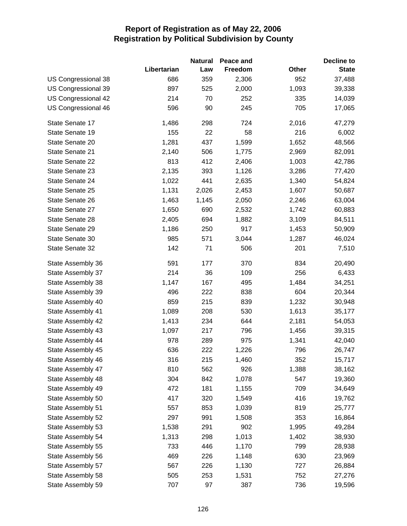|                     |             | <b>Natural</b> | Peace and |              | <b>Decline to</b> |
|---------------------|-------------|----------------|-----------|--------------|-------------------|
|                     | Libertarian | Law            | Freedom   | <b>Other</b> | <b>State</b>      |
| US Congressional 38 | 686         | 359            | 2,306     | 952          | 37,488            |
| US Congressional 39 | 897         | 525            | 2,000     | 1,093        | 39,338            |
| US Congressional 42 | 214         | 70             | 252       | 335          | 14,039            |
| US Congressional 46 | 596         | 90             | 245       | 705          | 17,065            |
| State Senate 17     | 1,486       | 298            | 724       | 2,016        | 47,279            |
| State Senate 19     | 155         | 22             | 58        | 216          | 6,002             |
| State Senate 20     | 1,281       | 437            | 1,599     | 1,652        | 48,566            |
| State Senate 21     | 2,140       | 506            | 1,775     | 2,969        | 82,091            |
| State Senate 22     | 813         | 412            | 2,406     | 1,003        | 42,786            |
| State Senate 23     | 2,135       | 393            | 1,126     | 3,286        | 77,420            |
| State Senate 24     | 1,022       | 441            | 2,635     | 1,340        | 54,824            |
| State Senate 25     | 1,131       | 2,026          | 2,453     | 1,607        | 50,687            |
| State Senate 26     | 1,463       | 1,145          | 2,050     | 2,246        | 63,004            |
| State Senate 27     | 1,650       | 690            | 2,532     | 1,742        | 60,883            |
| State Senate 28     | 2,405       | 694            | 1,882     | 3,109        | 84,511            |
| State Senate 29     | 1,186       | 250            | 917       | 1,453        | 50,909            |
| State Senate 30     | 985         | 571            | 3,044     | 1,287        | 46,024            |
| State Senate 32     | 142         | 71             | 506       | 201          | 7,510             |
| State Assembly 36   | 591         | 177            | 370       | 834          | 20,490            |
| State Assembly 37   | 214         | 36             | 109       | 256          | 6,433             |
| State Assembly 38   | 1,147       | 167            | 495       | 1,484        | 34,251            |
| State Assembly 39   | 496         | 222            | 838       | 604          | 20,344            |
| State Assembly 40   | 859         | 215            | 839       | 1,232        | 30,948            |
| State Assembly 41   | 1,089       | 208            | 530       | 1,613        | 35,177            |
| State Assembly 42   | 1,413       | 234            | 644       | 2,181        | 54,053            |
| State Assembly 43   | 1,097       | 217            | 796       | 1,456        | 39,315            |
| State Assembly 44   | 978         | 289            | 975       | 1,341        | 42,040            |
| State Assembly 45   | 636         | 222            | 1,226     | 796          | 26,747            |
| State Assembly 46   | 316         | 215            | 1,460     | 352          | 15,717            |
| State Assembly 47   | 810         | 562            | 926       | 1,388        | 38,162            |
| State Assembly 48   | 304         | 842            | 1,078     | 547          | 19,360            |
| State Assembly 49   | 472         | 181            | 1,155     | 709          | 34,649            |
| State Assembly 50   | 417         | 320            | 1,549     | 416          | 19,762            |
| State Assembly 51   | 557         | 853            | 1,039     | 819          | 25,777            |
| State Assembly 52   | 297         | 991            | 1,508     | 353          | 16,864            |
| State Assembly 53   | 1,538       | 291            | 902       | 1,995        | 49,284            |
| State Assembly 54   | 1,313       | 298            | 1,013     | 1,402        | 38,930            |
| State Assembly 55   | 733         | 446            | 1,170     | 799          | 28,938            |
| State Assembly 56   | 469         | 226            | 1,148     | 630          | 23,969            |
| State Assembly 57   | 567         | 226            | 1,130     | 727          | 26,884            |
| State Assembly 58   | 505         | 253            | 1,531     | 752          | 27,276            |
| State Assembly 59   | 707         | 97             | 387       | 736          | 19,596            |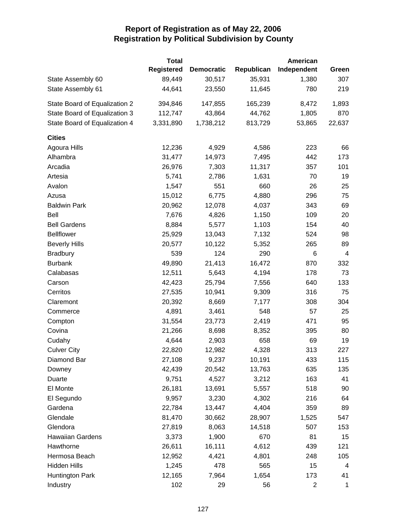|                               | <b>Total</b>      |                   |            | <b>American</b> |                |
|-------------------------------|-------------------|-------------------|------------|-----------------|----------------|
|                               | <b>Registered</b> | <b>Democratic</b> | Republican | Independent     | Green          |
| State Assembly 60             | 89,449            | 30,517            | 35,931     | 1,380           | 307            |
| State Assembly 61             | 44,641            | 23,550            | 11,645     | 780             | 219            |
| State Board of Equalization 2 | 394,846           | 147,855           | 165,239    | 8,472           | 1,893          |
| State Board of Equalization 3 | 112,747           | 43,864            | 44,762     | 1,805           | 870            |
| State Board of Equalization 4 | 3,331,890         | 1,738,212         | 813,729    | 53,865          | 22,637         |
| <b>Cities</b>                 |                   |                   |            |                 |                |
| Agoura Hills                  | 12,236            | 4,929             | 4,586      | 223             | 66             |
| Alhambra                      | 31,477            | 14,973            | 7,495      | 442             | 173            |
| Arcadia                       | 26,976            | 7,303             | 11,317     | 357             | 101            |
| Artesia                       | 5,741             | 2,786             | 1,631      | 70              | 19             |
| Avalon                        | 1,547             | 551               | 660        | 26              | 25             |
| Azusa                         | 15,012            | 6,775             | 4,880      | 296             | 75             |
| <b>Baldwin Park</b>           | 20,962            | 12,078            | 4,037      | 343             | 69             |
| Bell                          | 7,676             | 4,826             | 1,150      | 109             | 20             |
| <b>Bell Gardens</b>           | 8,884             | 5,577             | 1,103      | 154             | 40             |
| <b>Bellflower</b>             | 25,929            | 13,043            | 7,132      | 524             | 98             |
| <b>Beverly Hills</b>          | 20,577            | 10,122            | 5,352      | 265             | 89             |
| <b>Bradbury</b>               | 539               | 124               | 290        | 6               | $\overline{4}$ |
| <b>Burbank</b>                | 49,890            | 21,413            | 16,472     | 870             | 332            |
| Calabasas                     | 12,511            | 5,643             | 4,194      | 178             | 73             |
| Carson                        | 42,423            | 25,794            | 7,556      | 640             | 133            |
| Cerritos                      | 27,535            | 10,941            | 9,309      | 316             | 75             |
| Claremont                     | 20,392            | 8,669             | 7,177      | 308             | 304            |
| Commerce                      | 4,891             | 3,461             | 548        | 57              | 25             |
| Compton                       | 31,554            | 23,773            | 2,419      | 471             | 95             |
| Covina                        | 21,266            | 8,698             | 8,352      | 395             | 80             |
| Cudahy                        | 4,644             | 2,903             | 658        | 69              | 19             |
| <b>Culver City</b>            | 22,820            | 12,982            | 4,328      | 313             | 227            |
| Diamond Bar                   | 27,108            | 9,237             | 10,191     | 433             | 115            |
| Downey                        | 42,439            | 20,542            | 13,763     | 635             | 135            |
| Duarte                        | 9,751             | 4,527             | 3,212      | 163             | 41             |
| El Monte                      | 26,181            | 13,691            | 5,557      | 518             | 90             |
| El Segundo                    | 9,957             | 3,230             | 4,302      | 216             | 64             |
| Gardena                       | 22,784            | 13,447            | 4,404      | 359             | 89             |
| Glendale                      | 81,470            | 30,662            | 28,907     | 1,525           | 547            |
| Glendora                      | 27,819            | 8,063             | 14,518     | 507             | 153            |
| <b>Hawaiian Gardens</b>       | 3,373             | 1,900             | 670        | 81              | 15             |
| Hawthorne                     | 26,611            | 16,111            | 4,612      | 439             | 121            |
| Hermosa Beach                 | 12,952            | 4,421             | 4,801      | 248             | 105            |
| <b>Hidden Hills</b>           | 1,245             | 478               | 565        | 15              | $\overline{4}$ |
| Huntington Park               | 12,165            | 7,964             | 1,654      | 173             | 41             |
| Industry                      | 102               | 29                | 56         | 2               | 1              |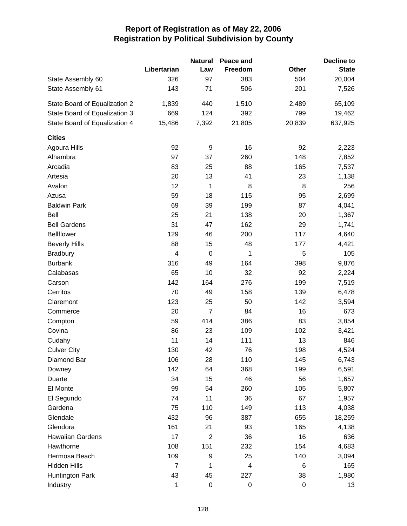|                               |                | <b>Natural</b>   | Peace and |        | <b>Decline to</b> |
|-------------------------------|----------------|------------------|-----------|--------|-------------------|
|                               | Libertarian    | Law              | Freedom   | Other  | <b>State</b>      |
| State Assembly 60             | 326            | 97               | 383       | 504    | 20,004            |
| State Assembly 61             | 143            | 71               | 506       | 201    | 7,526             |
| State Board of Equalization 2 | 1,839          | 440              | 1,510     | 2,489  | 65,109            |
| State Board of Equalization 3 | 669            | 124              | 392       | 799    | 19,462            |
| State Board of Equalization 4 | 15,486         | 7,392            | 21,805    | 20,839 | 637,925           |
| <b>Cities</b>                 |                |                  |           |        |                   |
| Agoura Hills                  | 92             | 9                | 16        | 92     | 2,223             |
| Alhambra                      | 97             | 37               | 260       | 148    | 7,852             |
| Arcadia                       | 83             | 25               | 88        | 165    | 7,537             |
| Artesia                       | 20             | 13               | 41        | 23     | 1,138             |
| Avalon                        | 12             | 1                | 8         | 8      | 256               |
| Azusa                         | 59             | 18               | 115       | 95     | 2,699             |
| <b>Baldwin Park</b>           | 69             | 39               | 199       | 87     | 4,041             |
| Bell                          | 25             | 21               | 138       | 20     | 1,367             |
| <b>Bell Gardens</b>           | 31             | 47               | 162       | 29     | 1,741             |
| <b>Bellflower</b>             | 129            | 46               | 200       | 117    | 4,640             |
| <b>Beverly Hills</b>          | 88             | 15               | 48        | 177    | 4,421             |
| <b>Bradbury</b>               | $\overline{4}$ | $\mathbf 0$      | 1         | 5      | 105               |
| <b>Burbank</b>                | 316            | 49               | 164       | 398    | 9,876             |
| Calabasas                     | 65             | 10               | 32        | 92     | 2,224             |
| Carson                        | 142            | 164              | 276       | 199    | 7,519             |
| Cerritos                      | 70             | 49               | 158       | 139    | 6,478             |
| Claremont                     | 123            | 25               | 50        | 142    | 3,594             |
| Commerce                      | 20             | $\overline{7}$   | 84        | 16     | 673               |
| Compton                       | 59             | 414              | 386       | 83     | 3,854             |
| Covina                        | 86             | 23               | 109       | 102    | 3,421             |
| Cudahy                        | 11             | 14               | 111       | 13     | 846               |
| <b>Culver City</b>            | 130            | 42               | 76        | 198    | 4,524             |
| Diamond Bar                   | 106            | 28               | 110       | 145    | 6,743             |
| Downey                        | 142            | 64               | 368       | 199    | 6,591             |
| Duarte                        | 34             | 15               | 46        | 56     | 1,657             |
| El Monte                      | 99             | 54               | 260       | 105    | 5,807             |
| El Segundo                    | 74             | 11               | 36        | 67     | 1,957             |
| Gardena                       | 75             | 110              | 149       | 113    | 4,038             |
| Glendale                      | 432            | 96               | 387       | 655    | 18,259            |
| Glendora                      | 161            | 21               | 93        | 165    | 4,138             |
| <b>Hawaiian Gardens</b>       | 17             | $\mathbf{2}$     | 36        | 16     | 636               |
| Hawthorne                     | 108            | 151              | 232       | 154    | 4,683             |
| Hermosa Beach                 | 109            | 9                | 25        | 140    | 3,094             |
| <b>Hidden Hills</b>           | $\overline{7}$ | 1                | 4         | 6      | 165               |
| Huntington Park               | 43             | 45               | 227       | 38     | 1,980             |
| Industry                      | 1              | $\boldsymbol{0}$ | 0         | 0      | 13                |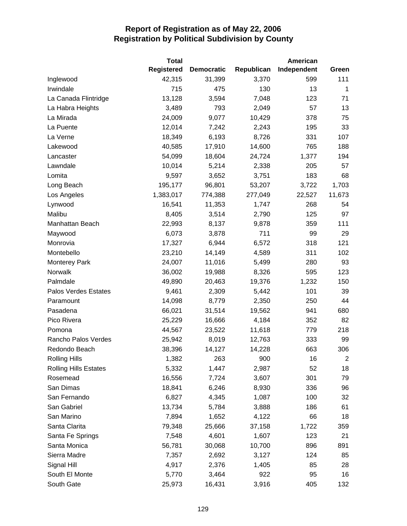|                              | <b>Total</b>      |                   |            | <b>American</b> |                |
|------------------------------|-------------------|-------------------|------------|-----------------|----------------|
|                              | <b>Registered</b> | <b>Democratic</b> | Republican | Independent     | Green          |
| Inglewood                    | 42,315            | 31,399            | 3,370      | 599             | 111            |
| Irwindale                    | 715               | 475               | 130        | 13              | $\mathbf{1}$   |
| La Canada Flintridge         | 13,128            | 3,594             | 7,048      | 123             | 71             |
| La Habra Heights             | 3,489             | 793               | 2,049      | 57              | 13             |
| La Mirada                    | 24,009            | 9,077             | 10,429     | 378             | 75             |
| La Puente                    | 12,014            | 7,242             | 2,243      | 195             | 33             |
| La Verne                     | 18,349            | 6,193             | 8,726      | 331             | 107            |
| Lakewood                     | 40,585            | 17,910            | 14,600     | 765             | 188            |
| Lancaster                    | 54,099            | 18,604            | 24,724     | 1,377           | 194            |
| Lawndale                     | 10,014            | 5,214             | 2,338      | 205             | 57             |
| Lomita                       | 9,597             | 3,652             | 3,751      | 183             | 68             |
| Long Beach                   | 195,177           | 96,801            | 53,207     | 3,722           | 1,703          |
| Los Angeles                  | 1,383,017         | 774,388           | 277,049    | 22,527          | 11,673         |
| Lynwood                      | 16,541            | 11,353            | 1,747      | 268             | 54             |
| Malibu                       | 8,405             | 3,514             | 2,790      | 125             | 97             |
| Manhattan Beach              | 22,993            | 8,137             | 9,878      | 359             | 111            |
| Maywood                      | 6,073             | 3,878             | 711        | 99              | 29             |
| Monrovia                     | 17,327            | 6,944             | 6,572      | 318             | 121            |
| Montebello                   | 23,210            | 14,149            | 4,589      | 311             | 102            |
| <b>Monterey Park</b>         | 24,007            | 11,016            | 5,499      | 280             | 93             |
| Norwalk                      | 36,002            | 19,988            | 8,326      | 595             | 123            |
| Palmdale                     | 49,890            | 20,463            | 19,376     | 1,232           | 150            |
| Palos Verdes Estates         | 9,461             | 2,309             | 5,442      | 101             | 39             |
| Paramount                    | 14,098            | 8,779             | 2,350      | 250             | 44             |
| Pasadena                     | 66,021            | 31,514            | 19,562     | 941             | 680            |
| Pico Rivera                  | 25,229            | 16,666            | 4,184      | 352             | 82             |
| Pomona                       | 44,567            | 23,522            | 11,618     | 779             | 218            |
| Rancho Palos Verdes          | 25,942            | 8,019             | 12,763     | 333             | 99             |
| Redondo Beach                | 38,396            | 14,127            | 14,228     | 663             | 306            |
| <b>Rolling Hills</b>         | 1,382             | 263               | 900        | 16              | $\overline{2}$ |
| <b>Rolling Hills Estates</b> | 5,332             | 1,447             | 2,987      | 52              | 18             |
| Rosemead                     | 16,556            | 7,724             | 3,607      | 301             | 79             |
| San Dimas                    | 18,841            | 6,246             | 8,930      | 336             | 96             |
| San Fernando                 | 6,827             | 4,345             | 1,087      | 100             | 32             |
| San Gabriel                  | 13,734            | 5,784             | 3,888      | 186             | 61             |
| San Marino                   | 7,894             | 1,652             | 4,122      | 66              | 18             |
| Santa Clarita                | 79,348            | 25,666            | 37,158     | 1,722           | 359            |
| Santa Fe Springs             | 7,548             | 4,601             | 1,607      | 123             | 21             |
| Santa Monica                 | 56,781            | 30,068            | 10,700     | 896             | 891            |
| Sierra Madre                 | 7,357             | 2,692             | 3,127      | 124             | 85             |
| Signal Hill                  | 4,917             | 2,376             | 1,405      | 85              | 28             |
| South El Monte               | 5,770             | 3,464             | 922        | 95              | 16             |
| South Gate                   | 25,973            | 16,431            | 3,916      | 405             | 132            |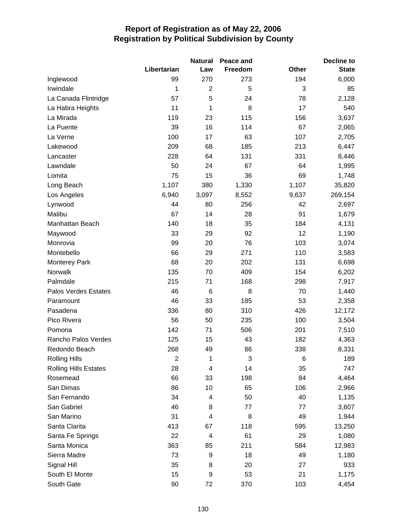|                              |                | <b>Natural</b>          | Peace and |              | <b>Decline to</b> |
|------------------------------|----------------|-------------------------|-----------|--------------|-------------------|
|                              | Libertarian    | Law                     | Freedom   | <b>Other</b> | <b>State</b>      |
| Inglewood                    | 99             | 270                     | 273       | 194          | 6,000             |
| Irwindale                    | 1              | $\overline{2}$          | 5         | 3            | 85                |
| La Canada Flintridge         | 57             | 5                       | 24        | 78           | 2,128             |
| La Habra Heights             | 11             | 1                       | 8         | 17           | 540               |
| La Mirada                    | 119            | 23                      | 115       | 156          | 3,637             |
| La Puente                    | 39             | 16                      | 114       | 67           | 2,065             |
| La Verne                     | 100            | 17                      | 63        | 107          | 2,705             |
| Lakewood                     | 209            | 68                      | 185       | 213          | 6,447             |
| Lancaster                    | 228            | 64                      | 131       | 331          | 8,446             |
| Lawndale                     | 50             | 24                      | 67        | 64           | 1,995             |
| Lomita                       | 75             | 15                      | 36        | 69           | 1,748             |
| Long Beach                   | 1,107          | 380                     | 1,330     | 1,107        | 35,820            |
| Los Angeles                  | 6,940          | 3,097                   | 8,552     | 9,637        | 269,154           |
| Lynwood                      | 44             | 80                      | 256       | 42           | 2,697             |
| Malibu                       | 67             | 14                      | 28        | 91           | 1,679             |
| Manhattan Beach              | 140            | 18                      | 35        | 184          | 4,131             |
| Maywood                      | 33             | 29                      | 92        | 12           | 1,190             |
| Monrovia                     | 99             | 20                      | 76        | 103          | 3,074             |
| Montebello                   | 66             | 29                      | 271       | 110          | 3,583             |
| <b>Monterey Park</b>         | 68             | 20                      | 202       | 131          | 6,698             |
| Norwalk                      | 135            | 70                      | 409       | 154          | 6,202             |
| Palmdale                     | 215            | 71                      | 168       | 298          | 7,917             |
| Palos Verdes Estates         | 46             | 6                       | 8         | 70           | 1,440             |
| Paramount                    | 46             | 33                      | 185       | 53           | 2,358             |
| Pasadena                     | 336            | 80                      | 310       | 426          | 12,172            |
| Pico Rivera                  | 56             | 50                      | 235       | 100          | 3,504             |
| Pomona                       | 142            | 71                      | 506       | 201          | 7,510             |
| Rancho Palos Verdes          | 125            | 15                      | 43        | 182          | 4,363             |
| Redondo Beach                | 268            | 49                      | 86        | 338          | 8,331             |
| <b>Rolling Hills</b>         | $\overline{c}$ | 1                       | 3         | 6            | 189               |
| <b>Rolling Hills Estates</b> | 28             | 4                       | 14        | 35           | 747               |
| Rosemead                     | 66             | 33                      | 198       | 84           | 4,464             |
| San Dimas                    | 86             | 10                      | 65        | 106          | 2,966             |
| San Fernando                 | 34             | 4                       | 50        | 40           | 1,135             |
| San Gabriel                  | 46             | 8                       | 77        | 77           | 3,607             |
| San Marino                   | 31             | $\overline{\mathbf{4}}$ | 8         | 49           | 1,944             |
| Santa Clarita                | 413            | 67                      | 118       | 595          | 13,250            |
| Santa Fe Springs             | 22             | 4                       | 61        | 29           | 1,080             |
| Santa Monica                 | 363            | 85                      | 211       | 584          | 12,983            |
| Sierra Madre                 | 73             | 9                       | 18        | 49           | 1,180             |
| Signal Hill                  | 35             | 8                       | 20        | 27           | 933               |
| South El Monte               | 15             | 9                       | 53        | 21           | 1,175             |
| South Gate                   | 90             | 72                      | 370       | 103          | 4,454             |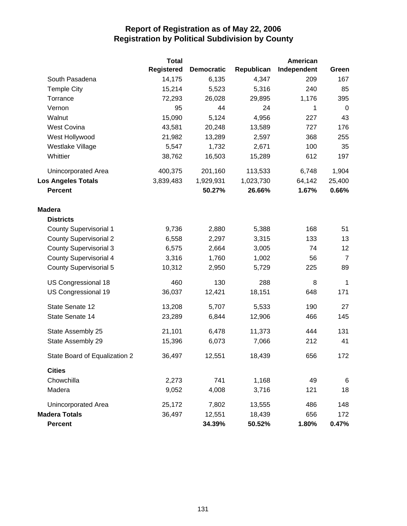|                               | <b>Total</b>      |                   |            | <b>American</b> |                |
|-------------------------------|-------------------|-------------------|------------|-----------------|----------------|
|                               | <b>Registered</b> | <b>Democratic</b> | Republican | Independent     | Green          |
| South Pasadena                | 14,175            | 6,135             | 4,347      | 209             | 167            |
| <b>Temple City</b>            | 15,214            | 5,523             | 5,316      | 240             | 85             |
| Torrance                      | 72,293            | 26,028            | 29,895     | 1,176           | 395            |
| Vernon                        | 95                | 44                | 24         | 1               | $\mathbf 0$    |
| Walnut                        | 15,090            | 5,124             | 4,956      | 227             | 43             |
| <b>West Covina</b>            | 43,581            | 20,248            | 13,589     | 727             | 176            |
| West Hollywood                | 21,982            | 13,289            | 2,597      | 368             | 255            |
| Westlake Village              | 5,547             | 1,732             | 2,671      | 100             | 35             |
| Whittier                      | 38,762            | 16,503            | 15,289     | 612             | 197            |
| Unincorporated Area           | 400,375           | 201,160           | 113,533    | 6,748           | 1,904          |
| <b>Los Angeles Totals</b>     | 3,839,483         | 1,929,931         | 1,023,730  | 64,142          | 25,400         |
| <b>Percent</b>                |                   | 50.27%            | 26.66%     | 1.67%           | 0.66%          |
| <b>Madera</b>                 |                   |                   |            |                 |                |
| <b>Districts</b>              |                   |                   |            |                 |                |
| <b>County Supervisorial 1</b> | 9,736             | 2,880             | 5,388      | 168             | 51             |
| <b>County Supervisorial 2</b> | 6,558             | 2,297             | 3,315      | 133             | 13             |
| <b>County Supervisorial 3</b> | 6,575             | 2,664             | 3,005      | 74              | 12             |
| <b>County Supervisorial 4</b> | 3,316             | 1,760             | 1,002      | 56              | $\overline{7}$ |
| <b>County Supervisorial 5</b> | 10,312            | 2,950             | 5,729      | 225             | 89             |
| US Congressional 18           | 460               | 130               | 288        | 8               | 1              |
| US Congressional 19           | 36,037            | 12,421            | 18,151     | 648             | 171            |
| State Senate 12               | 13,208            | 5,707             | 5,533      | 190             | 27             |
| State Senate 14               | 23,289            | 6,844             | 12,906     | 466             | 145            |
| State Assembly 25             | 21,101            | 6,478             | 11,373     | 444             | 131            |
| State Assembly 29             | 15,396            | 6,073             | 7,066      | 212             | 41             |
| State Board of Equalization 2 | 36,497            | 12,551            | 18,439     | 656             | 172            |
| <b>Cities</b>                 |                   |                   |            |                 |                |
| Chowchilla                    | 2,273             | 741               | 1,168      | 49              | $\,6$          |
| Madera                        | 9,052             | 4,008             | 3,716      | 121             | 18             |
| Unincorporated Area           | 25,172            | 7,802             | 13,555     | 486             | 148            |
| <b>Madera Totals</b>          | 36,497            | 12,551            | 18,439     | 656             | 172            |
| <b>Percent</b>                |                   | 34.39%            | 50.52%     | 1.80%           | 0.47%          |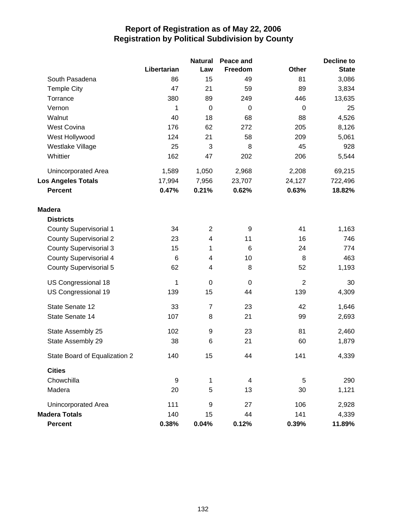|                               |                  | <b>Natural</b> | Peace and                |                | <b>Decline to</b> |
|-------------------------------|------------------|----------------|--------------------------|----------------|-------------------|
|                               | Libertarian      | Law            | Freedom                  | <b>Other</b>   | <b>State</b>      |
| South Pasadena                | 86               | 15             | 49                       | 81             | 3,086             |
| <b>Temple City</b>            | 47               | 21             | 59                       | 89             | 3,834             |
| Torrance                      | 380              | 89             | 249                      | 446            | 13,635            |
| Vernon                        | 1                | $\mathbf 0$    | 0                        | $\mathbf 0$    | 25                |
| Walnut                        | 40               | 18             | 68                       | 88             | 4,526             |
| <b>West Covina</b>            | 176              | 62             | 272                      | 205            | 8,126             |
| West Hollywood                | 124              | 21             | 58                       | 209            | 5,061             |
| Westlake Village              | 25               | 3              | 8                        | 45             | 928               |
| Whittier                      | 162              | 47             | 202                      | 206            | 5,544             |
| <b>Unincorporated Area</b>    | 1,589            | 1,050          | 2,968                    | 2,208          | 69,215            |
| <b>Los Angeles Totals</b>     | 17,994           | 7,956          | 23,707                   | 24,127         | 722,496           |
| <b>Percent</b>                | 0.47%            | 0.21%          | 0.62%                    | 0.63%          | 18.82%            |
| <b>Madera</b>                 |                  |                |                          |                |                   |
| <b>Districts</b>              |                  |                |                          |                |                   |
| <b>County Supervisorial 1</b> | 34               | $\overline{2}$ | 9                        | 41             | 1,163             |
| <b>County Supervisorial 2</b> | 23               | 4              | 11                       | 16             | 746               |
| <b>County Supervisorial 3</b> | 15               | 1              | $6\phantom{1}6$          | 24             | 774               |
| <b>County Supervisorial 4</b> | $\,6$            | 4              | 10                       | 8              | 463               |
| <b>County Supervisorial 5</b> | 62               | 4              | 8                        | 52             | 1,193             |
| US Congressional 18           | 1                | $\mathbf 0$    | 0                        | $\overline{2}$ | 30                |
| US Congressional 19           | 139              | 15             | 44                       | 139            | 4,309             |
| State Senate 12               | 33               | $\overline{7}$ | 23                       | 42             | 1,646             |
| State Senate 14               | 107              | 8              | 21                       | 99             | 2,693             |
| State Assembly 25             | 102              | 9              | 23                       | 81             | 2,460             |
| State Assembly 29             | 38               | 6              | 21                       | 60             | 1,879             |
| State Board of Equalization 2 | 140              | 15             | 44                       | 141            | 4,339             |
| <b>Cities</b>                 |                  |                |                          |                |                   |
| Chowchilla                    | $\boldsymbol{9}$ | 1              | $\overline{\mathcal{A}}$ | 5              | 290               |
| Madera                        | 20               | 5              | 13                       | 30             | 1,121             |
| Unincorporated Area           | 111              | 9              | 27                       | 106            | 2,928             |
| <b>Madera Totals</b>          | 140              | 15             | 44                       | 141            | 4,339             |
| Percent                       | 0.38%            | 0.04%          | 0.12%                    | 0.39%          | 11.89%            |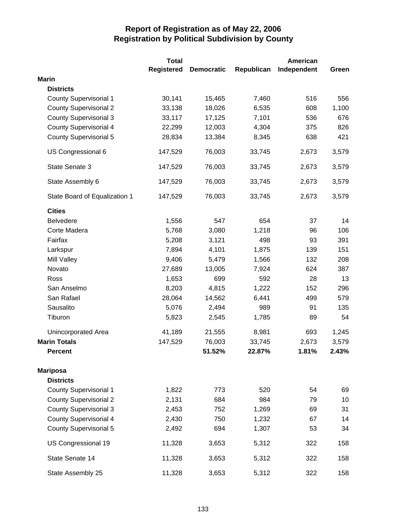|                               | <b>Total</b>      |                   |            | <b>American</b> |       |
|-------------------------------|-------------------|-------------------|------------|-----------------|-------|
|                               | <b>Registered</b> | <b>Democratic</b> | Republican | Independent     | Green |
| <b>Marin</b>                  |                   |                   |            |                 |       |
| <b>Districts</b>              |                   |                   |            |                 |       |
| <b>County Supervisorial 1</b> | 30,141            | 15,465            | 7,460      | 516             | 556   |
| <b>County Supervisorial 2</b> | 33,138            | 18,026            | 6,535      | 608             | 1,100 |
| <b>County Supervisorial 3</b> | 33,117            | 17,125            | 7,101      | 536             | 676   |
| <b>County Supervisorial 4</b> | 22,299            | 12,003            | 4,304      | 375             | 826   |
| <b>County Supervisorial 5</b> | 28,834            | 13,384            | 8,345      | 638             | 421   |
| US Congressional 6            | 147,529           | 76,003            | 33,745     | 2,673           | 3,579 |
| State Senate 3                | 147,529           | 76,003            | 33,745     | 2,673           | 3,579 |
| State Assembly 6              | 147,529           | 76,003            | 33,745     | 2,673           | 3,579 |
| State Board of Equalization 1 | 147,529           | 76,003            | 33,745     | 2,673           | 3,579 |
| <b>Cities</b>                 |                   |                   |            |                 |       |
| <b>Belvedere</b>              | 1,556             | 547               | 654        | 37              | 14    |
| Corte Madera                  | 5,768             | 3,080             | 1,218      | 96              | 106   |
| Fairfax                       | 5,208             | 3,121             | 498        | 93              | 391   |
| Larkspur                      | 7,894             | 4,101             | 1,875      | 139             | 151   |
| <b>Mill Valley</b>            | 9,406             | 5,479             | 1,566      | 132             | 208   |
| Novato                        | 27,689            | 13,005            | 7,924      | 624             | 387   |
| Ross                          | 1,653             | 699               | 592        | 28              | 13    |
| San Anselmo                   | 8,203             | 4,815             | 1,222      | 152             | 296   |
| San Rafael                    | 28,064            | 14,562            | 6,441      | 499             | 579   |
| Sausalito                     | 5,076             | 2,494             | 989        | 91              | 135   |
| Tiburon                       | 5,823             | 2,545             | 1,785      | 89              | 54    |
| Unincorporated Area           | 41,189            | 21,555            | 8,981      | 693             | 1,245 |
| <b>Marin Totals</b>           | 147,529           | 76,003            | 33,745     | 2,673           | 3,579 |
| <b>Percent</b>                |                   | 51.52%            | 22.87%     | 1.81%           | 2.43% |
| <b>Mariposa</b>               |                   |                   |            |                 |       |
| <b>Districts</b>              |                   |                   |            |                 |       |
| <b>County Supervisorial 1</b> | 1,822             | 773               | 520        | 54              | 69    |
| <b>County Supervisorial 2</b> | 2,131             | 684               | 984        | 79              | 10    |
| <b>County Supervisorial 3</b> | 2,453             | 752               | 1,269      | 69              | 31    |
| <b>County Supervisorial 4</b> | 2,430             | 750               | 1,232      | 67              | 14    |
| <b>County Supervisorial 5</b> | 2,492             | 694               | 1,307      | 53              | 34    |
| US Congressional 19           | 11,328            | 3,653             | 5,312      | 322             | 158   |
| State Senate 14               | 11,328            | 3,653             | 5,312      | 322             | 158   |
| State Assembly 25             | 11,328            | 3,653             | 5,312      | 322             | 158   |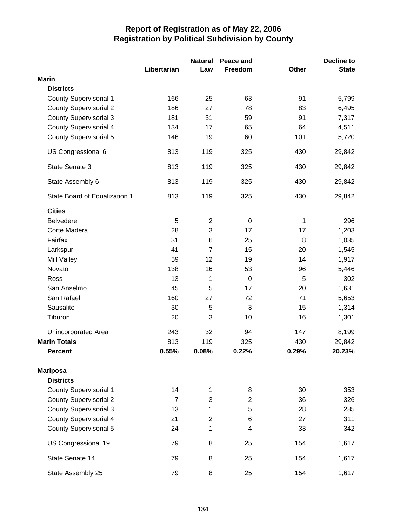|                               |                | <b>Natural</b> | Peace and      |              | Decline to   |
|-------------------------------|----------------|----------------|----------------|--------------|--------------|
|                               | Libertarian    | Law            | Freedom        | <b>Other</b> | <b>State</b> |
| <b>Marin</b>                  |                |                |                |              |              |
| <b>Districts</b>              |                |                |                |              |              |
| <b>County Supervisorial 1</b> | 166            | 25             | 63             | 91           | 5,799        |
| <b>County Supervisorial 2</b> | 186            | 27             | 78             | 83           | 6,495        |
| <b>County Supervisorial 3</b> | 181            | 31             | 59             | 91           | 7,317        |
| <b>County Supervisorial 4</b> | 134            | 17             | 65             | 64           | 4,511        |
| <b>County Supervisorial 5</b> | 146            | 19             | 60             | 101          | 5,720        |
| US Congressional 6            | 813            | 119            | 325            | 430          | 29,842       |
| State Senate 3                | 813            | 119            | 325            | 430          | 29,842       |
| State Assembly 6              | 813            | 119            | 325            | 430          | 29,842       |
| State Board of Equalization 1 | 813            | 119            | 325            | 430          | 29,842       |
| <b>Cities</b>                 |                |                |                |              |              |
| <b>Belvedere</b>              | 5              | $\overline{2}$ | $\mathbf 0$    | 1            | 296          |
| Corte Madera                  | 28             | 3              | 17             | 17           | 1,203        |
| Fairfax                       | 31             | 6              | 25             | 8            | 1,035        |
| Larkspur                      | 41             | $\overline{7}$ | 15             | 20           | 1,545        |
| <b>Mill Valley</b>            | 59             | 12             | 19             | 14           | 1,917        |
| Novato                        | 138            | 16             | 53             | 96           | 5,446        |
| Ross                          | 13             | 1              | 0              | 5            | 302          |
| San Anselmo                   | 45             | 5              | 17             | 20           | 1,631        |
| San Rafael                    | 160            | 27             | 72             | 71           | 5,653        |
| Sausalito                     | 30             | 5              | 3              | 15           | 1,314        |
| Tiburon                       | 20             | 3              | 10             | 16           | 1,301        |
| Unincorporated Area           | 243            | 32             | 94             | 147          | 8,199        |
| <b>Marin Totals</b>           | 813            | 119            | 325            | 430          | 29,842       |
| <b>Percent</b>                | 0.55%          | 0.08%          | 0.22%          | 0.29%        | 20.23%       |
| <b>Mariposa</b>               |                |                |                |              |              |
| <b>Districts</b>              |                |                |                |              |              |
| <b>County Supervisorial 1</b> | 14             | 1              | 8              | 30           | 353          |
| <b>County Supervisorial 2</b> | $\overline{7}$ | 3              | $\overline{2}$ | 36           | 326          |
| <b>County Supervisorial 3</b> | 13             | 1              | 5              | 28           | 285          |
| <b>County Supervisorial 4</b> | 21             | $\overline{2}$ | 6              | 27           | 311          |
| <b>County Supervisorial 5</b> | 24             | 1              | 4              | 33           | 342          |
| US Congressional 19           | 79             | 8              | 25             | 154          | 1,617        |
| State Senate 14               | 79             | 8              | 25             | 154          | 1,617        |
| State Assembly 25             | 79             | 8              | 25             | 154          | 1,617        |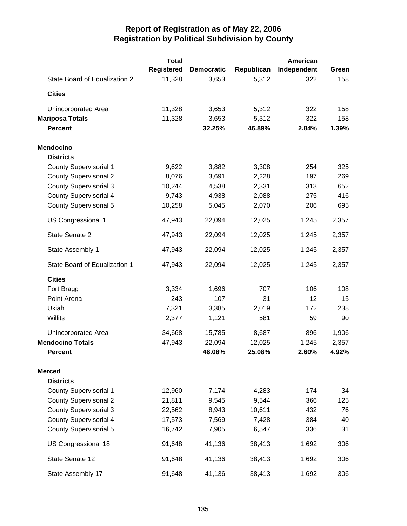|                               | <b>Total</b>      |                   |            | <b>American</b> |       |
|-------------------------------|-------------------|-------------------|------------|-----------------|-------|
|                               | <b>Registered</b> | <b>Democratic</b> | Republican | Independent     | Green |
| State Board of Equalization 2 | 11,328            | 3,653             | 5,312      | 322             | 158   |
| <b>Cities</b>                 |                   |                   |            |                 |       |
| Unincorporated Area           | 11,328            | 3,653             | 5,312      | 322             | 158   |
| <b>Mariposa Totals</b>        | 11,328            | 3,653             | 5,312      | 322             | 158   |
| <b>Percent</b>                |                   | 32.25%            | 46.89%     | 2.84%           | 1.39% |
| <b>Mendocino</b>              |                   |                   |            |                 |       |
| <b>Districts</b>              |                   |                   |            |                 |       |
| <b>County Supervisorial 1</b> | 9,622             | 3,882             | 3,308      | 254             | 325   |
| <b>County Supervisorial 2</b> | 8,076             | 3,691             | 2,228      | 197             | 269   |
| <b>County Supervisorial 3</b> | 10,244            | 4,538             | 2,331      | 313             | 652   |
| <b>County Supervisorial 4</b> | 9,743             | 4,938             | 2,088      | 275             | 416   |
| <b>County Supervisorial 5</b> | 10,258            | 5,045             | 2,070      | 206             | 695   |
| <b>US Congressional 1</b>     | 47,943            | 22,094            | 12,025     | 1,245           | 2,357 |
| State Senate 2                | 47,943            | 22,094            | 12,025     | 1,245           | 2,357 |
| State Assembly 1              | 47,943            | 22,094            | 12,025     | 1,245           | 2,357 |
| State Board of Equalization 1 | 47,943            | 22,094            | 12,025     | 1,245           | 2,357 |
| <b>Cities</b>                 |                   |                   |            |                 |       |
| Fort Bragg                    | 3,334             | 1,696             | 707        | 106             | 108   |
| Point Arena                   | 243               | 107               | 31         | 12              | 15    |
| Ukiah                         | 7,321             | 3,385             | 2,019      | 172             | 238   |
| Willits                       | 2,377             | 1,121             | 581        | 59              | 90    |
| Unincorporated Area           | 34,668            | 15,785            | 8,687      | 896             | 1,906 |
| <b>Mendocino Totals</b>       | 47,943            | 22,094            | 12,025     | 1,245           | 2,357 |
| <b>Percent</b>                |                   | 46.08%            | 25.08%     | 2.60%           | 4.92% |
| <b>Merced</b>                 |                   |                   |            |                 |       |
| <b>Districts</b>              |                   |                   |            |                 |       |
| <b>County Supervisorial 1</b> | 12,960            | 7,174             | 4,283      | 174             | 34    |
| <b>County Supervisorial 2</b> | 21,811            | 9,545             | 9,544      | 366             | 125   |
| <b>County Supervisorial 3</b> | 22,562            | 8,943             | 10,611     | 432             | 76    |
| <b>County Supervisorial 4</b> | 17,573            | 7,569             | 7,428      | 384             | 40    |
| <b>County Supervisorial 5</b> | 16,742            | 7,905             | 6,547      | 336             | 31    |
| US Congressional 18           | 91,648            | 41,136            | 38,413     | 1,692           | 306   |
| State Senate 12               | 91,648            | 41,136            | 38,413     | 1,692           | 306   |
| State Assembly 17             | 91,648            | 41,136            | 38,413     | 1,692           | 306   |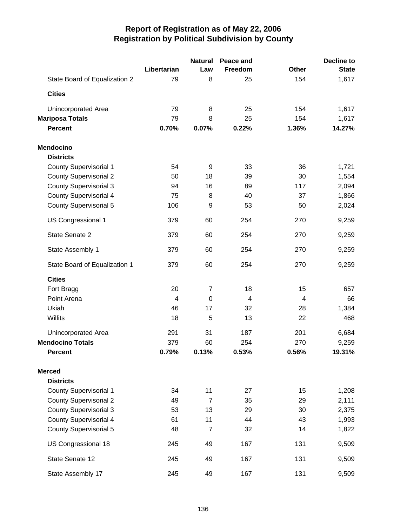|                               |             | <b>Natural</b> | Peace and      |              | <b>Decline to</b> |
|-------------------------------|-------------|----------------|----------------|--------------|-------------------|
|                               | Libertarian | Law            | Freedom        | <b>Other</b> | <b>State</b>      |
| State Board of Equalization 2 | 79          | 8              | 25             | 154          | 1,617             |
| <b>Cities</b>                 |             |                |                |              |                   |
| Unincorporated Area           | 79          | 8              | 25             | 154          | 1,617             |
| <b>Mariposa Totals</b>        | 79          | 8              | 25             | 154          | 1,617             |
| <b>Percent</b>                | 0.70%       | 0.07%          | 0.22%          | 1.36%        | 14.27%            |
| <b>Mendocino</b>              |             |                |                |              |                   |
| <b>Districts</b>              |             |                |                |              |                   |
| <b>County Supervisorial 1</b> | 54          | 9              | 33             | 36           | 1,721             |
| <b>County Supervisorial 2</b> | 50          | 18             | 39             | 30           | 1,554             |
| <b>County Supervisorial 3</b> | 94          | 16             | 89             | 117          | 2,094             |
| <b>County Supervisorial 4</b> | 75          | 8              | 40             | 37           | 1,866             |
| <b>County Supervisorial 5</b> | 106         | 9              | 53             | 50           | 2,024             |
| US Congressional 1            | 379         | 60             | 254            | 270          | 9,259             |
| State Senate 2                | 379         | 60             | 254            | 270          | 9,259             |
| State Assembly 1              | 379         | 60             | 254            | 270          | 9,259             |
| State Board of Equalization 1 | 379         | 60             | 254            | 270          | 9,259             |
| <b>Cities</b>                 |             |                |                |              |                   |
| Fort Bragg                    | 20          | $\overline{7}$ | 18             | 15           | 657               |
| Point Arena                   | 4           | $\mathbf 0$    | $\overline{4}$ | 4            | 66                |
| Ukiah                         | 46          | 17             | 32             | 28           | 1,384             |
| Willits                       | 18          | 5              | 13             | 22           | 468               |
| Unincorporated Area           | 291         | 31             | 187            | 201          | 6,684             |
| <b>Mendocino Totals</b>       | 379         | 60             | 254            | 270          | 9,259             |
| <b>Percent</b>                | 0.79%       | 0.13%          | 0.53%          | 0.56%        | 19.31%            |
| <b>Merced</b>                 |             |                |                |              |                   |
| <b>Districts</b>              |             |                |                |              |                   |
| <b>County Supervisorial 1</b> | 34          | 11             | 27             | 15           | 1,208             |
| <b>County Supervisorial 2</b> | 49          | 7              | 35             | 29           | 2,111             |
| <b>County Supervisorial 3</b> | 53          | 13             | 29             | 30           | 2,375             |
| <b>County Supervisorial 4</b> | 61          | 11             | 44             | 43           | 1,993             |
| <b>County Supervisorial 5</b> | 48          | $\overline{7}$ | 32             | 14           | 1,822             |
| US Congressional 18           | 245         | 49             | 167            | 131          | 9,509             |
| State Senate 12               | 245         | 49             | 167            | 131          | 9,509             |
| State Assembly 17             | 245         | 49             | 167            | 131          | 9,509             |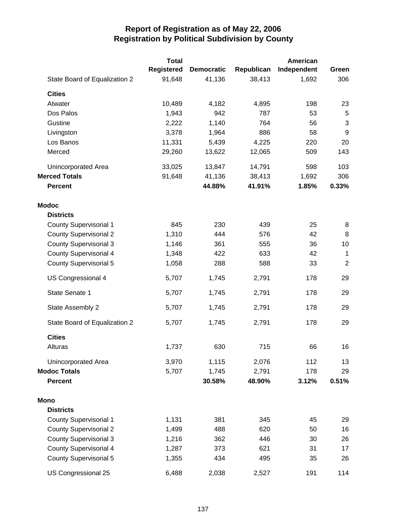|                               | <b>Total</b> |                   |            | American    |                  |
|-------------------------------|--------------|-------------------|------------|-------------|------------------|
|                               | Registered   | <b>Democratic</b> | Republican | Independent | Green            |
| State Board of Equalization 2 | 91,648       | 41,136            | 38,413     | 1,692       | 306              |
| <b>Cities</b>                 |              |                   |            |             |                  |
| Atwater                       | 10,489       | 4,182             | 4,895      | 198         | 23               |
| Dos Palos                     | 1,943        | 942               | 787        | 53          | 5                |
| Gustine                       | 2,222        | 1,140             | 764        | 56          | 3                |
| Livingston                    | 3,378        | 1,964             | 886        | 58          | $\boldsymbol{9}$ |
| Los Banos                     | 11,331       | 5,439             | 4,225      | 220         | 20               |
| Merced                        | 29,260       | 13,622            | 12,065     | 509         | 143              |
| Unincorporated Area           | 33,025       | 13,847            | 14,791     | 598         | 103              |
| <b>Merced Totals</b>          | 91,648       | 41,136            | 38,413     | 1,692       | 306              |
| <b>Percent</b>                |              | 44.88%            | 41.91%     | 1.85%       | 0.33%            |
| <b>Modoc</b>                  |              |                   |            |             |                  |
| <b>Districts</b>              |              |                   |            |             |                  |
| <b>County Supervisorial 1</b> | 845          | 230               | 439        | 25          | 8                |
| <b>County Supervisorial 2</b> | 1,310        | 444               | 576        | 42          | 8                |
| <b>County Supervisorial 3</b> | 1,146        | 361               | 555        | 36          | 10               |
| <b>County Supervisorial 4</b> | 1,348        | 422               | 633        | 42          | $\mathbf 1$      |
| <b>County Supervisorial 5</b> | 1,058        | 288               | 588        | 33          | $\overline{2}$   |
| US Congressional 4            | 5,707        | 1,745             | 2,791      | 178         | 29               |
| State Senate 1                | 5,707        | 1,745             | 2,791      | 178         | 29               |
| State Assembly 2              | 5,707        | 1,745             | 2,791      | 178         | 29               |
| State Board of Equalization 2 | 5,707        | 1,745             | 2,791      | 178         | 29               |
| <b>Cities</b>                 |              |                   |            |             |                  |
| Alturas                       | 1,737        | 630               | 715        | 66          | 16               |
| Unincorporated Area           | 3,970        | 1,115             | 2,076      | 112         | 13               |
| <b>Modoc Totals</b>           | 5,707        | 1,745             | 2,791      | 178         | 29               |
| <b>Percent</b>                |              | 30.58%            | 48.90%     | 3.12%       | 0.51%            |
| <b>Mono</b>                   |              |                   |            |             |                  |
| <b>Districts</b>              |              |                   |            |             |                  |
| <b>County Supervisorial 1</b> | 1,131        | 381               | 345        | 45          | 29               |
| <b>County Supervisorial 2</b> | 1,499        | 488               | 620        | 50          | 16               |
| <b>County Supervisorial 3</b> | 1,216        | 362               | 446        | 30          | 26               |
| <b>County Supervisorial 4</b> | 1,287        | 373               | 621        | 31          | 17               |
| <b>County Supervisorial 5</b> | 1,355        | 434               | 495        | 35          | 26               |
| US Congressional 25           | 6,488        | 2,038             | 2,527      | 191         | 114              |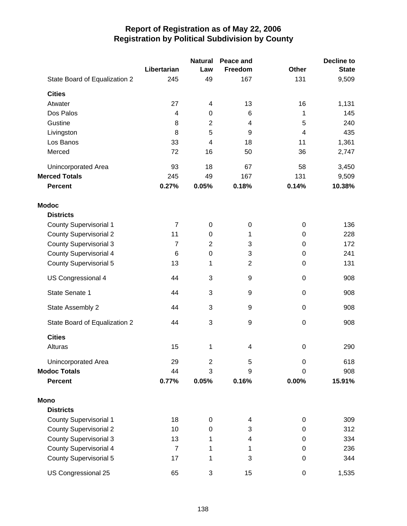|                               |                | <b>Natural</b>          | Peace and      |                  | <b>Decline to</b> |
|-------------------------------|----------------|-------------------------|----------------|------------------|-------------------|
|                               | Libertarian    | Law                     | Freedom        | <b>Other</b>     | <b>State</b>      |
| State Board of Equalization 2 | 245            | 49                      | 167            | 131              | 9,509             |
| <b>Cities</b>                 |                |                         |                |                  |                   |
| Atwater                       | 27             | 4                       | 13             | 16               | 1,131             |
| Dos Palos                     | 4              | 0                       | 6              | 1                | 145               |
| Gustine                       | 8              | $\overline{c}$          | 4              | 5                | 240               |
| Livingston                    | 8              | 5                       | 9              | $\overline{4}$   | 435               |
| Los Banos                     | 33             | $\overline{\mathbf{4}}$ | 18             | 11               | 1,361             |
| Merced                        | 72             | 16                      | 50             | 36               | 2,747             |
| Unincorporated Area           | 93             | 18                      | 67             | 58               | 3,450             |
| <b>Merced Totals</b>          | 245            | 49                      | 167            | 131              | 9,509             |
| <b>Percent</b>                | 0.27%          | 0.05%                   | 0.18%          | 0.14%            | 10.38%            |
| <b>Modoc</b>                  |                |                         |                |                  |                   |
| <b>Districts</b>              |                |                         |                |                  |                   |
| <b>County Supervisorial 1</b> | $\overline{7}$ | $\pmb{0}$               | 0              | $\boldsymbol{0}$ | 136               |
| <b>County Supervisorial 2</b> | 11             | 0                       | 1              | $\boldsymbol{0}$ | 228               |
| <b>County Supervisorial 3</b> | $\overline{7}$ | $\overline{2}$          | 3              | 0                | 172               |
| <b>County Supervisorial 4</b> | 6              | 0                       | 3              | 0                | 241               |
| <b>County Supervisorial 5</b> | 13             | 1                       | $\overline{2}$ | $\boldsymbol{0}$ | 131               |
| US Congressional 4            | 44             | 3                       | 9              | $\boldsymbol{0}$ | 908               |
| State Senate 1                | 44             | 3                       | 9              | $\boldsymbol{0}$ | 908               |
| State Assembly 2              | 44             | 3                       | 9              | $\boldsymbol{0}$ | 908               |
| State Board of Equalization 2 | 44             | 3                       | 9              | $\boldsymbol{0}$ | 908               |
| <b>Cities</b>                 |                |                         |                |                  |                   |
| Alturas                       | 15             | 1                       | 4              | $\boldsymbol{0}$ | 290               |
| Unincorporated Area           | 29             | $\overline{c}$          | 5              | $\mathbf 0$      | 618               |
| <b>Modoc Totals</b>           | 44             | 3                       | 9              | 0                | 908               |
| <b>Percent</b>                | 0.77%          | 0.05%                   | 0.16%          | 0.00%            | 15.91%            |
| <b>Mono</b>                   |                |                         |                |                  |                   |
| <b>Districts</b>              |                |                         |                |                  |                   |
| <b>County Supervisorial 1</b> | 18             | 0                       | 4              | $\boldsymbol{0}$ | 309               |
| <b>County Supervisorial 2</b> | 10             | 0                       | 3              | 0                | 312               |
| <b>County Supervisorial 3</b> | 13             | 1                       | 4              | 0                | 334               |
| <b>County Supervisorial 4</b> | $\overline{7}$ | 1                       | 1              | 0                | 236               |
| <b>County Supervisorial 5</b> | 17             | 1                       | 3              | $\boldsymbol{0}$ | 344               |
| US Congressional 25           | 65             | 3                       | 15             | $\,0\,$          | 1,535             |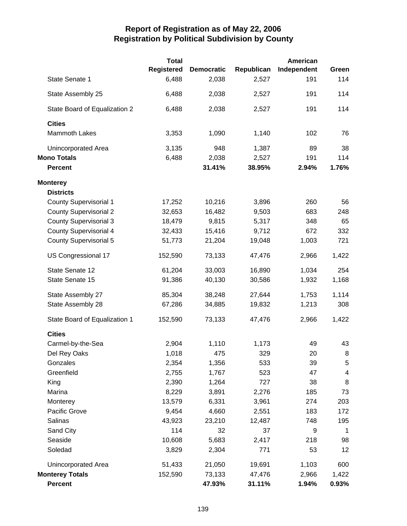|                               | <b>Total</b> |                   |            | <b>American</b> |              |
|-------------------------------|--------------|-------------------|------------|-----------------|--------------|
|                               | Registered   | <b>Democratic</b> | Republican | Independent     | Green        |
| State Senate 1                | 6,488        | 2,038             | 2,527      | 191             | 114          |
| State Assembly 25             | 6,488        | 2,038             | 2,527      | 191             | 114          |
| State Board of Equalization 2 | 6,488        | 2,038             | 2,527      | 191             | 114          |
| <b>Cities</b>                 |              |                   |            |                 |              |
| <b>Mammoth Lakes</b>          | 3,353        | 1,090             | 1,140      | 102             | 76           |
| Unincorporated Area           | 3,135        | 948               | 1,387      | 89              | 38           |
| <b>Mono Totals</b>            | 6,488        | 2,038             | 2,527      | 191             | 114          |
| <b>Percent</b>                |              | 31.41%            | 38.95%     | 2.94%           | 1.76%        |
| <b>Monterey</b>               |              |                   |            |                 |              |
| <b>Districts</b>              |              |                   |            |                 |              |
| <b>County Supervisorial 1</b> | 17,252       | 10,216            | 3,896      | 260             | 56           |
| <b>County Supervisorial 2</b> | 32,653       | 16,482            | 9,503      | 683             | 248          |
| <b>County Supervisorial 3</b> | 18,479       | 9,815             | 5,317      | 348             | 65           |
| <b>County Supervisorial 4</b> | 32,433       | 15,416            | 9,712      | 672             | 332          |
| <b>County Supervisorial 5</b> | 51,773       | 21,204            | 19,048     | 1,003           | 721          |
| US Congressional 17           | 152,590      | 73,133            | 47,476     | 2,966           | 1,422        |
| State Senate 12               | 61,204       | 33,003            | 16,890     | 1,034           | 254          |
| State Senate 15               | 91,386       | 40,130            | 30,586     | 1,932           | 1,168        |
| State Assembly 27             | 85,304       | 38,248            | 27,644     | 1,753           | 1,114        |
| State Assembly 28             | 67,286       | 34,885            | 19,832     | 1,213           | 308          |
| State Board of Equalization 1 | 152,590      | 73,133            | 47,476     | 2,966           | 1,422        |
| <b>Cities</b>                 |              |                   |            |                 |              |
| Carmel-by-the-Sea             | 2,904        | 1,110             | 1,173      | 49              | 43           |
| Del Rey Oaks                  | 1,018        | 475               | 329        | 20              | 8            |
| Gonzales                      | 2,354        | 1,356             | 533        | 39              | $\sqrt{5}$   |
| Greenfield                    | 2,755        | 1,767             | 523        | 47              | 4            |
| King                          | 2,390        | 1,264             | 727        | 38              | 8            |
| Marina                        | 8,229        | 3,891             | 2,276      | 185             | 73           |
| Monterey                      | 13,579       | 6,331             | 3,961      | 274             | 203          |
| Pacific Grove                 | 9,454        | 4,660             | 2,551      | 183             | 172          |
| Salinas                       | 43,923       | 23,210            | 12,487     | 748             | 195          |
| Sand City                     | 114          | 32                | 37         | 9               | $\mathbf{1}$ |
| Seaside                       | 10,608       | 5,683             | 2,417      | 218             | 98           |
| Soledad                       | 3,829        | 2,304             | 771        | 53              | 12           |
| <b>Unincorporated Area</b>    | 51,433       | 21,050            | 19,691     | 1,103           | 600          |
| <b>Monterey Totals</b>        | 152,590      | 73,133            | 47,476     | 2,966           | 1,422        |
| Percent                       |              | 47.93%            | 31.11%     | 1.94%           | 0.93%        |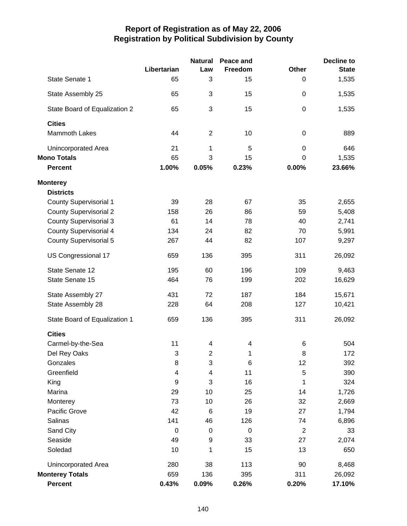|                               |             | <b>Natural</b>   | Peace and        |                  | <b>Decline to</b> |
|-------------------------------|-------------|------------------|------------------|------------------|-------------------|
|                               | Libertarian | Law              | Freedom          | <b>Other</b>     | <b>State</b>      |
| State Senate 1                | 65          | 3                | 15               | 0                | 1,535             |
| State Assembly 25             | 65          | 3                | 15               | $\mathbf 0$      | 1,535             |
| State Board of Equalization 2 | 65          | 3                | 15               | $\mathbf 0$      | 1,535             |
| <b>Cities</b>                 |             |                  |                  |                  |                   |
| Mammoth Lakes                 | 44          | $\overline{2}$   | 10               | $\boldsymbol{0}$ | 889               |
| Unincorporated Area           | 21          | 1                | 5                | $\mathbf 0$      | 646               |
| <b>Mono Totals</b>            | 65          | 3                | 15               | 0                | 1,535             |
| <b>Percent</b>                | 1.00%       | 0.05%            | 0.23%            | 0.00%            | 23.66%            |
| <b>Monterey</b>               |             |                  |                  |                  |                   |
| <b>Districts</b>              |             |                  |                  |                  |                   |
| <b>County Supervisorial 1</b> | 39          | 28               | 67               | 35               | 2,655             |
| <b>County Supervisorial 2</b> | 158         | 26               | 86               | 59               | 5,408             |
| <b>County Supervisorial 3</b> | 61          | 14               | 78               | 40               | 2,741             |
| <b>County Supervisorial 4</b> | 134         | 24               | 82               | 70               | 5,991             |
| <b>County Supervisorial 5</b> | 267         | 44               | 82               | 107              | 9,297             |
| US Congressional 17           | 659         | 136              | 395              | 311              | 26,092            |
| State Senate 12               | 195         | 60               | 196              | 109              | 9,463             |
| State Senate 15               | 464         | 76               | 199              | 202              | 16,629            |
| State Assembly 27             | 431         | 72               | 187              | 184              | 15,671            |
| State Assembly 28             | 228         | 64               | 208              | 127              | 10,421            |
| State Board of Equalization 1 | 659         | 136              | 395              | 311              | 26,092            |
| <b>Cities</b>                 |             |                  |                  |                  |                   |
| Carmel-by-the-Sea             | 11          | 4                | 4                | 6                | 504               |
| Del Rey Oaks                  | 3           | 2                | 1                | 8                | 172               |
| Gonzales                      | 8           | 3                | 6                | 12               | 392               |
| Greenfield                    | 4           | 4                | 11               | 5                | 390               |
| King                          | 9           | 3                | 16               | 1                | 324               |
| Marina                        | 29          | 10               | 25               | 14               | 1,726             |
| Monterey                      | 73          | 10               | 26               | 32               | 2,669             |
| Pacific Grove                 | 42          | 6                | 19               | 27               | 1,794             |
| Salinas                       | 141         | 46               | 126              | 74               | 6,896             |
| Sand City                     | $\mathbf 0$ | $\boldsymbol{0}$ | $\boldsymbol{0}$ | $\mathbf 2$      | 33                |
| Seaside                       | 49          | 9                | 33               | 27               | 2,074             |
| Soledad                       | 10          | 1                | 15               | 13               | 650               |
| Unincorporated Area           | 280         | 38               | 113              | 90               | 8,468             |
| <b>Monterey Totals</b>        | 659         | 136              | 395              | 311              | 26,092            |
| Percent                       | 0.43%       | 0.09%            | 0.26%            | 0.20%            | 17.10%            |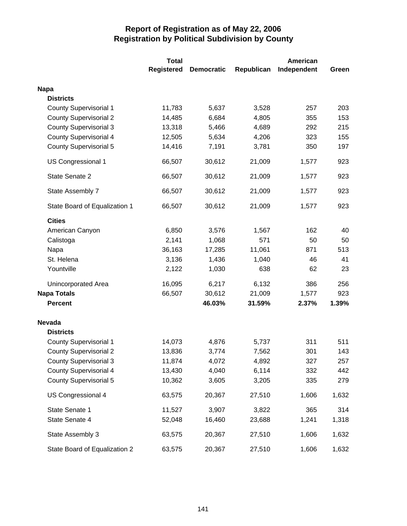|                               | <b>Total</b>      |                   |            | <b>American</b> |       |
|-------------------------------|-------------------|-------------------|------------|-----------------|-------|
|                               | <b>Registered</b> | <b>Democratic</b> | Republican | Independent     | Green |
| <b>Napa</b>                   |                   |                   |            |                 |       |
| <b>Districts</b>              |                   |                   |            |                 |       |
| <b>County Supervisorial 1</b> | 11,783            | 5,637             | 3,528      | 257             | 203   |
| <b>County Supervisorial 2</b> | 14,485            | 6,684             | 4,805      | 355             | 153   |
| <b>County Supervisorial 3</b> | 13,318            | 5,466             | 4,689      | 292             | 215   |
| <b>County Supervisorial 4</b> | 12,505            | 5,634             | 4,206      | 323             | 155   |
| <b>County Supervisorial 5</b> | 14,416            | 7,191             | 3,781      | 350             | 197   |
| US Congressional 1            | 66,507            | 30,612            | 21,009     | 1,577           | 923   |
| State Senate 2                | 66,507            | 30,612            | 21,009     | 1,577           | 923   |
| State Assembly 7              | 66,507            | 30,612            | 21,009     | 1,577           | 923   |
| State Board of Equalization 1 | 66,507            | 30,612            | 21,009     | 1,577           | 923   |
| <b>Cities</b>                 |                   |                   |            |                 |       |
| American Canyon               | 6,850             | 3,576             | 1,567      | 162             | 40    |
| Calistoga                     | 2,141             | 1,068             | 571        | 50              | 50    |
| Napa                          | 36,163            | 17,285            | 11,061     | 871             | 513   |
| St. Helena                    | 3,136             | 1,436             | 1,040      | 46              | 41    |
| Yountville                    | 2,122             | 1,030             | 638        | 62              | 23    |
| <b>Unincorporated Area</b>    | 16,095            | 6,217             | 6,132      | 386             | 256   |
| <b>Napa Totals</b>            | 66,507            | 30,612            | 21,009     | 1,577           | 923   |
| <b>Percent</b>                |                   | 46.03%            | 31.59%     | 2.37%           | 1.39% |
| <b>Nevada</b>                 |                   |                   |            |                 |       |
| <b>Districts</b>              |                   |                   |            |                 |       |
| <b>County Supervisorial 1</b> | 14,073            | 4,876             | 5,737      | 311             | 511   |
| <b>County Supervisorial 2</b> | 13,836            | 3,774             | 7,562      | 301             | 143   |
| <b>County Supervisorial 3</b> | 11,874            | 4,072             | 4,892      | 327             | 257   |
| <b>County Supervisorial 4</b> | 13,430            | 4,040             | 6,114      | 332             | 442   |
| <b>County Supervisorial 5</b> | 10,362            | 3,605             | 3,205      | 335             | 279   |
| US Congressional 4            | 63,575            | 20,367            | 27,510     | 1,606           | 1,632 |
| State Senate 1                | 11,527            | 3,907             | 3,822      | 365             | 314   |
| State Senate 4                | 52,048            | 16,460            | 23,688     | 1,241           | 1,318 |
| State Assembly 3              | 63,575            | 20,367            | 27,510     | 1,606           | 1,632 |
| State Board of Equalization 2 | 63,575            | 20,367            | 27,510     | 1,606           | 1,632 |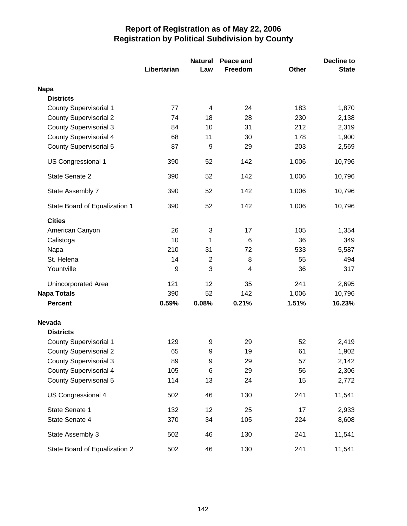|                               |             | <b>Natural</b><br>Peace and |         |              | <b>Decline to</b> |  |
|-------------------------------|-------------|-----------------------------|---------|--------------|-------------------|--|
|                               | Libertarian | Law                         | Freedom | <b>Other</b> | <b>State</b>      |  |
| <b>Napa</b>                   |             |                             |         |              |                   |  |
| <b>Districts</b>              |             |                             |         |              |                   |  |
| <b>County Supervisorial 1</b> | 77          | 4                           | 24      | 183          | 1,870             |  |
| <b>County Supervisorial 2</b> | 74          | 18                          | 28      | 230          | 2,138             |  |
| <b>County Supervisorial 3</b> | 84          | 10                          | 31      | 212          | 2,319             |  |
| <b>County Supervisorial 4</b> | 68          | 11                          | 30      | 178          | 1,900             |  |
| <b>County Supervisorial 5</b> | 87          | 9                           | 29      | 203          | 2,569             |  |
| US Congressional 1            | 390         | 52                          | 142     | 1,006        | 10,796            |  |
| State Senate 2                | 390         | 52                          | 142     | 1,006        | 10,796            |  |
| State Assembly 7              | 390         | 52                          | 142     | 1,006        | 10,796            |  |
| State Board of Equalization 1 | 390         | 52                          | 142     | 1,006        | 10,796            |  |
| <b>Cities</b>                 |             |                             |         |              |                   |  |
| American Canyon               | 26          | 3                           | 17      | 105          | 1,354             |  |
| Calistoga                     | 10          | 1                           | 6       | 36           | 349               |  |
| Napa                          | 210         | 31                          | 72      | 533          | 5,587             |  |
| St. Helena                    | 14          | $\overline{c}$              | 8       | 55           | 494               |  |
| Yountville                    | 9           | 3                           | 4       | 36           | 317               |  |
| Unincorporated Area           | 121         | 12                          | 35      | 241          | 2,695             |  |
| <b>Napa Totals</b>            | 390         | 52                          | 142     | 1,006        | 10,796            |  |
| <b>Percent</b>                | 0.59%       | 0.08%                       | 0.21%   | 1.51%        | 16.23%            |  |
| <b>Nevada</b>                 |             |                             |         |              |                   |  |
| <b>Districts</b>              |             |                             |         |              |                   |  |
| <b>County Supervisorial 1</b> | 129         | 9                           | 29      | 52           | 2,419             |  |
| <b>County Supervisorial 2</b> | 65          | 9                           | 19      | 61           | 1,902             |  |
| <b>County Supervisorial 3</b> | 89          | 9                           | 29      | 57           | 2,142             |  |
| <b>County Supervisorial 4</b> | 105         | 6                           | 29      | 56           | 2,306             |  |
| <b>County Supervisorial 5</b> | 114         | 13                          | 24      | 15           | 2,772             |  |
| US Congressional 4            | 502         | 46                          | 130     | 241          | 11,541            |  |
| State Senate 1                | 132         | 12                          | 25      | 17           | 2,933             |  |
| State Senate 4                | 370         | 34                          | 105     | 224          | 8,608             |  |
| State Assembly 3              | 502         | 46                          | 130     | 241          | 11,541            |  |
| State Board of Equalization 2 | 502         | 46                          | 130     | 241          | 11,541            |  |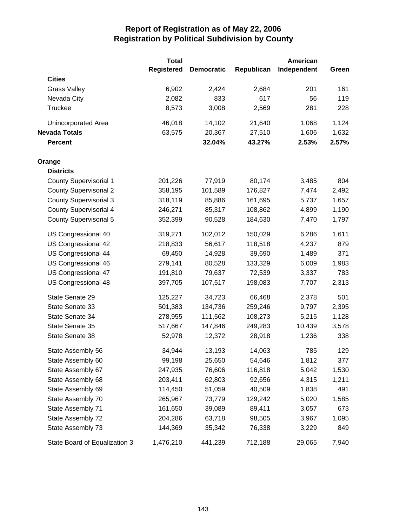|                               | <b>Total</b> |                   |            | American    |       |
|-------------------------------|--------------|-------------------|------------|-------------|-------|
|                               | Registered   | <b>Democratic</b> | Republican | Independent | Green |
| <b>Cities</b>                 |              |                   |            |             |       |
| <b>Grass Valley</b>           | 6,902        | 2,424             | 2,684      | 201         | 161   |
| Nevada City                   | 2,082        | 833               | 617        | 56          | 119   |
| Truckee                       | 8,573        | 3,008             | 2,569      | 281         | 228   |
| Unincorporated Area           | 46,018       | 14,102            | 21,640     | 1,068       | 1,124 |
| <b>Nevada Totals</b>          | 63,575       | 20,367            | 27,510     | 1,606       | 1,632 |
| <b>Percent</b>                |              | 32.04%            | 43.27%     | 2.53%       | 2.57% |
| Orange                        |              |                   |            |             |       |
| <b>Districts</b>              |              |                   |            |             |       |
| <b>County Supervisorial 1</b> | 201,226      | 77,919            | 80,174     | 3,485       | 804   |
| <b>County Supervisorial 2</b> | 358,195      | 101,589           | 176,827    | 7,474       | 2,492 |
| <b>County Supervisorial 3</b> | 318,119      | 85,886            | 161,695    | 5,737       | 1,657 |
| <b>County Supervisorial 4</b> | 246,271      | 85,317            | 108,862    | 4,899       | 1,190 |
| County Supervisorial 5        | 352,399      | 90,528            | 184,630    | 7,470       | 1,797 |
| US Congressional 40           | 319,271      | 102,012           | 150,029    | 6,286       | 1,611 |
| US Congressional 42           | 218,833      | 56,617            | 118,518    | 4,237       | 879   |
| US Congressional 44           | 69,450       | 14,928            | 39,690     | 1,489       | 371   |
| US Congressional 46           | 279,141      | 80,528            | 133,329    | 6,009       | 1,983 |
| US Congressional 47           | 191,810      | 79,637            | 72,539     | 3,337       | 783   |
| US Congressional 48           | 397,705      | 107,517           | 198,083    | 7,707       | 2,313 |
| State Senate 29               | 125,227      | 34,723            | 66,468     | 2,378       | 501   |
| State Senate 33               | 501,383      | 134,736           | 259,246    | 9,797       | 2,395 |
| State Senate 34               | 278,955      | 111,562           | 108,273    | 5,215       | 1,128 |
| State Senate 35               | 517,667      | 147,846           | 249,283    | 10,439      | 3,578 |
| State Senate 38               | 52,978       | 12,372            | 28,918     | 1,236       | 338   |
| State Assembly 56             | 34,944       | 13,193            | 14,063     | 785         | 129   |
| State Assembly 60             | 99,198       | 25,650            | 54,646     | 1,812       | 377   |
| State Assembly 67             | 247,935      | 76,606            | 116,818    | 5,042       | 1,530 |
| State Assembly 68             | 203,411      | 62,803            | 92,656     | 4,315       | 1,211 |
| State Assembly 69             | 114,450      | 51,059            | 40,509     | 1,838       | 491   |
| State Assembly 70             | 265,967      | 73,779            | 129,242    | 5,020       | 1,585 |
| State Assembly 71             | 161,650      | 39,089            | 89,411     | 3,057       | 673   |
| State Assembly 72             | 204,286      | 63,718            | 98,505     | 3,967       | 1,095 |
| State Assembly 73             | 144,369      | 35,342            | 76,338     | 3,229       | 849   |
| State Board of Equalization 3 | 1,476,210    | 441,239           | 712,188    | 29,065      | 7,940 |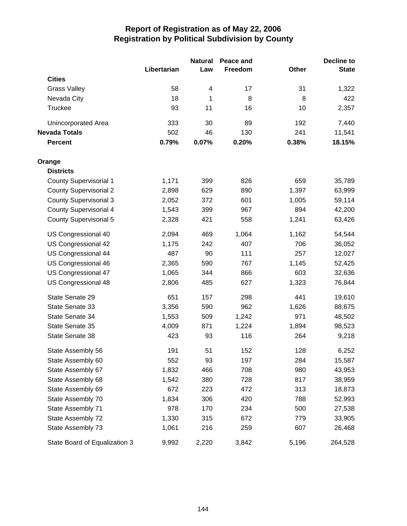|                               |             | <b>Natural</b> | Peace and |       | <b>Decline to</b> |
|-------------------------------|-------------|----------------|-----------|-------|-------------------|
|                               | Libertarian | Law            | Freedom   | Other | <b>State</b>      |
| <b>Cities</b>                 |             |                |           |       |                   |
| <b>Grass Valley</b>           | 58          | 4              | 17        | 31    | 1,322             |
| Nevada City                   | 18          | 1              | 8         | 8     | 422               |
| Truckee                       | 93          | 11             | 16        | 10    | 2,357             |
| Unincorporated Area           | 333         | 30             | 89        | 192   | 7,440             |
| <b>Nevada Totals</b>          | 502         | 46             | 130       | 241   | 11,541            |
| <b>Percent</b>                | 0.79%       | 0.07%          | 0.20%     | 0.38% | 18.15%            |
| Orange                        |             |                |           |       |                   |
| <b>Districts</b>              |             |                |           |       |                   |
| <b>County Supervisorial 1</b> | 1,171       | 399            | 826       | 659   | 35,789            |
| <b>County Supervisorial 2</b> | 2,898       | 629            | 890       | 1,397 | 63,999            |
| <b>County Supervisorial 3</b> | 2,052       | 372            | 601       | 1,005 | 59,114            |
| <b>County Supervisorial 4</b> | 1,543       | 399            | 967       | 894   | 42,200            |
| <b>County Supervisorial 5</b> | 2,328       | 421            | 558       | 1,241 | 63,426            |
| US Congressional 40           | 2,094       | 469            | 1,064     | 1,162 | 54,544            |
| US Congressional 42           | 1,175       | 242            | 407       | 706   | 36,052            |
| US Congressional 44           | 487         | 90             | 111       | 257   | 12,027            |
| US Congressional 46           | 2,365       | 590            | 767       | 1,145 | 52,425            |
| US Congressional 47           | 1,065       | 344            | 866       | 603   | 32,636            |
| US Congressional 48           | 2,806       | 485            | 627       | 1,323 | 76,844            |
| State Senate 29               | 651         | 157            | 298       | 441   | 19,610            |
| State Senate 33               | 3,356       | 590            | 962       | 1,626 | 88,675            |
| State Senate 34               | 1,553       | 509            | 1,242     | 971   | 48,502            |
| State Senate 35               | 4,009       | 871            | 1,224     | 1,894 | 98,523            |
| State Senate 38               | 423         | 93             | 116       | 264   | 9,218             |
| State Assembly 56             | 191         | 51             | 152       | 128   | 6,252             |
| State Assembly 60             | 552         | 93             | 197       | 284   | 15,587            |
| State Assembly 67             | 1,832       | 466            | 708       | 980   | 43,953            |
| State Assembly 68             | 1,542       | 380            | 728       | 817   | 38,959            |
| State Assembly 69             | 672         | 223            | 472       | 313   | 18,873            |
| State Assembly 70             | 1,834       | 306            | 420       | 788   | 52,993            |
| State Assembly 71             | 978         | 170            | 234       | 500   | 27,538            |
| State Assembly 72             | 1,330       | 315            | 672       | 779   | 33,905            |
| State Assembly 73             | 1,061       | 216            | 259       | 607   | 26,468            |
| State Board of Equalization 3 | 9,992       | 2,220          | 3,842     | 5,196 | 264,528           |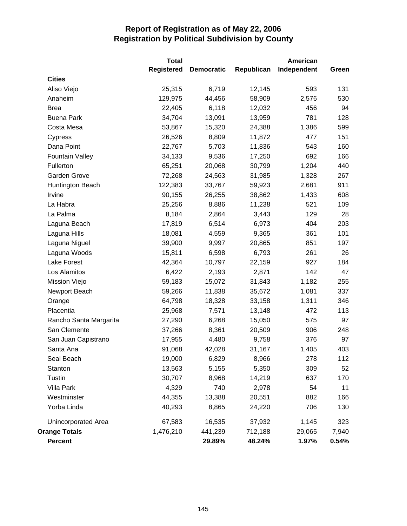|                        | <b>Total</b>      |                   |            | <b>American</b> |       |
|------------------------|-------------------|-------------------|------------|-----------------|-------|
|                        | <b>Registered</b> | <b>Democratic</b> | Republican | Independent     | Green |
| <b>Cities</b>          |                   |                   |            |                 |       |
| Aliso Viejo            | 25,315            | 6,719             | 12,145     | 593             | 131   |
| Anaheim                | 129,975           | 44,456            | 58,909     | 2,576           | 530   |
| <b>Brea</b>            | 22,405            | 6,118             | 12,032     | 456             | 94    |
| <b>Buena Park</b>      | 34,704            | 13,091            | 13,959     | 781             | 128   |
| Costa Mesa             | 53,867            | 15,320            | 24,388     | 1,386           | 599   |
| Cypress                | 26,526            | 8,809             | 11,872     | 477             | 151   |
| Dana Point             | 22,767            | 5,703             | 11,836     | 543             | 160   |
| <b>Fountain Valley</b> | 34,133            | 9,536             | 17,250     | 692             | 166   |
| Fullerton              | 65,251            | 20,068            | 30,799     | 1,204           | 440   |
| Garden Grove           | 72,268            | 24,563            | 31,985     | 1,328           | 267   |
| Huntington Beach       | 122,383           | 33,767            | 59,923     | 2,681           | 911   |
| Irvine                 | 90,155            | 26,255            | 38,862     | 1,433           | 608   |
| La Habra               | 25,256            | 8,886             | 11,238     | 521             | 109   |
| La Palma               | 8,184             | 2,864             | 3,443      | 129             | 28    |
| Laguna Beach           | 17,819            | 6,514             | 6,973      | 404             | 203   |
| Laguna Hills           | 18,081            | 4,559             | 9,365      | 361             | 101   |
| Laguna Niguel          | 39,900            | 9,997             | 20,865     | 851             | 197   |
| Laguna Woods           | 15,811            | 6,598             | 6,793      | 261             | 26    |
| Lake Forest            | 42,364            | 10,797            | 22,159     | 927             | 184   |
| Los Alamitos           | 6,422             | 2,193             | 2,871      | 142             | 47    |
| Mission Viejo          | 59,183            | 15,072            | 31,843     | 1,182           | 255   |
| Newport Beach          | 59,266            | 11,838            | 35,672     | 1,081           | 337   |
| Orange                 | 64,798            | 18,328            | 33,158     | 1,311           | 346   |
| Placentia              | 25,968            | 7,571             | 13,148     | 472             | 113   |
| Rancho Santa Margarita | 27,290            | 6,268             | 15,050     | 575             | 97    |
| San Clemente           | 37,266            | 8,361             | 20,509     | 906             | 248   |
| San Juan Capistrano    | 17,955            | 4,480             | 9,758      | 376             | 97    |
| Santa Ana              | 91,068            | 42,028            | 31,167     | 1,405           | 403   |
| Seal Beach             | 19,000            | 6,829             | 8,966      | 278             | 112   |
| Stanton                | 13,563            | 5,155             | 5,350      | 309             | 52    |
| Tustin                 | 30,707            | 8,968             | 14,219     | 637             | 170   |
| Villa Park             | 4,329             | 740               | 2,978      | 54              | 11    |
| Westminster            | 44,355            | 13,388            | 20,551     | 882             | 166   |
| Yorba Linda            | 40,293            | 8,865             | 24,220     | 706             | 130   |
| Unincorporated Area    | 67,583            | 16,535            | 37,932     | 1,145           | 323   |
| <b>Orange Totals</b>   | 1,476,210         | 441,239           | 712,188    | 29,065          | 7,940 |
| <b>Percent</b>         |                   | 29.89%            | 48.24%     | 1.97%           | 0.54% |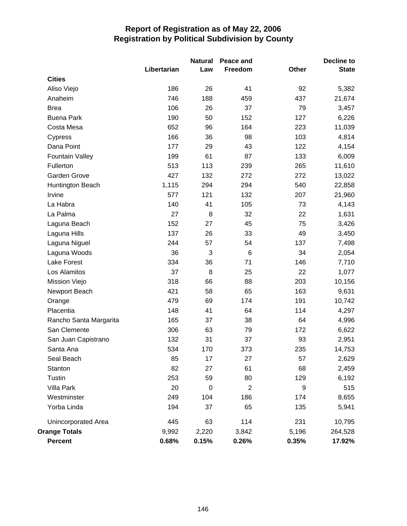|                        |             | <b>Natural</b>   | Peace and  |              | <b>Decline to</b> |
|------------------------|-------------|------------------|------------|--------------|-------------------|
|                        | Libertarian | Law              | Freedom    | <b>Other</b> | <b>State</b>      |
| <b>Cities</b>          |             |                  |            |              |                   |
| Aliso Viejo            | 186         | 26               | 41         | 92           | 5,382             |
| Anaheim                | 746         | 188              | 459        | 437          | 21,674            |
| <b>Brea</b>            | 106         | 26               | 37         | 79           | 3,457             |
| <b>Buena Park</b>      | 190         | 50               | 152        | 127          | 6,226             |
| Costa Mesa             | 652         | 96               | 164        | 223          | 11,039            |
| Cypress                | 166         | 36               | 98         | 103          | 4,814             |
| Dana Point             | 177         | 29               | 43         | 122          | 4,154             |
| <b>Fountain Valley</b> | 199         | 61               | 87         | 133          | 6,009             |
| Fullerton              | 513         | 113              | 239        | 265          | 11,610            |
| Garden Grove           | 427         | 132              | 272        | 272          | 13,022            |
| Huntington Beach       | 1,115       | 294              | 294        | 540          | 22,858            |
| Irvine                 | 577         | 121              | 132        | 207          | 21,960            |
| La Habra               | 140         | 41               | 105        | 73           | 4,143             |
| La Palma               | 27          | 8                | 32         | 22           | 1,631             |
| Laguna Beach           | 152         | 27               | 45         | 75           | 3,426             |
| Laguna Hills           | 137         | 26               | 33         | 49           | 3,450             |
| Laguna Niguel          | 244         | 57               | 54         | 137          | 7,498             |
| Laguna Woods           | 36          | 3                | $\,6$      | 34           | 2,054             |
| <b>Lake Forest</b>     | 334         | 36               | 71         | 146          | 7,710             |
| Los Alamitos           | 37          | 8                | 25         | 22           | 1,077             |
| Mission Viejo          | 318         | 66               | 88         | 203          | 10,156            |
| Newport Beach          | 421         | 58               | 65         | 163          | 9,631             |
| Orange                 | 479         | 69               | 174        | 191          | 10,742            |
| Placentia              | 148         | 41               | 64         | 114          | 4,297             |
| Rancho Santa Margarita | 165         | 37               | 38         | 64           | 4,996             |
| San Clemente           | 306         | 63               | 79         | 172          | 6,622             |
| San Juan Capistrano    | 132         | 31               | 37         | 93           | 2,951             |
| Santa Ana              | 534         | 170              | 373        | 235          | 14,753            |
| Seal Beach             | 85          | 17               | 27         | 57           | 2,629             |
| Stanton                | 82          | 27               | 61         | 68           | 2,459             |
| Tustin                 | 253         | 59               | 80         | 129          | 6,192             |
| Villa Park             | 20          | $\boldsymbol{0}$ | $\sqrt{2}$ | 9            | 515               |
| Westminster            | 249         | 104              | 186        | 174          | 8,655             |
| Yorba Linda            | 194         | 37               | 65         | 135          | 5,941             |
| Unincorporated Area    | 445         | 63               | 114        | 231          | 10,795            |
| <b>Orange Totals</b>   | 9,992       | 2,220            | 3,842      | 5,196        | 264,528           |
| <b>Percent</b>         | 0.68%       | 0.15%            | 0.26%      | 0.35%        | 17.92%            |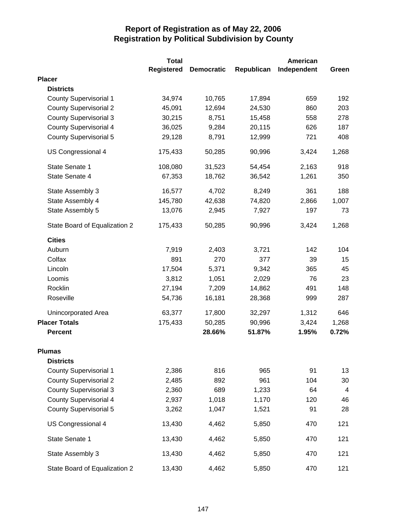|                               | <b>Total</b>      |                   |            | American    |                |
|-------------------------------|-------------------|-------------------|------------|-------------|----------------|
|                               | <b>Registered</b> | <b>Democratic</b> | Republican | Independent | Green          |
| <b>Placer</b>                 |                   |                   |            |             |                |
| <b>Districts</b>              |                   |                   |            |             |                |
| <b>County Supervisorial 1</b> | 34,974            | 10,765            | 17,894     | 659         | 192            |
| <b>County Supervisorial 2</b> | 45,091            | 12,694            | 24,530     | 860         | 203            |
| <b>County Supervisorial 3</b> | 30,215            | 8,751             | 15,458     | 558         | 278            |
| <b>County Supervisorial 4</b> | 36,025            | 9,284             | 20,115     | 626         | 187            |
| <b>County Supervisorial 5</b> | 29,128            | 8,791             | 12,999     | 721         | 408            |
| US Congressional 4            | 175,433           | 50,285            | 90,996     | 3,424       | 1,268          |
| State Senate 1                | 108,080           | 31,523            | 54,454     | 2,163       | 918            |
| State Senate 4                | 67,353            | 18,762            | 36,542     | 1,261       | 350            |
| State Assembly 3              | 16,577            | 4,702             | 8,249      | 361         | 188            |
| State Assembly 4              | 145,780           | 42,638            | 74,820     | 2,866       | 1,007          |
| State Assembly 5              | 13,076            | 2,945             | 7,927      | 197         | 73             |
| State Board of Equalization 2 | 175,433           | 50,285            | 90,996     | 3,424       | 1,268          |
| <b>Cities</b>                 |                   |                   |            |             |                |
| Auburn                        | 7,919             | 2,403             | 3,721      | 142         | 104            |
| Colfax                        | 891               | 270               | 377        | 39          | 15             |
| Lincoln                       | 17,504            | 5,371             | 9,342      | 365         | 45             |
| Loomis                        | 3,812             | 1,051             | 2,029      | 76          | 23             |
| Rocklin                       | 27,194            | 7,209             | 14,862     | 491         | 148            |
| Roseville                     | 54,736            | 16,181            | 28,368     | 999         | 287            |
| Unincorporated Area           | 63,377            | 17,800            | 32,297     | 1,312       | 646            |
| <b>Placer Totals</b>          | 175,433           | 50,285            | 90,996     | 3,424       | 1,268          |
| <b>Percent</b>                |                   | 28.66%            | 51.87%     | 1.95%       | 0.72%          |
| <b>Plumas</b>                 |                   |                   |            |             |                |
| <b>Districts</b>              |                   |                   |            |             |                |
| <b>County Supervisorial 1</b> | 2,386             | 816               | 965        | 91          | 13             |
| <b>County Supervisorial 2</b> | 2,485             | 892               | 961        | 104         | 30             |
| <b>County Supervisorial 3</b> | 2,360             | 689               | 1,233      | 64          | $\overline{4}$ |
| <b>County Supervisorial 4</b> | 2,937             | 1,018             | 1,170      | 120         | 46             |
| <b>County Supervisorial 5</b> | 3,262             | 1,047             | 1,521      | 91          | 28             |
| US Congressional 4            | 13,430            | 4,462             | 5,850      | 470         | 121            |
| State Senate 1                | 13,430            | 4,462             | 5,850      | 470         | 121            |
| State Assembly 3              | 13,430            | 4,462             | 5,850      | 470         | 121            |
| State Board of Equalization 2 | 13,430            | 4,462             | 5,850      | 470         | 121            |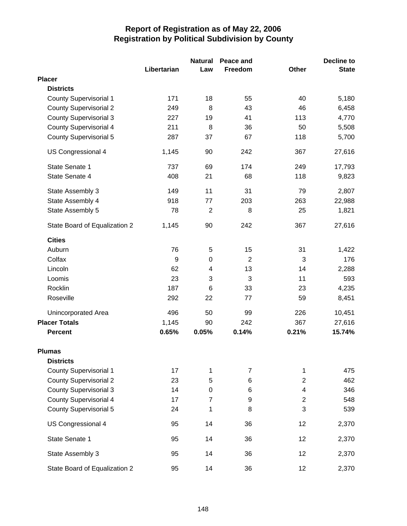|                               |             | <b>Natural</b> | Peace and      |                | <b>Decline to</b> |
|-------------------------------|-------------|----------------|----------------|----------------|-------------------|
|                               | Libertarian | Law            | Freedom        | Other          | <b>State</b>      |
| <b>Placer</b>                 |             |                |                |                |                   |
| <b>Districts</b>              |             |                |                |                |                   |
| <b>County Supervisorial 1</b> | 171         | 18             | 55             | 40             | 5,180             |
| <b>County Supervisorial 2</b> | 249         | 8              | 43             | 46             | 6,458             |
| <b>County Supervisorial 3</b> | 227         | 19             | 41             | 113            | 4,770             |
| <b>County Supervisorial 4</b> | 211         | 8              | 36             | 50             | 5,508             |
| <b>County Supervisorial 5</b> | 287         | 37             | 67             | 118            | 5,700             |
| US Congressional 4            | 1,145       | 90             | 242            | 367            | 27,616            |
| State Senate 1                | 737         | 69             | 174            | 249            | 17,793            |
| State Senate 4                | 408         | 21             | 68             | 118            | 9,823             |
| State Assembly 3              | 149         | 11             | 31             | 79             | 2,807             |
| State Assembly 4              | 918         | 77             | 203            | 263            | 22,988            |
| State Assembly 5              | 78          | $\mathbf 2$    | 8              | 25             | 1,821             |
| State Board of Equalization 2 | 1,145       | 90             | 242            | 367            | 27,616            |
| <b>Cities</b>                 |             |                |                |                |                   |
| Auburn                        | 76          | 5              | 15             | 31             | 1,422             |
| Colfax                        | 9           | 0              | $\overline{2}$ | 3              | 176               |
| Lincoln                       | 62          | 4              | 13             | 14             | 2,288             |
| Loomis                        | 23          | 3              | 3              | 11             | 593               |
| Rocklin                       | 187         | 6              | 33             | 23             | 4,235             |
| Roseville                     | 292         | 22             | 77             | 59             | 8,451             |
| <b>Unincorporated Area</b>    | 496         | 50             | 99             | 226            | 10,451            |
| <b>Placer Totals</b>          | 1,145       | 90             | 242            | 367            | 27,616            |
| <b>Percent</b>                | 0.65%       | 0.05%          | 0.14%          | 0.21%          | 15.74%            |
| <b>Plumas</b>                 |             |                |                |                |                   |
| <b>Districts</b>              |             |                |                |                |                   |
| <b>County Supervisorial 1</b> | 17          | 1              | 7              | 1              | 475               |
| <b>County Supervisorial 2</b> | 23          | 5              | 6              | $\overline{c}$ | 462               |
| <b>County Supervisorial 3</b> | 14          | 0              | 6              | 4              | 346               |
| County Supervisorial 4        | 17          | $\overline{7}$ | 9              | $\overline{2}$ | 548               |
| <b>County Supervisorial 5</b> | 24          | 1              | 8              | 3              | 539               |
| US Congressional 4            | 95          | 14             | 36             | 12             | 2,370             |
| State Senate 1                | 95          | 14             | 36             | 12             | 2,370             |
| State Assembly 3              | 95          | 14             | 36             | 12             | 2,370             |
| State Board of Equalization 2 | 95          | 14             | 36             | 12             | 2,370             |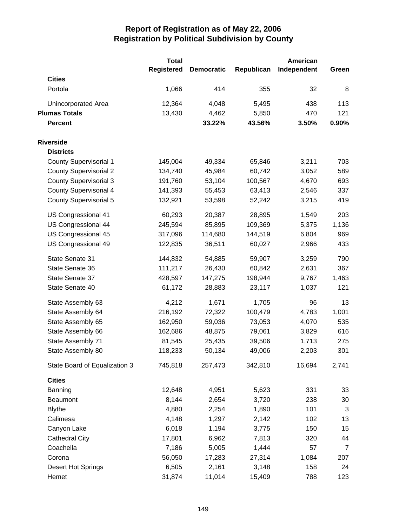|                               | <b>Total</b> |                   |            | American    |                |
|-------------------------------|--------------|-------------------|------------|-------------|----------------|
|                               | Registered   | <b>Democratic</b> | Republican | Independent | Green          |
| <b>Cities</b>                 |              |                   |            |             |                |
| Portola                       | 1,066        | 414               | 355        | 32          | 8              |
| Unincorporated Area           | 12,364       | 4,048             | 5,495      | 438         | 113            |
| <b>Plumas Totals</b>          | 13,430       | 4,462             | 5,850      | 470         | 121            |
| <b>Percent</b>                |              | 33.22%            | 43.56%     | 3.50%       | 0.90%          |
| <b>Riverside</b>              |              |                   |            |             |                |
| <b>Districts</b>              |              |                   |            |             |                |
| <b>County Supervisorial 1</b> | 145,004      | 49,334            | 65,846     | 3,211       | 703            |
| <b>County Supervisorial 2</b> | 134,740      | 45,984            | 60,742     | 3,052       | 589            |
| <b>County Supervisorial 3</b> | 191,760      | 53,104            | 100,567    | 4,670       | 693            |
| <b>County Supervisorial 4</b> | 141,393      | 55,453            | 63,413     | 2,546       | 337            |
| <b>County Supervisorial 5</b> | 132,921      | 53,598            | 52,242     | 3,215       | 419            |
| US Congressional 41           | 60,293       | 20,387            | 28,895     | 1,549       | 203            |
| US Congressional 44           | 245,594      | 85,895            | 109,369    | 5,375       | 1,136          |
| US Congressional 45           | 317,096      | 114,680           | 144,519    | 6,804       | 969            |
| US Congressional 49           | 122,835      | 36,511            | 60,027     | 2,966       | 433            |
| State Senate 31               | 144,832      | 54,885            | 59,907     | 3,259       | 790            |
| State Senate 36               | 111,217      | 26,430            | 60,842     | 2,631       | 367            |
| State Senate 37               | 428,597      | 147,275           | 198,944    | 9,767       | 1,463          |
| State Senate 40               | 61,172       | 28,883            | 23,117     | 1,037       | 121            |
| State Assembly 63             | 4,212        | 1,671             | 1,705      | 96          | 13             |
| State Assembly 64             | 216,192      | 72,322            | 100,479    | 4,783       | 1,001          |
| State Assembly 65             | 162,950      | 59,036            | 73,053     | 4,070       | 535            |
| State Assembly 66             | 162,686      | 48,875            | 79,061     | 3,829       | 616            |
| State Assembly 71             | 81,545       | 25,435            | 39,506     | 1,713       | 275            |
| State Assembly 80             | 118,233      | 50,134            | 49,006     | 2,203       | 301            |
| State Board of Equalization 3 | 745,818      | 257,473           | 342,810    | 16,694      | 2,741          |
| <b>Cities</b>                 |              |                   |            |             |                |
| Banning                       | 12,648       | 4,951             | 5,623      | 331         | 33             |
| Beaumont                      | 8,144        | 2,654             | 3,720      | 238         | 30             |
| <b>Blythe</b>                 | 4,880        | 2,254             | 1,890      | 101         | 3              |
| Calimesa                      | 4,148        | 1,297             | 2,142      | 102         | 13             |
| Canyon Lake                   | 6,018        | 1,194             | 3,775      | 150         | 15             |
| <b>Cathedral City</b>         | 17,801       | 6,962             | 7,813      | 320         | 44             |
| Coachella                     | 7,186        | 5,005             | 1,444      | 57          | $\overline{7}$ |
| Corona                        | 56,050       | 17,283            | 27,314     | 1,084       | 207            |
| Desert Hot Springs            | 6,505        | 2,161             | 3,148      | 158         | 24             |
| Hemet                         | 31,874       | 11,014            | 15,409     | 788         | 123            |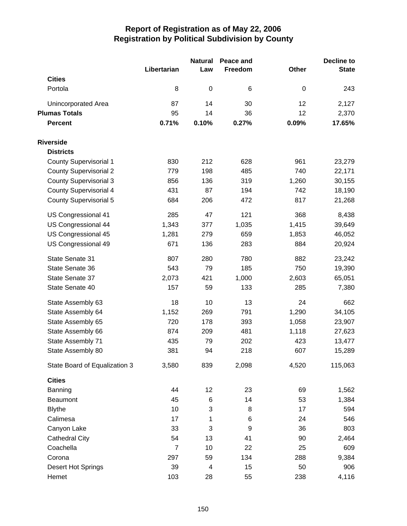|                               | Libertarian    | <b>Natural</b><br>Law | Peace and<br>Freedom | Other       | <b>Decline to</b><br><b>State</b> |
|-------------------------------|----------------|-----------------------|----------------------|-------------|-----------------------------------|
| <b>Cities</b>                 |                |                       |                      |             |                                   |
| Portola                       | 8              | $\mathbf 0$           | 6                    | $\mathbf 0$ | 243                               |
| Unincorporated Area           | 87             | 14                    | 30                   | 12          | 2,127                             |
| <b>Plumas Totals</b>          | 95             | 14                    | 36                   | 12          | 2,370                             |
| <b>Percent</b>                | 0.71%          | 0.10%                 | 0.27%                | 0.09%       | 17.65%                            |
| <b>Riverside</b>              |                |                       |                      |             |                                   |
| <b>Districts</b>              |                |                       |                      |             |                                   |
| <b>County Supervisorial 1</b> | 830            | 212                   | 628                  | 961         | 23,279                            |
| <b>County Supervisorial 2</b> | 779            | 198                   | 485                  | 740         | 22,171                            |
| <b>County Supervisorial 3</b> | 856            | 136                   | 319                  | 1,260       | 30,155                            |
| <b>County Supervisorial 4</b> | 431            | 87                    | 194                  | 742         | 18,190                            |
| <b>County Supervisorial 5</b> | 684            | 206                   | 472                  | 817         | 21,268                            |
| US Congressional 41           | 285            | 47                    | 121                  | 368         | 8,438                             |
| US Congressional 44           | 1,343          | 377                   | 1,035                | 1,415       | 39,649                            |
| US Congressional 45           | 1,281          | 279                   | 659                  | 1,853       | 46,052                            |
| US Congressional 49           | 671            | 136                   | 283                  | 884         | 20,924                            |
| State Senate 31               | 807            | 280                   | 780                  | 882         | 23,242                            |
| State Senate 36               | 543            | 79                    | 185                  | 750         | 19,390                            |
| State Senate 37               | 2,073          | 421                   | 1,000                | 2,603       | 65,051                            |
| State Senate 40               | 157            | 59                    | 133                  | 285         | 7,380                             |
| State Assembly 63             | 18             | 10                    | 13                   | 24          | 662                               |
| State Assembly 64             | 1,152          | 269                   | 791                  | 1,290       | 34,105                            |
| State Assembly 65             | 720            | 178                   | 393                  | 1,058       | 23,907                            |
| State Assembly 66             | 874            | 209                   | 481                  | 1,118       | 27,623                            |
| State Assembly 71             | 435            | 79                    | 202                  | 423         | 13,477                            |
| State Assembly 80             | 381            | 94                    | 218                  | 607         | 15,289                            |
| State Board of Equalization 3 | 3,580          | 839                   | 2,098                | 4,520       | 115,063                           |
| <b>Cities</b>                 |                |                       |                      |             |                                   |
| Banning                       | 44             | 12                    | 23                   | 69          | 1,562                             |
| Beaumont                      | 45             | 6                     | 14                   | 53          | 1,384                             |
| <b>Blythe</b>                 | 10             | 3                     | 8                    | 17          | 594                               |
| Calimesa                      | 17             | 1                     | 6                    | 24          | 546                               |
| Canyon Lake                   | 33             | 3                     | 9                    | 36          | 803                               |
| <b>Cathedral City</b>         | 54             | 13                    | 41                   | 90          | 2,464                             |
| Coachella                     | $\overline{7}$ | 10                    | 22                   | 25          | 609                               |
| Corona                        | 297            | 59                    | 134                  | 288         | 9,384                             |
| Desert Hot Springs            | 39             | 4                     | 15                   | 50          | 906                               |
| Hemet                         | 103            | 28                    | 55                   | 238         | 4,116                             |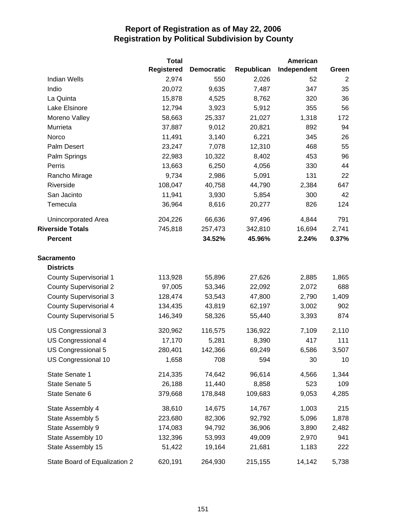|                               | <b>Total</b>      |                   |            | American    |       |
|-------------------------------|-------------------|-------------------|------------|-------------|-------|
|                               | <b>Registered</b> | <b>Democratic</b> | Republican | Independent | Green |
| <b>Indian Wells</b>           | 2,974             | 550               | 2,026      | 52          | 2     |
| Indio                         | 20,072            | 9,635             | 7,487      | 347         | 35    |
| La Quinta                     | 15,878            | 4,525             | 8,762      | 320         | 36    |
| Lake Elsinore                 | 12,794            | 3,923             | 5,912      | 355         | 56    |
| Moreno Valley                 | 58,663            | 25,337            | 21,027     | 1,318       | 172   |
| Murrieta                      | 37,887            | 9,012             | 20,821     | 892         | 94    |
| Norco                         | 11,491            | 3,140             | 6,221      | 345         | 26    |
| Palm Desert                   | 23,247            | 7,078             | 12,310     | 468         | 55    |
| Palm Springs                  | 22,983            | 10,322            | 8,402      | 453         | 96    |
| Perris                        | 13,663            | 6,250             | 4,056      | 330         | 44    |
| Rancho Mirage                 | 9,734             | 2,986             | 5,091      | 131         | 22    |
| Riverside                     | 108,047           | 40,758            | 44,790     | 2,384       | 647   |
| San Jacinto                   | 11,941            | 3,930             | 5,854      | 300         | 42    |
| Temecula                      | 36,964            | 8,616             | 20,277     | 826         | 124   |
| Unincorporated Area           | 204,226           | 66,636            | 97,496     | 4,844       | 791   |
| <b>Riverside Totals</b>       | 745,818           | 257,473           | 342,810    | 16,694      | 2,741 |
| <b>Percent</b>                |                   | 34.52%            | 45.96%     | 2.24%       | 0.37% |
| <b>Sacramento</b>             |                   |                   |            |             |       |
| <b>Districts</b>              |                   |                   |            |             |       |
| <b>County Supervisorial 1</b> | 113,928           | 55,896            | 27,626     | 2,885       | 1,865 |
| <b>County Supervisorial 2</b> | 97,005            | 53,346            | 22,092     | 2,072       | 688   |
| <b>County Supervisorial 3</b> | 128,474           | 53,543            | 47,800     | 2,790       | 1,409 |
| <b>County Supervisorial 4</b> | 134,435           | 43,819            | 62,197     | 3,002       | 902   |
| <b>County Supervisorial 5</b> | 146,349           | 58,326            | 55,440     | 3,393       | 874   |
| US Congressional 3            | 320,962           | 116,575           | 136,922    | 7,109       | 2,110 |
| US Congressional 4            | 17,170            | 5,281             | 8,390      | 417         | 111   |
| US Congressional 5            | 280,401           | 142,366           | 69,249     | 6,586       | 3,507 |
| US Congressional 10           | 1,658             | 708               | 594        | 30          | 10    |
| State Senate 1                | 214,335           | 74,642            | 96,614     | 4,566       | 1,344 |
| State Senate 5                | 26,188            | 11,440            | 8,858      | 523         | 109   |
| State Senate 6                | 379,668           | 178,848           | 109,683    | 9,053       | 4,285 |
| State Assembly 4              | 38,610            | 14,675            | 14,767     | 1,003       | 215   |
| State Assembly 5              | 223,680           | 82,306            | 92,792     | 5,096       | 1,878 |
| State Assembly 9              | 174,083           | 94,792            | 36,906     | 3,890       | 2,482 |
| State Assembly 10             | 132,396           | 53,993            | 49,009     | 2,970       | 941   |
| State Assembly 15             | 51,422            | 19,164            | 21,681     | 1,183       | 222   |
| State Board of Equalization 2 | 620,191           | 264,930           | 215,155    | 14,142      | 5,738 |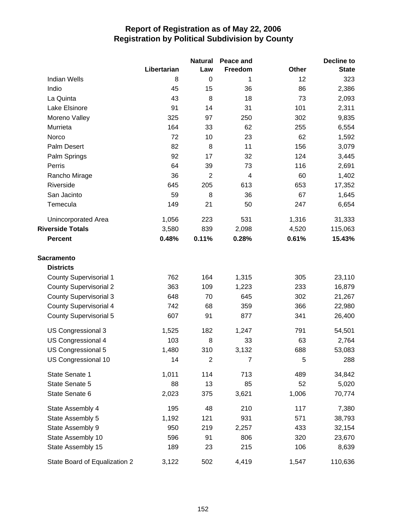|                               |             | <b>Natural</b> | Peace and      |              | Decline to   |  |
|-------------------------------|-------------|----------------|----------------|--------------|--------------|--|
|                               | Libertarian | Law            | Freedom        | <b>Other</b> | <b>State</b> |  |
| <b>Indian Wells</b>           | 8           | 0              | 1              | 12           | 323          |  |
| Indio                         | 45          | 15             | 36             | 86           | 2,386        |  |
| La Quinta                     | 43          | 8              | 18             | 73           | 2,093        |  |
| Lake Elsinore                 | 91          | 14             | 31             | 101          | 2,311        |  |
| Moreno Valley                 | 325         | 97             | 250            | 302          | 9,835        |  |
| Murrieta                      | 164         | 33             | 62             | 255          | 6,554        |  |
| Norco                         | 72          | 10             | 23             | 62           | 1,592        |  |
| Palm Desert                   | 82          | 8              | 11             | 156          | 3,079        |  |
| Palm Springs                  | 92          | 17             | 32             | 124          | 3,445        |  |
| Perris                        | 64          | 39             | 73             | 116          | 2,691        |  |
| Rancho Mirage                 | 36          | $\overline{2}$ | 4              | 60           | 1,402        |  |
| Riverside                     | 645         | 205            | 613            | 653          | 17,352       |  |
| San Jacinto                   | 59          | 8              | 36             | 67           | 1,645        |  |
| Temecula                      | 149         | 21             | 50             | 247          | 6,654        |  |
| <b>Unincorporated Area</b>    | 1,056       | 223            | 531            | 1,316        | 31,333       |  |
| <b>Riverside Totals</b>       | 3,580       | 839            | 2,098          | 4,520        | 115,063      |  |
| <b>Percent</b>                | 0.48%       | 0.11%          | 0.28%          | 0.61%        | 15.43%       |  |
| <b>Sacramento</b>             |             |                |                |              |              |  |
| <b>Districts</b>              |             |                |                |              |              |  |
| <b>County Supervisorial 1</b> | 762         | 164            | 1,315          | 305          | 23,110       |  |
| <b>County Supervisorial 2</b> | 363         | 109            | 1,223          | 233          | 16,879       |  |
| <b>County Supervisorial 3</b> | 648         | 70             | 645            | 302          | 21,267       |  |
| <b>County Supervisorial 4</b> | 742         | 68             | 359            | 366          | 22,980       |  |
| County Supervisorial 5        | 607         | 91             | 877            | 341          | 26,400       |  |
| US Congressional 3            | 1,525       | 182            | 1,247          | 791          | 54,501       |  |
| US Congressional 4            | 103         | 8              | 33             | 63           | 2,764        |  |
| US Congressional 5            | 1,480       | 310            | 3,132          | 688          | 53,083       |  |
| US Congressional 10           | 14          | $\overline{c}$ | $\overline{7}$ | 5            | 288          |  |
| State Senate 1                | 1,011       | 114            | 713            | 489          | 34,842       |  |
| State Senate 5                | 88          | 13             | 85             | 52           | 5,020        |  |
| State Senate 6                | 2,023       | 375            | 3,621          | 1,006        | 70,774       |  |
| State Assembly 4              | 195         | 48             | 210            | 117          | 7,380        |  |
| State Assembly 5              | 1,192       | 121            | 931            | 571          | 38,793       |  |
| State Assembly 9              | 950         | 219            | 2,257          | 433          | 32,154       |  |
| State Assembly 10             | 596         | 91             | 806            | 320          | 23,670       |  |
| State Assembly 15             | 189         | 23             | 215            | 106          | 8,639        |  |
| State Board of Equalization 2 | 3,122       | 502            | 4,419          | 1,547        | 110,636      |  |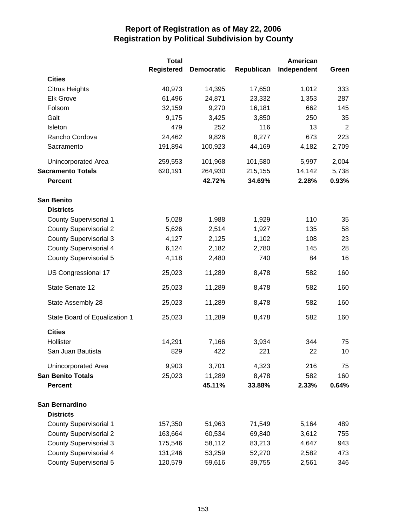|                               | <b>Total</b>      |                   |            | <b>American</b> |                |
|-------------------------------|-------------------|-------------------|------------|-----------------|----------------|
|                               | <b>Registered</b> | <b>Democratic</b> | Republican | Independent     | Green          |
| <b>Cities</b>                 |                   |                   |            |                 |                |
| <b>Citrus Heights</b>         | 40,973            | 14,395            | 17,650     | 1,012           | 333            |
| <b>Elk Grove</b>              | 61,496            | 24,871            | 23,332     | 1,353           | 287            |
| Folsom                        | 32,159            | 9,270             | 16,181     | 662             | 145            |
| Galt                          | 9,175             | 3,425             | 3,850      | 250             | 35             |
| Isleton                       | 479               | 252               | 116        | 13              | $\overline{2}$ |
| Rancho Cordova                | 24,462            | 9,826             | 8,277      | 673             | 223            |
| Sacramento                    | 191,894           | 100,923           | 44,169     | 4,182           | 2,709          |
| Unincorporated Area           | 259,553           | 101,968           | 101,580    | 5,997           | 2,004          |
| <b>Sacramento Totals</b>      | 620,191           | 264,930           | 215,155    | 14,142          | 5,738          |
| <b>Percent</b>                |                   | 42.72%            | 34.69%     | 2.28%           | 0.93%          |
| <b>San Benito</b>             |                   |                   |            |                 |                |
| <b>Districts</b>              |                   |                   |            |                 |                |
| <b>County Supervisorial 1</b> | 5,028             | 1,988             | 1,929      | 110             | 35             |
| <b>County Supervisorial 2</b> | 5,626             | 2,514             | 1,927      | 135             | 58             |
| <b>County Supervisorial 3</b> | 4,127             | 2,125             | 1,102      | 108             | 23             |
| <b>County Supervisorial 4</b> | 6,124             | 2,182             | 2,780      | 145             | 28             |
| <b>County Supervisorial 5</b> | 4,118             | 2,480             | 740        | 84              | 16             |
| US Congressional 17           | 25,023            | 11,289            | 8,478      | 582             | 160            |
| State Senate 12               | 25,023            | 11,289            | 8,478      | 582             | 160            |
| State Assembly 28             | 25,023            | 11,289            | 8,478      | 582             | 160            |
| State Board of Equalization 1 | 25,023            | 11,289            | 8,478      | 582             | 160            |
| <b>Cities</b>                 |                   |                   |            |                 |                |
| Hollister                     | 14,291            | 7,166             | 3,934      | 344             | 75             |
| San Juan Bautista             | 829               | 422               | 221        | 22              | 10             |
| Unincorporated Area           | 9,903             | 3,701             | 4,323      | 216             | 75             |
| <b>San Benito Totals</b>      | 25,023            | 11,289            | 8,478      | 582             | 160            |
| <b>Percent</b>                |                   | 45.11%            | 33.88%     | 2.33%           | 0.64%          |
| San Bernardino                |                   |                   |            |                 |                |
| <b>Districts</b>              |                   |                   |            |                 |                |
| <b>County Supervisorial 1</b> | 157,350           | 51,963            | 71,549     | 5,164           | 489            |
| <b>County Supervisorial 2</b> | 163,664           | 60,534            | 69,840     | 3,612           | 755            |
| <b>County Supervisorial 3</b> | 175,546           | 58,112            | 83,213     | 4,647           | 943            |
| <b>County Supervisorial 4</b> | 131,246           | 53,259            | 52,270     | 2,582           | 473            |
| County Supervisorial 5        | 120,579           | 59,616            | 39,755     | 2,561           | 346            |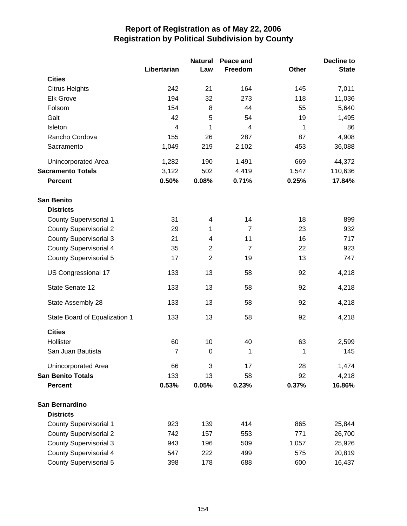|                               |                | <b>Natural</b>   | Peace and      |              | Decline to   |
|-------------------------------|----------------|------------------|----------------|--------------|--------------|
|                               | Libertarian    | Law              | Freedom        | <b>Other</b> | <b>State</b> |
| <b>Cities</b>                 |                |                  |                |              |              |
| <b>Citrus Heights</b>         | 242            | 21               | 164            | 145          | 7,011        |
| <b>Elk Grove</b>              | 194            | 32               | 273            | 118          | 11,036       |
| Folsom                        | 154            | 8                | 44             | 55           | 5,640        |
| Galt                          | 42             | 5                | 54             | 19           | 1,495        |
| Isleton                       | $\overline{4}$ | 1                | 4              | 1            | 86           |
| Rancho Cordova                | 155            | 26               | 287            | 87           | 4,908        |
| Sacramento                    | 1,049          | 219              | 2,102          | 453          | 36,088       |
| Unincorporated Area           | 1,282          | 190              | 1,491          | 669          | 44,372       |
| <b>Sacramento Totals</b>      | 3,122          | 502              | 4,419          | 1,547        | 110,636      |
| <b>Percent</b>                | 0.50%          | 0.08%            | 0.71%          | 0.25%        | 17.84%       |
| <b>San Benito</b>             |                |                  |                |              |              |
| <b>Districts</b>              |                |                  |                |              |              |
| <b>County Supervisorial 1</b> | 31             | 4                | 14             | 18           | 899          |
| <b>County Supervisorial 2</b> | 29             | 1                | $\overline{7}$ | 23           | 932          |
| <b>County Supervisorial 3</b> | 21             | 4                | 11             | 16           | 717          |
| <b>County Supervisorial 4</b> | 35             | $\overline{c}$   | $\overline{7}$ | 22           | 923          |
| <b>County Supervisorial 5</b> | 17             | $\overline{2}$   | 19             | 13           | 747          |
| US Congressional 17           | 133            | 13               | 58             | 92           | 4,218        |
| State Senate 12               | 133            | 13               | 58             | 92           | 4,218        |
| State Assembly 28             | 133            | 13               | 58             | 92           | 4,218        |
| State Board of Equalization 1 | 133            | 13               | 58             | 92           | 4,218        |
| <b>Cities</b>                 |                |                  |                |              |              |
| Hollister                     | 60             | 10               | 40             | 63           | 2,599        |
| San Juan Bautista             | $\overline{7}$ | $\boldsymbol{0}$ | 1              | 1            | 145          |
| <b>Unincorporated Area</b>    | 66             | 3                | 17             | 28           | 1,474        |
| <b>San Benito Totals</b>      | 133            | 13               | 58             | 92           | 4,218        |
| <b>Percent</b>                | 0.53%          | 0.05%            | 0.23%          | 0.37%        | 16.86%       |
| San Bernardino                |                |                  |                |              |              |
| <b>Districts</b>              |                |                  |                |              |              |
| <b>County Supervisorial 1</b> | 923            | 139              | 414            | 865          | 25,844       |
| <b>County Supervisorial 2</b> | 742            | 157              | 553            | 771          | 26,700       |
| <b>County Supervisorial 3</b> | 943            | 196              | 509            | 1,057        | 25,926       |
| <b>County Supervisorial 4</b> | 547            | 222              | 499            | 575          | 20,819       |
| <b>County Supervisorial 5</b> | 398            | 178              | 688            | 600          | 16,437       |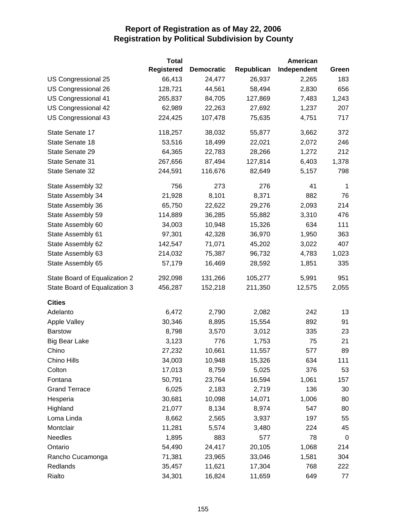|                               | <b>Total</b>      |                   |            | American    |             |
|-------------------------------|-------------------|-------------------|------------|-------------|-------------|
|                               | <b>Registered</b> | <b>Democratic</b> | Republican | Independent | Green       |
| US Congressional 25           | 66,413            | 24,477            | 26,937     | 2,265       | 183         |
| US Congressional 26           | 128,721           | 44,561            | 58,494     | 2,830       | 656         |
| US Congressional 41           | 265,837           | 84,705            | 127,869    | 7,483       | 1,243       |
| US Congressional 42           | 62,989            | 22,263            | 27,692     | 1,237       | 207         |
| US Congressional 43           | 224,425           | 107,478           | 75,635     | 4,751       | 717         |
| State Senate 17               | 118,257           | 38,032            | 55,877     | 3,662       | 372         |
| State Senate 18               | 53,516            | 18,499            | 22,021     | 2,072       | 246         |
| State Senate 29               | 64,365            | 22,783            | 28,266     | 1,272       | 212         |
| State Senate 31               | 267,656           | 87,494            | 127,814    | 6,403       | 1,378       |
| State Senate 32               | 244,591           | 116,676           | 82,649     | 5,157       | 798         |
| State Assembly 32             | 756               | 273               | 276        | 41          | 1           |
| State Assembly 34             | 21,928            | 8,101             | 8,371      | 882         | 76          |
| State Assembly 36             | 65,750            | 22,622            | 29,276     | 2,093       | 214         |
| State Assembly 59             | 114,889           | 36,285            | 55,882     | 3,310       | 476         |
| State Assembly 60             | 34,003            | 10,948            | 15,326     | 634         | 111         |
| State Assembly 61             | 97,301            | 42,328            | 36,970     | 1,950       | 363         |
| State Assembly 62             | 142,547           | 71,071            | 45,202     | 3,022       | 407         |
| State Assembly 63             | 214,032           | 75,387            | 96,732     | 4,783       | 1,023       |
| State Assembly 65             | 57,179            | 16,469            | 28,592     | 1,851       | 335         |
| State Board of Equalization 2 | 292,098           | 131,266           | 105,277    | 5,991       | 951         |
| State Board of Equalization 3 | 456,287           | 152,218           | 211,350    | 12,575      | 2,055       |
| <b>Cities</b>                 |                   |                   |            |             |             |
| Adelanto                      | 6,472             | 2,790             | 2,082      | 242         | 13          |
| <b>Apple Valley</b>           | 30,346            | 8,895             | 15,554     | 892         | 91          |
| <b>Barstow</b>                | 8,798             | 3,570             | 3,012      | 335         | 23          |
| <b>Big Bear Lake</b>          | 3,123             | 776               | 1,753      | 75          | 21          |
| Chino                         | 27,232            | 10,661            | 11,557     | 577         | 89          |
| Chino Hills                   | 34,003            | 10,948            | 15,326     | 634         | 111         |
| Colton                        | 17,013            | 8,759             | 5,025      | 376         | 53          |
| Fontana                       | 50,791            | 23,764            | 16,594     | 1,061       | 157         |
| <b>Grand Terrace</b>          | 6,025             | 2,183             | 2,719      | 136         | 30          |
| Hesperia                      | 30,681            | 10,098            | 14,071     | 1,006       | 80          |
| Highland                      | 21,077            | 8,134             | 8,974      | 547         | 80          |
| Loma Linda                    | 8,662             | 2,565             | 3,937      | 197         | 55          |
| Montclair                     | 11,281            | 5,574             | 3,480      | 224         | 45          |
| <b>Needles</b>                | 1,895             | 883               | 577        | 78          | $\mathbf 0$ |
| Ontario                       | 54,490            | 24,417            | 20,105     | 1,068       | 214         |
| Rancho Cucamonga              | 71,381            | 23,965            | 33,046     | 1,581       | 304         |
| Redlands                      | 35,457            | 11,621            | 17,304     | 768         | 222         |
| Rialto                        | 34,301            | 16,824            | 11,659     | 649         | 77          |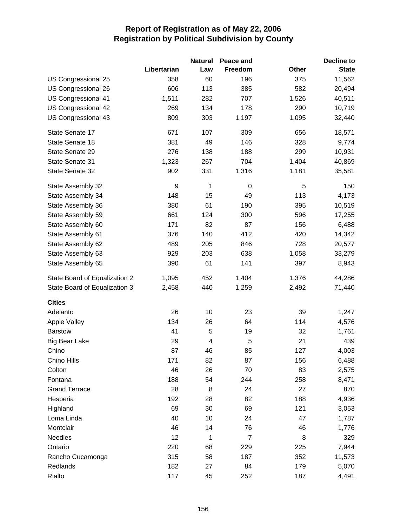|                               |             | <b>Natural</b> | Peace and |       | <b>Decline to</b> |
|-------------------------------|-------------|----------------|-----------|-------|-------------------|
|                               | Libertarian | Law            | Freedom   | Other | <b>State</b>      |
| US Congressional 25           | 358         | 60             | 196       | 375   | 11,562            |
| US Congressional 26           | 606         | 113            | 385       | 582   | 20,494            |
| US Congressional 41           | 1,511       | 282            | 707       | 1,526 | 40,511            |
| US Congressional 42           | 269         | 134            | 178       | 290   | 10,719            |
| US Congressional 43           | 809         | 303            | 1,197     | 1,095 | 32,440            |
| State Senate 17               | 671         | 107            | 309       | 656   | 18,571            |
| State Senate 18               | 381         | 49             | 146       | 328   | 9,774             |
| State Senate 29               | 276         | 138            | 188       | 299   | 10,931            |
| State Senate 31               | 1,323       | 267            | 704       | 1,404 | 40,869            |
| State Senate 32               | 902         | 331            | 1,316     | 1,181 | 35,581            |
| State Assembly 32             | 9           | 1              | 0         | 5     | 150               |
| State Assembly 34             | 148         | 15             | 49        | 113   | 4,173             |
| State Assembly 36             | 380         | 61             | 190       | 395   | 10,519            |
| State Assembly 59             | 661         | 124            | 300       | 596   | 17,255            |
| State Assembly 60             | 171         | 82             | 87        | 156   | 6,488             |
| State Assembly 61             | 376         | 140            | 412       | 420   | 14,342            |
| State Assembly 62             | 489         | 205            | 846       | 728   | 20,577            |
| State Assembly 63             | 929         | 203            | 638       | 1,058 | 33,279            |
| State Assembly 65             | 390         | 61             | 141       | 397   | 8,943             |
| State Board of Equalization 2 | 1,095       | 452            | 1,404     | 1,376 | 44,286            |
| State Board of Equalization 3 | 2,458       | 440            | 1,259     | 2,492 | 71,440            |
| <b>Cities</b>                 |             |                |           |       |                   |
| Adelanto                      | 26          | 10             | 23        | 39    | 1,247             |
| <b>Apple Valley</b>           | 134         | 26             | 64        | 114   | 4,576             |
| <b>Barstow</b>                | 41          | 5              | 19        | 32    | 1,761             |
| <b>Big Bear Lake</b>          | 29          | $\overline{4}$ | 5         | 21    | 439               |
| Chino                         | 87          | 46             | 85        | 127   | 4,003             |
| Chino Hills                   | 171         | 82             | 87        | 156   | 6,488             |
| Colton                        | 46          | 26             | 70        | 83    | 2,575             |
| Fontana                       | 188         | 54             | 244       | 258   | 8,471             |
| <b>Grand Terrace</b>          | 28          | 8              | 24        | 27    | 870               |
| Hesperia                      | 192         | 28             | 82        | 188   | 4,936             |
| Highland                      | 69          | 30             | 69        | 121   | 3,053             |
| Loma Linda                    | 40          | 10             | 24        | 47    | 1,787             |
| Montclair                     | 46          | 14             | 76        | 46    | 1,776             |
| <b>Needles</b>                | 12          | 1              | 7         | 8     | 329               |
| Ontario                       | 220         | 68             | 229       | 225   | 7,944             |
| Rancho Cucamonga              | 315         | 58             | 187       | 352   | 11,573            |
| Redlands                      | 182         | 27             | 84        | 179   | 5,070             |
| Rialto                        | 117         | 45             | 252       | 187   | 4,491             |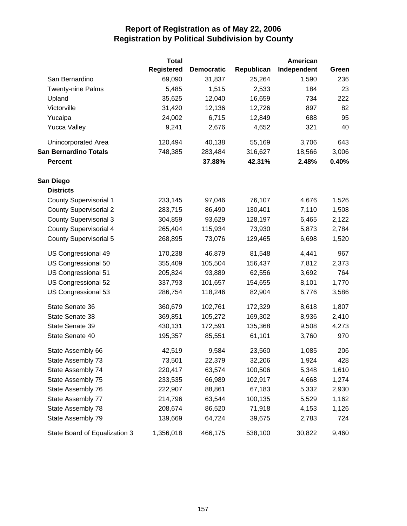|                               | <b>Total</b>      |                   |            | American    |       |
|-------------------------------|-------------------|-------------------|------------|-------------|-------|
|                               | <b>Registered</b> | <b>Democratic</b> | Republican | Independent | Green |
| San Bernardino                | 69,090            | 31,837            | 25,264     | 1,590       | 236   |
| <b>Twenty-nine Palms</b>      | 5,485             | 1,515             | 2,533      | 184         | 23    |
| Upland                        | 35,625            | 12,040            | 16,659     | 734         | 222   |
| Victorville                   | 31,420            | 12,136            | 12,726     | 897         | 82    |
| Yucaipa                       | 24,002            | 6,715             | 12,849     | 688         | 95    |
| <b>Yucca Valley</b>           | 9,241             | 2,676             | 4,652      | 321         | 40    |
| Unincorporated Area           | 120,494           | 40,138            | 55,169     | 3,706       | 643   |
| <b>San Bernardino Totals</b>  | 748,385           | 283,484           | 316,627    | 18,566      | 3,006 |
| <b>Percent</b>                |                   | 37.88%            | 42.31%     | 2.48%       | 0.40% |
| San Diego                     |                   |                   |            |             |       |
| <b>Districts</b>              |                   |                   |            |             |       |
| <b>County Supervisorial 1</b> | 233,145           | 97,046            | 76,107     | 4,676       | 1,526 |
| <b>County Supervisorial 2</b> | 283,715           | 86,490            | 130,401    | 7,110       | 1,508 |
| <b>County Supervisorial 3</b> | 304,859           | 93,629            | 128,197    | 6,465       | 2,122 |
| <b>County Supervisorial 4</b> | 265,404           | 115,934           | 73,930     | 5,873       | 2,784 |
| <b>County Supervisorial 5</b> | 268,895           | 73,076            | 129,465    | 6,698       | 1,520 |
| US Congressional 49           | 170,238           | 46,879            | 81,548     | 4,441       | 967   |
| US Congressional 50           | 355,409           | 105,504           | 156,437    | 7,812       | 2,373 |
| US Congressional 51           | 205,824           | 93,889            | 62,556     | 3,692       | 764   |
| US Congressional 52           | 337,793           | 101,657           | 154,655    | 8,101       | 1,770 |
| US Congressional 53           | 286,754           | 118,246           | 82,904     | 6,776       | 3,586 |
| State Senate 36               | 360,679           | 102,761           | 172,329    | 8,618       | 1,807 |
| State Senate 38               | 369,851           | 105,272           | 169,302    | 8,936       | 2,410 |
| State Senate 39               | 430,131           | 172,591           | 135,368    | 9,508       | 4,273 |
| State Senate 40               | 195,357           | 85,551            | 61,101     | 3,760       | 970   |
| State Assembly 66             | 42,519            | 9,584             | 23,560     | 1,085       | 206   |
| State Assembly 73             | 73,501            | 22,379            | 32,206     | 1,924       | 428   |
| State Assembly 74             | 220,417           | 63,574            | 100,506    | 5,348       | 1,610 |
| State Assembly 75             | 233,535           | 66,989            | 102,917    | 4,668       | 1,274 |
| State Assembly 76             | 222,907           | 88,861            | 67,183     | 5,332       | 2,930 |
| State Assembly 77             | 214,796           | 63,544            | 100,135    | 5,529       | 1,162 |
| State Assembly 78             | 208,674           | 86,520            | 71,918     | 4,153       | 1,126 |
| State Assembly 79             | 139,669           | 64,724            | 39,675     | 2,783       | 724   |
| State Board of Equalization 3 | 1,356,018         | 466,175           | 538,100    | 30,822      | 9,460 |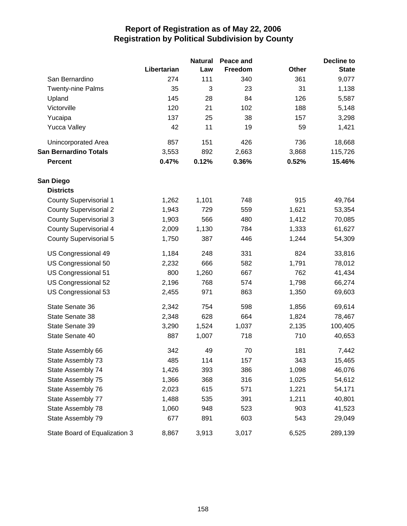|                               |             | <b>Natural</b> | Peace and |              | <b>Decline to</b> |
|-------------------------------|-------------|----------------|-----------|--------------|-------------------|
|                               | Libertarian | Law            | Freedom   | <b>Other</b> | <b>State</b>      |
| San Bernardino                | 274         | 111            | 340       | 361          | 9,077             |
| <b>Twenty-nine Palms</b>      | 35          | 3              | 23        | 31           | 1,138             |
| Upland                        | 145         | 28             | 84        | 126          | 5,587             |
| Victorville                   | 120         | 21             | 102       | 188          | 5,148             |
| Yucaipa                       | 137         | 25             | 38        | 157          | 3,298             |
| <b>Yucca Valley</b>           | 42          | 11             | 19        | 59           | 1,421             |
| Unincorporated Area           | 857         | 151            | 426       | 736          | 18,668            |
| <b>San Bernardino Totals</b>  | 3,553       | 892            | 2,663     | 3,868        | 115,726           |
| <b>Percent</b>                | 0.47%       | 0.12%          | 0.36%     | 0.52%        | 15.46%            |
| San Diego                     |             |                |           |              |                   |
| <b>Districts</b>              |             |                |           |              |                   |
| <b>County Supervisorial 1</b> | 1,262       | 1,101          | 748       | 915          | 49,764            |
| <b>County Supervisorial 2</b> | 1,943       | 729            | 559       | 1,621        | 53,354            |
| <b>County Supervisorial 3</b> | 1,903       | 566            | 480       | 1,412        | 70,085            |
| <b>County Supervisorial 4</b> | 2,009       | 1,130          | 784       | 1,333        | 61,627            |
| <b>County Supervisorial 5</b> | 1,750       | 387            | 446       | 1,244        | 54,309            |
| US Congressional 49           | 1,184       | 248            | 331       | 824          | 33,816            |
| US Congressional 50           | 2,232       | 666            | 582       | 1,791        | 78,012            |
| US Congressional 51           | 800         | 1,260          | 667       | 762          | 41,434            |
| US Congressional 52           | 2,196       | 768            | 574       | 1,798        | 66,274            |
| US Congressional 53           | 2,455       | 971            | 863       | 1,350        | 69,603            |
| State Senate 36               | 2,342       | 754            | 598       | 1,856        | 69,614            |
| State Senate 38               | 2,348       | 628            | 664       | 1,824        | 78,467            |
| State Senate 39               | 3,290       | 1,524          | 1,037     | 2,135        | 100,405           |
| State Senate 40               | 887         | 1,007          | 718       | 710          | 40,653            |
| State Assembly 66             | 342         | 49             | 70        | 181          | 7,442             |
| State Assembly 73             | 485         | 114            | 157       | 343          | 15,465            |
| State Assembly 74             | 1,426       | 393            | 386       | 1,098        | 46,076            |
| State Assembly 75             | 1,366       | 368            | 316       | 1,025        | 54,612            |
| State Assembly 76             | 2,023       | 615            | 571       | 1,221        | 54,171            |
| State Assembly 77             | 1,488       | 535            | 391       | 1,211        | 40,801            |
| State Assembly 78             | 1,060       | 948            | 523       | 903          | 41,523            |
| State Assembly 79             | 677         | 891            | 603       | 543          | 29,049            |
| State Board of Equalization 3 | 8,867       | 3,913          | 3,017     | 6,525        | 289,139           |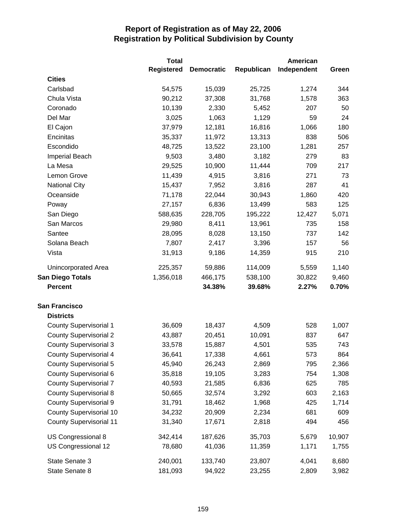|                                | <b>Total</b>      |                   |            | <b>American</b> |        |
|--------------------------------|-------------------|-------------------|------------|-----------------|--------|
|                                | <b>Registered</b> | <b>Democratic</b> | Republican | Independent     | Green  |
| <b>Cities</b>                  |                   |                   |            |                 |        |
| Carlsbad                       | 54,575            | 15,039            | 25,725     | 1,274           | 344    |
| Chula Vista                    | 90,212            | 37,308            | 31,768     | 1,578           | 363    |
| Coronado                       | 10,139            | 2,330             | 5,452      | 207             | 50     |
| Del Mar                        | 3,025             | 1,063             | 1,129      | 59              | 24     |
| El Cajon                       | 37,979            | 12,181            | 16,816     | 1,066           | 180    |
| Encinitas                      | 35,337            | 11,972            | 13,313     | 838             | 506    |
| Escondido                      | 48,725            | 13,522            | 23,100     | 1,281           | 257    |
| <b>Imperial Beach</b>          | 9,503             | 3,480             | 3,182      | 279             | 83     |
| La Mesa                        | 29,525            | 10,900            | 11,444     | 709             | 217    |
| Lemon Grove                    | 11,439            | 4,915             | 3,816      | 271             | 73     |
| <b>National City</b>           | 15,437            | 7,952             | 3,816      | 287             | 41     |
| Oceanside                      | 71,178            | 22,044            | 30,943     | 1,860           | 420    |
| Poway                          | 27,157            | 6,836             | 13,499     | 583             | 125    |
| San Diego                      | 588,635           | 228,705           | 195,222    | 12,427          | 5,071  |
| San Marcos                     | 29,980            | 8,411             | 13,961     | 735             | 158    |
| Santee                         | 28,095            | 8,028             | 13,150     | 737             | 142    |
| Solana Beach                   | 7,807             | 2,417             | 3,396      | 157             | 56     |
| Vista                          | 31,913            | 9,186             | 14,359     | 915             | 210    |
| Unincorporated Area            | 225,357           | 59,886            | 114,009    | 5,559           | 1,140  |
| <b>San Diego Totals</b>        | 1,356,018         | 466,175           | 538,100    | 30,822          | 9,460  |
| <b>Percent</b>                 |                   | 34.38%            | 39.68%     | 2.27%           | 0.70%  |
| <b>San Francisco</b>           |                   |                   |            |                 |        |
| <b>Districts</b>               |                   |                   |            |                 |        |
| <b>County Supervisorial 1</b>  | 36,609            | 18,437            | 4,509      | 528             | 1,007  |
| <b>County Supervisorial 2</b>  | 43,887            | 20,451            | 10,091     | 837             | 647    |
| <b>County Supervisorial 3</b>  | 33,578            | 15,887            | 4,501      | 535             | 743    |
| <b>County Supervisorial 4</b>  | 36,641            | 17,338            | 4,661      | 573             | 864    |
| <b>County Supervisorial 5</b>  | 45,940            | 26,243            | 2,869      | 795             | 2,366  |
| County Supervisorial 6         | 35,818            | 19,105            | 3,283      | 754             | 1,308  |
| <b>County Supervisorial 7</b>  | 40,593            | 21,585            | 6,836      | 625             | 785    |
| <b>County Supervisorial 8</b>  | 50,665            | 32,574            | 3,292      | 603             | 2,163  |
| <b>County Supervisorial 9</b>  | 31,791            | 18,462            | 1,968      | 425             | 1,714  |
| <b>County Supervisorial 10</b> | 34,232            | 20,909            | 2,234      | 681             | 609    |
| <b>County Supervisorial 11</b> | 31,340            | 17,671            | 2,818      | 494             | 456    |
| US Congressional 8             | 342,414           | 187,626           | 35,703     | 5,679           | 10,907 |
| US Congressional 12            | 78,680            | 41,036            | 11,359     | 1,171           | 1,755  |
| State Senate 3                 | 240,001           | 133,740           | 23,807     | 4,041           | 8,680  |
| State Senate 8                 | 181,093           | 94,922            | 23,255     | 2,809           | 3,982  |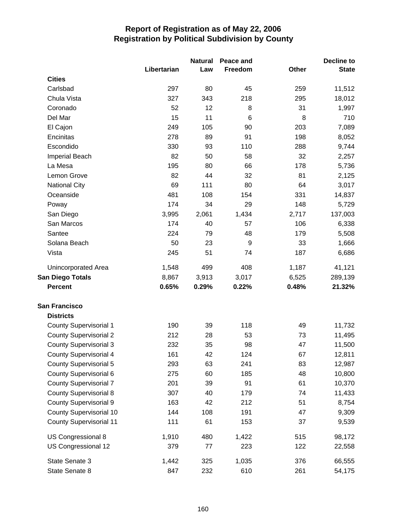|                                |             | <b>Natural</b> | Peace and       |              | Decline to   |
|--------------------------------|-------------|----------------|-----------------|--------------|--------------|
|                                | Libertarian | Law            | Freedom         | <b>Other</b> | <b>State</b> |
| <b>Cities</b>                  |             |                |                 |              |              |
| Carlsbad                       | 297         | 80             | 45              | 259          | 11,512       |
| Chula Vista                    | 327         | 343            | 218             | 295          | 18,012       |
| Coronado                       | 52          | 12             | 8               | 31           | 1,997        |
| Del Mar                        | 15          | 11             | $6\phantom{1}6$ | 8            | 710          |
| El Cajon                       | 249         | 105            | 90              | 203          | 7,089        |
| Encinitas                      | 278         | 89             | 91              | 198          | 8,052        |
| Escondido                      | 330         | 93             | 110             | 288          | 9,744        |
| Imperial Beach                 | 82          | 50             | 58              | 32           | 2,257        |
| La Mesa                        | 195         | 80             | 66              | 178          | 5,736        |
| Lemon Grove                    | 82          | 44             | 32              | 81           | 2,125        |
| <b>National City</b>           | 69          | 111            | 80              | 64           | 3,017        |
| Oceanside                      | 481         | 108            | 154             | 331          | 14,837       |
| Poway                          | 174         | 34             | 29              | 148          | 5,729        |
| San Diego                      | 3,995       | 2,061          | 1,434           | 2,717        | 137,003      |
| San Marcos                     | 174         | 40             | 57              | 106          | 6,338        |
| Santee                         | 224         | 79             | 48              | 179          | 5,508        |
| Solana Beach                   | 50          | 23             | 9               | 33           | 1,666        |
| Vista                          | 245         | 51             | 74              | 187          | 6,686        |
| <b>Unincorporated Area</b>     | 1,548       | 499            | 408             | 1,187        | 41,121       |
| <b>San Diego Totals</b>        | 8,867       | 3,913          | 3,017           | 6,525        | 289,139      |
| <b>Percent</b>                 | 0.65%       | 0.29%          | 0.22%           | 0.48%        | 21.32%       |
| <b>San Francisco</b>           |             |                |                 |              |              |
| <b>Districts</b>               |             |                |                 |              |              |
| <b>County Supervisorial 1</b>  | 190         | 39             | 118             | 49           | 11,732       |
| <b>County Supervisorial 2</b>  | 212         | 28             | 53              | 73           | 11,495       |
| <b>County Supervisorial 3</b>  | 232         | 35             | 98              | 47           | 11,500       |
| <b>County Supervisorial 4</b>  | 161         | 42             | 124             | 67           | 12,811       |
| <b>County Supervisorial 5</b>  | 293         | 63             | 241             | 83           | 12,987       |
| County Supervisorial 6         | 275         | 60             | 185             | 48           | 10,800       |
| <b>County Supervisorial 7</b>  | 201         | 39             | 91              | 61           | 10,370       |
| <b>County Supervisorial 8</b>  | 307         | 40             | 179             | 74           | 11,433       |
| <b>County Supervisorial 9</b>  | 163         | 42             | 212             | 51           | 8,754        |
| <b>County Supervisorial 10</b> | 144         | 108            | 191             | 47           | 9,309        |
| <b>County Supervisorial 11</b> | 111         | 61             | 153             | 37           | 9,539        |
| US Congressional 8             | 1,910       | 480            | 1,422           | 515          | 98,172       |
| US Congressional 12            | 379         | $77 \,$        | 223             | 122          | 22,558       |
| State Senate 3                 | 1,442       | 325            | 1,035           | 376          | 66,555       |
| State Senate 8                 | 847         | 232            | 610             | 261          | 54,175       |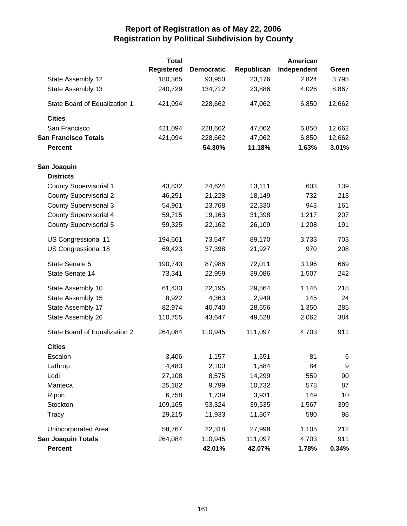|                               | <b>Total</b>      |                   |            | <b>American</b> |        |
|-------------------------------|-------------------|-------------------|------------|-----------------|--------|
|                               | <b>Registered</b> | <b>Democratic</b> | Republican | Independent     | Green  |
| State Assembly 12             | 180,365           | 93,950            | 23,176     | 2,824           | 3,795  |
| State Assembly 13             | 240,729           | 134,712           | 23,886     | 4,026           | 8,867  |
| State Board of Equalization 1 | 421,094           | 228,662           | 47,062     | 6,850           | 12,662 |
| <b>Cities</b>                 |                   |                   |            |                 |        |
| San Francisco                 | 421,094           | 228,662           | 47,062     | 6,850           | 12,662 |
| <b>San Francisco Totals</b>   | 421,094           | 228,662           | 47,062     | 6,850           | 12,662 |
| <b>Percent</b>                |                   | 54.30%            | 11.18%     | 1.63%           | 3.01%  |
| San Joaquin                   |                   |                   |            |                 |        |
| <b>Districts</b>              |                   |                   |            |                 |        |
| <b>County Supervisorial 1</b> | 43,832            | 24,624            | 13,111     | 603             | 139    |
| <b>County Supervisorial 2</b> | 46,251            | 21,228            | 18,149     | 732             | 213    |
| <b>County Supervisorial 3</b> | 54,961            | 23,768            | 22,330     | 943             | 161    |
| <b>County Supervisorial 4</b> | 59,715            | 19,163            | 31,398     | 1,217           | 207    |
| <b>County Supervisorial 5</b> | 59,325            | 22,162            | 26,109     | 1,208           | 191    |
| US Congressional 11           | 194,661           | 73,547            | 89,170     | 3,733           | 703    |
| US Congressional 18           | 69,423            | 37,398            | 21,927     | 970             | 208    |
| State Senate 5                | 190,743           | 87,986            | 72,011     | 3,196           | 669    |
| State Senate 14               | 73,341            | 22,959            | 39,086     | 1,507           | 242    |
| State Assembly 10             | 61,433            | 22,195            | 29,864     | 1,146           | 218    |
| State Assembly 15             | 8,922             | 4,363             | 2,949      | 145             | 24     |
| State Assembly 17             | 82,974            | 40,740            | 28,656     | 1,350           | 285    |
| State Assembly 26             | 110,755           | 43,647            | 49,628     | 2,062           | 384    |
| State Board of Equalization 2 | 264,084           | 110,945           | 111,097    | 4,703           | 911    |
| <b>Cities</b>                 |                   |                   |            |                 |        |
| Escalon                       | 3,406             | 1,157             | 1,651      | 81              | 6      |
| Lathrop                       | 4,483             | 2,100             | 1,584      | 84              | 9      |
| Lodi                          | 27,108            | 8,575             | 14,299     | 559             | 90     |
| Manteca                       | 25,182            | 9,799             | 10,732     | 578             | 87     |
| Ripon                         | 6,758             | 1,739             | 3,931      | 149             | 10     |
| Stockton                      | 109,165           | 53,324            | 39,535     | 1,567           | 399    |
| <b>Tracy</b>                  | 29,215            | 11,933            | 11,367     | 580             | 98     |
| Unincorporated Area           | 58,767            | 22,318            | 27,998     | 1,105           | 212    |
| <b>San Joaquin Totals</b>     | 264,084           | 110,945           | 111,097    | 4,703           | 911    |
| <b>Percent</b>                |                   | 42.01%            | 42.07%     | 1.78%           | 0.34%  |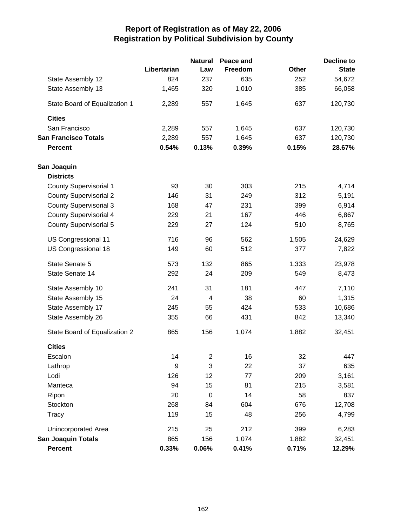|                               |             | <b>Natural</b>   | Peace and |              | <b>Decline to</b> |
|-------------------------------|-------------|------------------|-----------|--------------|-------------------|
|                               | Libertarian | Law              | Freedom   | <b>Other</b> | <b>State</b>      |
| State Assembly 12             | 824         | 237              | 635       | 252          | 54,672            |
| State Assembly 13             | 1,465       | 320              | 1,010     | 385          | 66,058            |
| State Board of Equalization 1 | 2,289       | 557              | 1,645     | 637          | 120,730           |
| <b>Cities</b>                 |             |                  |           |              |                   |
| San Francisco                 | 2,289       | 557              | 1,645     | 637          | 120,730           |
| <b>San Francisco Totals</b>   | 2,289       | 557              | 1,645     | 637          | 120,730           |
| <b>Percent</b>                | 0.54%       | 0.13%            | 0.39%     | 0.15%        | 28.67%            |
| San Joaquin                   |             |                  |           |              |                   |
| <b>Districts</b>              |             |                  |           |              |                   |
| <b>County Supervisorial 1</b> | 93          | 30               | 303       | 215          | 4,714             |
| <b>County Supervisorial 2</b> | 146         | 31               | 249       | 312          | 5,191             |
| <b>County Supervisorial 3</b> | 168         | 47               | 231       | 399          | 6,914             |
| <b>County Supervisorial 4</b> | 229         | 21               | 167       | 446          | 6,867             |
| <b>County Supervisorial 5</b> | 229         | 27               | 124       | 510          | 8,765             |
| US Congressional 11           | 716         | 96               | 562       | 1,505        | 24,629            |
| US Congressional 18           | 149         | 60               | 512       | 377          | 7,822             |
| State Senate 5                | 573         | 132              | 865       | 1,333        | 23,978            |
| State Senate 14               | 292         | 24               | 209       | 549          | 8,473             |
| State Assembly 10             | 241         | 31               | 181       | 447          | 7,110             |
| State Assembly 15             | 24          | 4                | 38        | 60           | 1,315             |
| State Assembly 17             | 245         | 55               | 424       | 533          | 10,686            |
| State Assembly 26             | 355         | 66               | 431       | 842          | 13,340            |
| State Board of Equalization 2 | 865         | 156              | 1,074     | 1,882        | 32,451            |
| <b>Cities</b>                 |             |                  |           |              |                   |
| Escalon                       | 14          | 2                | 16        | 32           | 447               |
| Lathrop                       | 9           | 3                | 22        | 37           | 635               |
| Lodi                          | 126         | 12               | 77        | 209          | 3,161             |
| Manteca                       | 94          | 15               | 81        | 215          | 3,581             |
| Ripon                         | 20          | $\boldsymbol{0}$ | 14        | 58           | 837               |
| Stockton                      | 268         | 84               | 604       | 676          | 12,708            |
| Tracy                         | 119         | 15               | 48        | 256          | 4,799             |
| Unincorporated Area           | 215         | 25               | 212       | 399          | 6,283             |
| <b>San Joaquin Totals</b>     | 865         | 156              | 1,074     | 1,882        | 32,451            |
| Percent                       | 0.33%       | 0.06%            | 0.41%     | 0.71%        | 12.29%            |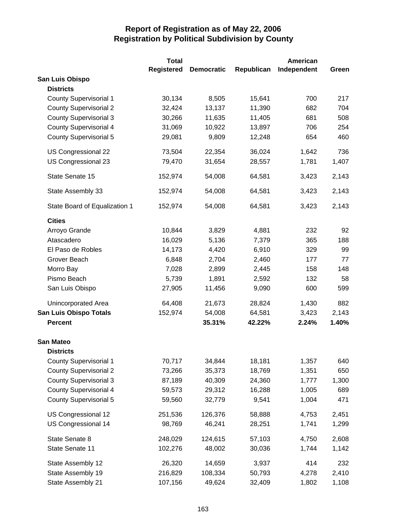|                               | <b>Total</b>      |                   |            | <b>American</b> |       |
|-------------------------------|-------------------|-------------------|------------|-----------------|-------|
|                               | <b>Registered</b> | <b>Democratic</b> | Republican | Independent     | Green |
| San Luis Obispo               |                   |                   |            |                 |       |
| <b>Districts</b>              |                   |                   |            |                 |       |
| <b>County Supervisorial 1</b> | 30,134            | 8,505             | 15,641     | 700             | 217   |
| <b>County Supervisorial 2</b> | 32,424            | 13,137            | 11,390     | 682             | 704   |
| <b>County Supervisorial 3</b> | 30,266            | 11,635            | 11,405     | 681             | 508   |
| <b>County Supervisorial 4</b> | 31,069            | 10,922            | 13,897     | 706             | 254   |
| <b>County Supervisorial 5</b> | 29,081            | 9,809             | 12,248     | 654             | 460   |
| US Congressional 22           | 73,504            | 22,354            | 36,024     | 1,642           | 736   |
| US Congressional 23           | 79,470            | 31,654            | 28,557     | 1,781           | 1,407 |
| State Senate 15               | 152,974           | 54,008            | 64,581     | 3,423           | 2,143 |
| State Assembly 33             | 152,974           | 54,008            | 64,581     | 3,423           | 2,143 |
| State Board of Equalization 1 | 152,974           | 54,008            | 64,581     | 3,423           | 2,143 |
| <b>Cities</b>                 |                   |                   |            |                 |       |
| Arroyo Grande                 | 10,844            | 3,829             | 4,881      | 232             | 92    |
| Atascadero                    | 16,029            | 5,136             | 7,379      | 365             | 188   |
| El Paso de Robles             | 14,173            | 4,420             | 6,910      | 329             | 99    |
| Grover Beach                  | 6,848             | 2,704             | 2,460      | 177             | 77    |
| Morro Bay                     | 7,028             | 2,899             | 2,445      | 158             | 148   |
| Pismo Beach                   | 5,739             | 1,891             | 2,592      | 132             | 58    |
| San Luis Obispo               | 27,905            | 11,456            | 9,090      | 600             | 599   |
| Unincorporated Area           | 64,408            | 21,673            | 28,824     | 1,430           | 882   |
| <b>San Luis Obispo Totals</b> | 152,974           | 54,008            | 64,581     | 3,423           | 2,143 |
| <b>Percent</b>                |                   | 35.31%            | 42.22%     | 2.24%           | 1.40% |
| <b>San Mateo</b>              |                   |                   |            |                 |       |
| <b>Districts</b>              |                   |                   |            |                 |       |
| <b>County Supervisorial 1</b> | 70,717            | 34,844            | 18,181     | 1,357           | 640   |
| <b>County Supervisorial 2</b> | 73,266            | 35,373            | 18,769     | 1,351           | 650   |
| <b>County Supervisorial 3</b> | 87,189            | 40,309            | 24,360     | 1,777           | 1,300 |
| <b>County Supervisorial 4</b> | 59,573            | 29,312            | 16,288     | 1,005           | 689   |
| <b>County Supervisorial 5</b> | 59,560            | 32,779            | 9,541      | 1,004           | 471   |
| US Congressional 12           | 251,536           | 126,376           | 58,888     | 4,753           | 2,451 |
| <b>US Congressional 14</b>    | 98,769            | 46,241            | 28,251     | 1,741           | 1,299 |
| State Senate 8                | 248,029           | 124,615           | 57,103     | 4,750           | 2,608 |
| State Senate 11               | 102,276           | 48,002            | 30,036     | 1,744           | 1,142 |
| State Assembly 12             | 26,320            | 14,659            | 3,937      | 414             | 232   |
| State Assembly 19             | 216,829           | 108,334           | 50,793     | 4,278           | 2,410 |
| State Assembly 21             | 107,156           | 49,624            | 32,409     | 1,802           | 1,108 |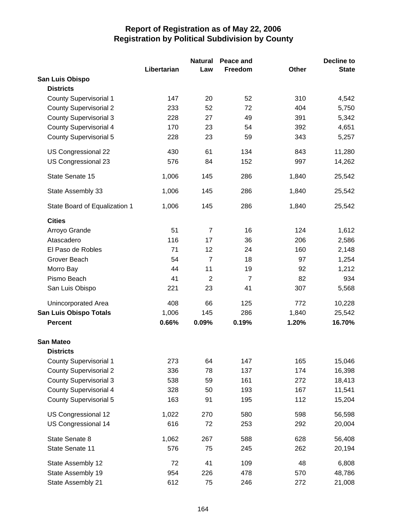|                               |             | <b>Natural</b> | Peace and      |              | <b>Decline to</b> |
|-------------------------------|-------------|----------------|----------------|--------------|-------------------|
|                               | Libertarian | Law            | Freedom        | <b>Other</b> | <b>State</b>      |
| San Luis Obispo               |             |                |                |              |                   |
| <b>Districts</b>              |             |                |                |              |                   |
| <b>County Supervisorial 1</b> | 147         | 20             | 52             | 310          | 4,542             |
| <b>County Supervisorial 2</b> | 233         | 52             | 72             | 404          | 5,750             |
| <b>County Supervisorial 3</b> | 228         | 27             | 49             | 391          | 5,342             |
| <b>County Supervisorial 4</b> | 170         | 23             | 54             | 392          | 4,651             |
| <b>County Supervisorial 5</b> | 228         | 23             | 59             | 343          | 5,257             |
| US Congressional 22           | 430         | 61             | 134            | 843          | 11,280            |
| US Congressional 23           | 576         | 84             | 152            | 997          | 14,262            |
| State Senate 15               | 1,006       | 145            | 286            | 1,840        | 25,542            |
| State Assembly 33             | 1,006       | 145            | 286            | 1,840        | 25,542            |
| State Board of Equalization 1 | 1,006       | 145            | 286            | 1,840        | 25,542            |
| <b>Cities</b>                 |             |                |                |              |                   |
| Arroyo Grande                 | 51          | $\overline{7}$ | 16             | 124          | 1,612             |
| Atascadero                    | 116         | 17             | 36             | 206          | 2,586             |
| El Paso de Robles             | 71          | 12             | 24             | 160          | 2,148             |
| Grover Beach                  | 54          | $\overline{7}$ | 18             | 97           | 1,254             |
| Morro Bay                     | 44          | 11             | 19             | 92           | 1,212             |
| Pismo Beach                   | 41          | $\overline{2}$ | $\overline{7}$ | 82           | 934               |
| San Luis Obispo               | 221         | 23             | 41             | 307          | 5,568             |
| Unincorporated Area           | 408         | 66             | 125            | 772          | 10,228            |
| <b>San Luis Obispo Totals</b> | 1,006       | 145            | 286            | 1,840        | 25,542            |
| <b>Percent</b>                | 0.66%       | 0.09%          | 0.19%          | 1.20%        | 16.70%            |
| <b>San Mateo</b>              |             |                |                |              |                   |
| <b>Districts</b>              |             |                |                |              |                   |
| <b>County Supervisorial 1</b> | 273         | 64             | 147            | 165          | 15,046            |
| <b>County Supervisorial 2</b> | 336         | 78             | 137            | 174          | 16,398            |
| <b>County Supervisorial 3</b> | 538         | 59             | 161            | 272          | 18,413            |
| <b>County Supervisorial 4</b> | 328         | 50             | 193            | 167          | 11,541            |
| <b>County Supervisorial 5</b> | 163         | 91             | 195            | 112          | 15,204            |
| US Congressional 12           | 1,022       | 270            | 580            | 598          | 56,598            |
| US Congressional 14           | 616         | 72             | 253            | 292          | 20,004            |
| State Senate 8                | 1,062       | 267            | 588            | 628          | 56,408            |
| State Senate 11               | 576         | 75             | 245            | 262          | 20,194            |
| State Assembly 12             | 72          | 41             | 109            | 48           | 6,808             |
| State Assembly 19             | 954         | 226            | 478            | 570          | 48,786            |
| State Assembly 21             | 612         | 75             | 246            | 272          | 21,008            |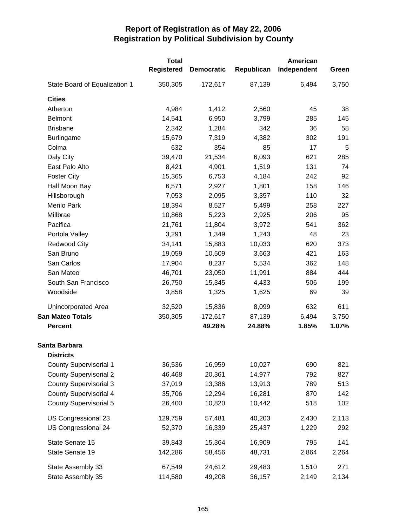|                                                   | <b>Total</b><br><b>Registered</b> | <b>Democratic</b> | Republican | American<br>Independent | Green |
|---------------------------------------------------|-----------------------------------|-------------------|------------|-------------------------|-------|
| State Board of Equalization 1                     | 350,305                           | 172,617           | 87,139     | 6,494                   | 3,750 |
| <b>Cities</b>                                     |                                   |                   |            |                         |       |
| Atherton                                          | 4,984                             | 1,412             | 2,560      | 45                      | 38    |
| <b>Belmont</b>                                    | 14,541                            | 6,950             | 3,799      | 285                     | 145   |
| <b>Brisbane</b>                                   | 2,342                             | 1,284             | 342        | 36                      | 58    |
| <b>Burlingame</b>                                 | 15,679                            | 7,319             | 4,382      | 302                     | 191   |
| Colma                                             | 632                               | 354               | 85         | 17                      | 5     |
| Daly City                                         | 39,470                            | 21,534            | 6,093      | 621                     | 285   |
| East Palo Alto                                    | 8,421                             | 4,901             | 1,519      | 131                     | 74    |
| <b>Foster City</b>                                | 15,365                            | 6,753             | 4,184      | 242                     | 92    |
| Half Moon Bay                                     | 6,571                             | 2,927             | 1,801      | 158                     | 146   |
| Hillsborough                                      | 7,053                             | 2,095             | 3,357      | 110                     | 32    |
| Menlo Park                                        | 18,394                            | 8,527             | 5,499      | 258                     | 227   |
| Millbrae                                          | 10,868                            | 5,223             | 2,925      | 206                     | 95    |
| Pacifica                                          | 21,761                            | 11,804            | 3,972      | 541                     | 362   |
| Portola Valley                                    | 3,291                             | 1,349             | 1,243      | 48                      | 23    |
| <b>Redwood City</b>                               | 34,141                            | 15,883            | 10,033     | 620                     | 373   |
| San Bruno                                         | 19,059                            | 10,509            | 3,663      | 421                     | 163   |
| San Carlos                                        | 17,904                            | 8,237             | 5,534      | 362                     | 148   |
| San Mateo                                         | 46,701                            | 23,050            | 11,991     | 884                     | 444   |
| South San Francisco                               | 26,750                            | 15,345            | 4,433      | 506                     | 199   |
| Woodside                                          | 3,858                             | 1,325             | 1,625      | 69                      | 39    |
| Unincorporated Area                               | 32,520                            | 15,836            | 8,099      | 632                     | 611   |
| <b>San Mateo Totals</b>                           | 350,305                           | 172,617           | 87,139     | 6,494                   | 3,750 |
| <b>Percent</b>                                    |                                   | 49.28%            | 24.88%     | 1.85%                   | 1.07% |
| Santa Barbara                                     |                                   |                   |            |                         |       |
| <b>Districts</b><br><b>County Supervisorial 1</b> | 36,536                            | 16,959            | 10,027     | 690                     | 821   |
| <b>County Supervisorial 2</b>                     | 46,468                            | 20,361            | 14,977     | 792                     | 827   |
| <b>County Supervisorial 3</b>                     | 37,019                            | 13,386            | 13,913     | 789                     | 513   |
| <b>County Supervisorial 4</b>                     | 35,706                            | 12,294            | 16,281     | 870                     | 142   |
| <b>County Supervisorial 5</b>                     | 26,400                            | 10,820            | 10,442     | 518                     | 102   |
|                                                   |                                   |                   |            |                         |       |
| US Congressional 23                               | 129,759                           | 57,481            | 40,203     | 2,430                   | 2,113 |
| US Congressional 24                               | 52,370                            | 16,339            | 25,437     | 1,229                   | 292   |
| State Senate 15                                   | 39,843                            | 15,364            | 16,909     | 795                     | 141   |
| State Senate 19                                   | 142,286                           | 58,456            | 48,731     | 2,864                   | 2,264 |
| State Assembly 33                                 | 67,549                            | 24,612            | 29,483     | 1,510                   | 271   |
| State Assembly 35                                 | 114,580                           | 49,208            | 36,157     | 2,149                   | 2,134 |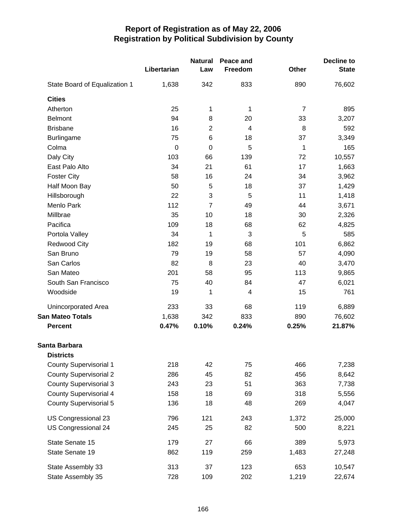|                                   | Libertarian | <b>Natural</b><br>Law | Peace and<br>Freedom | Other          | <b>Decline to</b><br><b>State</b> |
|-----------------------------------|-------------|-----------------------|----------------------|----------------|-----------------------------------|
| State Board of Equalization 1     | 1,638       | 342                   | 833                  | 890            | 76,602                            |
| <b>Cities</b>                     |             |                       |                      |                |                                   |
| Atherton                          | 25          | 1                     | 1                    | $\overline{7}$ | 895                               |
| <b>Belmont</b>                    | 94          | 8                     | 20                   | 33             | 3,207                             |
| <b>Brisbane</b>                   | 16          | $\overline{2}$        | $\overline{4}$       | 8              | 592                               |
| <b>Burlingame</b>                 | 75          | 6                     | 18                   | 37             | 3,349                             |
| Colma                             | $\mathbf 0$ | $\boldsymbol{0}$      | 5                    | 1              | 165                               |
| Daly City                         | 103         | 66                    | 139                  | 72             | 10,557                            |
| East Palo Alto                    | 34          | 21                    | 61                   | 17             | 1,663                             |
| <b>Foster City</b>                | 58          | 16                    | 24                   | 34             | 3,962                             |
| Half Moon Bay                     | 50          | 5                     | 18                   | 37             | 1,429                             |
| Hillsborough                      | 22          | 3                     | 5                    | 11             | 1,418                             |
| Menlo Park                        | 112         | $\overline{7}$        | 49                   | 44             | 3,671                             |
| Millbrae                          | 35          | 10                    | 18                   | 30             | 2,326                             |
| Pacifica                          | 109         | 18                    | 68                   | 62             | 4,825                             |
| Portola Valley                    | 34          | 1                     | 3                    | 5              | 585                               |
| <b>Redwood City</b>               | 182         | 19                    | 68                   | 101            | 6,862                             |
| San Bruno                         | 79          | 19                    | 58                   | 57             | 4,090                             |
| San Carlos                        | 82          | 8                     | 23                   | 40             | 3,470                             |
| San Mateo                         | 201         | 58                    | 95                   | 113            | 9,865                             |
| South San Francisco               | 75          | 40                    | 84                   | 47             | 6,021                             |
| Woodside                          | 19          | 1                     | 4                    | 15             | 761                               |
| Unincorporated Area               | 233         | 33                    | 68                   | 119            | 6,889                             |
| <b>San Mateo Totals</b>           | 1,638       | 342                   | 833                  | 890            | 76,602                            |
| <b>Percent</b>                    | 0.47%       | 0.10%                 | 0.24%                | 0.25%          | 21.87%                            |
| Santa Barbara<br><b>Districts</b> |             |                       |                      |                |                                   |
| <b>County Supervisorial 1</b>     | 218         | 42                    | 75                   | 466            | 7,238                             |
| <b>County Supervisorial 2</b>     | 286         | 45                    | 82                   | 456            | 8,642                             |
| <b>County Supervisorial 3</b>     | 243         | 23                    | 51                   | 363            | 7,738                             |
| <b>County Supervisorial 4</b>     | 158         | 18                    | 69                   | 318            | 5,556                             |
| <b>County Supervisorial 5</b>     | 136         | 18                    | 48                   | 269            | 4,047                             |
| US Congressional 23               | 796         | 121                   | 243                  | 1,372          | 25,000                            |
| US Congressional 24               | 245         | 25                    | 82                   | 500            | 8,221                             |
| State Senate 15                   | 179         | 27                    | 66                   | 389            | 5,973                             |
| State Senate 19                   | 862         | 119                   | 259                  | 1,483          | 27,248                            |
| State Assembly 33                 | 313         | 37                    | 123                  | 653            | 10,547                            |
| State Assembly 35                 | 728         | 109                   | 202                  | 1,219          | 22,674                            |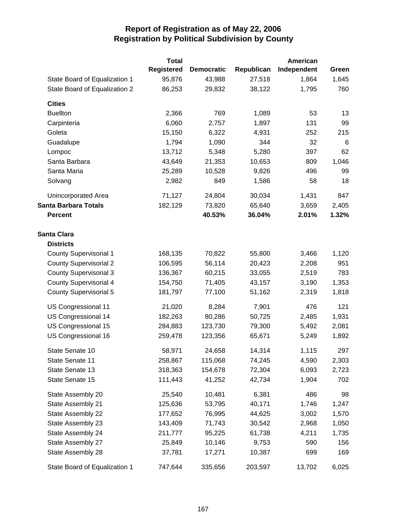|                               | <b>Total</b>      |                   |            | American    |       |
|-------------------------------|-------------------|-------------------|------------|-------------|-------|
|                               | <b>Registered</b> | <b>Democratic</b> | Republican | Independent | Green |
| State Board of Equalization 1 | 95,876            | 43,988            | 27,518     | 1,864       | 1,645 |
| State Board of Equalization 2 | 86,253            | 29,832            | 38,122     | 1,795       | 760   |
| <b>Cities</b>                 |                   |                   |            |             |       |
| <b>Buellton</b>               | 2,366             | 769               | 1,089      | 53          | 13    |
| Carpinteria                   | 6,060             | 2,757             | 1,897      | 131         | 99    |
| Goleta                        | 15,150            | 6,322             | 4,931      | 252         | 215   |
| Guadalupe                     | 1,794             | 1,090             | 344        | 32          | 6     |
| Lompoc                        | 13,712            | 5,348             | 5,280      | 397         | 62    |
| Santa Barbara                 | 43,649            | 21,353            | 10,653     | 809         | 1,046 |
| Santa Maria                   | 25,289            | 10,528            | 9,826      | 496         | 99    |
| Solvang                       | 2,982             | 849               | 1,586      | 58          | 18    |
| Unincorporated Area           | 71,127            | 24,804            | 30,034     | 1,431       | 847   |
| <b>Santa Barbara Totals</b>   | 182,129           | 73,820            | 65,640     | 3,659       | 2,405 |
| <b>Percent</b>                |                   | 40.53%            | 36.04%     | 2.01%       | 1.32% |
| <b>Santa Clara</b>            |                   |                   |            |             |       |
| <b>Districts</b>              |                   |                   |            |             |       |
| <b>County Supervisorial 1</b> | 168,135           | 70,822            | 55,800     | 3,466       | 1,120 |
| <b>County Supervisorial 2</b> | 106,595           | 56,114            | 20,423     | 2,208       | 951   |
| <b>County Supervisorial 3</b> | 136,367           | 60,215            | 33,055     | 2,519       | 783   |
| <b>County Supervisorial 4</b> | 154,750           | 71,405            | 43,157     | 3,190       | 1,353 |
| <b>County Supervisorial 5</b> | 181,797           | 77,100            | 51,162     | 2,319       | 1,818 |
| US Congressional 11           | 21,020            | 8,284             | 7,901      | 476         | 121   |
| US Congressional 14           | 182,263           | 80,286            | 50,725     | 2,485       | 1,931 |
| US Congressional 15           | 284,883           | 123,730           | 79,300     | 5,492       | 2,081 |
| US Congressional 16           | 259,478           | 123,356           | 65,671     | 5,249       | 1,892 |
| State Senate 10               | 58,971            | 24,658            | 14,314     | 1,115       | 297   |
| State Senate 11               | 258,867           | 115,068           | 74,245     | 4,590       | 2,303 |
| State Senate 13               | 318,363           | 154,678           | 72,304     | 6,093       | 2,723 |
| State Senate 15               | 111,443           | 41,252            | 42,734     | 1,904       | 702   |
| State Assembly 20             | 25,540            | 10,481            | 6,381      | 486         | 98    |
| State Assembly 21             | 125,636           | 53,795            | 40,171     | 1,746       | 1,247 |
| State Assembly 22             | 177,652           | 76,995            | 44,625     | 3,002       | 1,570 |
| State Assembly 23             | 143,409           | 71,743            | 30,542     | 2,968       | 1,050 |
| State Assembly 24             | 211,777           | 95,225            | 61,738     | 4,211       | 1,735 |
| State Assembly 27             | 25,849            | 10,146            | 9,753      | 590         | 156   |
| State Assembly 28             | 37,781            | 17,271            | 10,387     | 699         | 169   |
| State Board of Equalization 1 | 747,644           | 335,656           | 203,597    | 13,702      | 6,025 |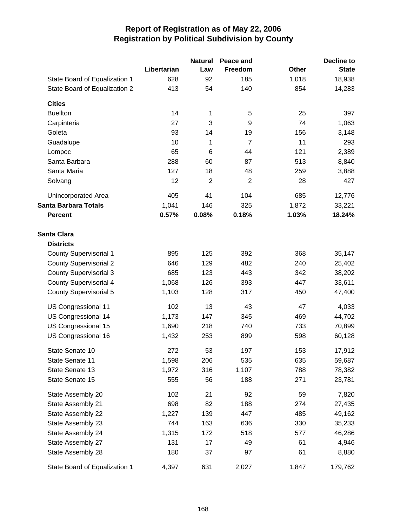|                               |             | <b>Natural</b> | Peace and      |              | <b>Decline to</b> |
|-------------------------------|-------------|----------------|----------------|--------------|-------------------|
|                               | Libertarian | Law            | Freedom        | <b>Other</b> | <b>State</b>      |
| State Board of Equalization 1 | 628         | 92             | 185            | 1,018        | 18,938            |
| State Board of Equalization 2 | 413         | 54             | 140            | 854          | 14,283            |
| <b>Cities</b>                 |             |                |                |              |                   |
| <b>Buellton</b>               | 14          | 1              | 5              | 25           | 397               |
| Carpinteria                   | 27          | 3              | 9              | 74           | 1,063             |
| Goleta                        | 93          | 14             | 19             | 156          | 3,148             |
| Guadalupe                     | 10          | 1              | $\overline{7}$ | 11           | 293               |
| Lompoc                        | 65          | 6              | 44             | 121          | 2,389             |
| Santa Barbara                 | 288         | 60             | 87             | 513          | 8,840             |
| Santa Maria                   | 127         | 18             | 48             | 259          | 3,888             |
| Solvang                       | 12          | $\overline{2}$ | $\overline{2}$ | 28           | 427               |
| Unincorporated Area           | 405         | 41             | 104            | 685          | 12,776            |
| <b>Santa Barbara Totals</b>   | 1,041       | 146            | 325            | 1,872        | 33,221            |
| <b>Percent</b>                | 0.57%       | 0.08%          | 0.18%          | 1.03%        | 18.24%            |
| <b>Santa Clara</b>            |             |                |                |              |                   |
| <b>Districts</b>              |             |                |                |              |                   |
| <b>County Supervisorial 1</b> | 895         | 125            | 392            | 368          | 35,147            |
| <b>County Supervisorial 2</b> | 646         | 129            | 482            | 240          | 25,402            |
| <b>County Supervisorial 3</b> | 685         | 123            | 443            | 342          | 38,202            |
| <b>County Supervisorial 4</b> | 1,068       | 126            | 393            | 447          | 33,611            |
| <b>County Supervisorial 5</b> | 1,103       | 128            | 317            | 450          | 47,400            |
| US Congressional 11           | 102         | 13             | 43             | 47           | 4,033             |
| US Congressional 14           | 1,173       | 147            | 345            | 469          | 44,702            |
| US Congressional 15           | 1,690       | 218            | 740            | 733          | 70,899            |
| US Congressional 16           | 1,432       | 253            | 899            | 598          | 60,128            |
| State Senate 10               | 272         | 53             | 197            | 153          | 17,912            |
| State Senate 11               | 1,598       | 206            | 535            | 635          | 59,687            |
| State Senate 13               | 1,972       | 316            | 1,107          | 788          | 78,382            |
| State Senate 15               | 555         | 56             | 188            | 271          | 23,781            |
| State Assembly 20             | 102         | 21             | 92             | 59           | 7,820             |
| State Assembly 21             | 698         | 82             | 188            | 274          | 27,435            |
| State Assembly 22             | 1,227       | 139            | 447            | 485          | 49,162            |
| State Assembly 23             | 744         | 163            | 636            | 330          | 35,233            |
| State Assembly 24             | 1,315       | 172            | 518            | 577          | 46,286            |
| State Assembly 27             | 131         | 17             | 49             | 61           | 4,946             |
| State Assembly 28             | 180         | 37             | 97             | 61           | 8,880             |
| State Board of Equalization 1 | 4,397       | 631            | 2,027          | 1,847        | 179,762           |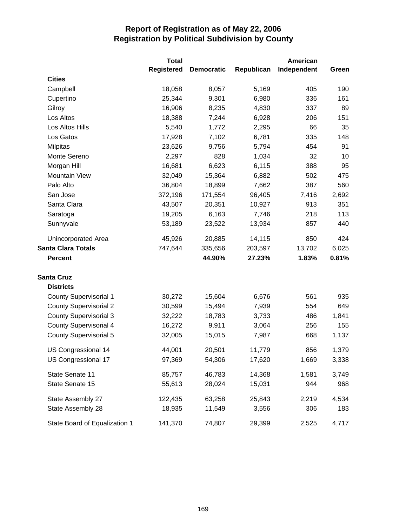|                               | <b>Total</b>      |                   |            | American    |       |
|-------------------------------|-------------------|-------------------|------------|-------------|-------|
|                               | <b>Registered</b> | <b>Democratic</b> | Republican | Independent | Green |
| <b>Cities</b>                 |                   |                   |            |             |       |
| Campbell                      | 18,058            | 8,057             | 5,169      | 405         | 190   |
| Cupertino                     | 25,344            | 9,301             | 6,980      | 336         | 161   |
| Gilroy                        | 16,906            | 8,235             | 4,830      | 337         | 89    |
| Los Altos                     | 18,388            | 7,244             | 6,928      | 206         | 151   |
| Los Altos Hills               | 5,540             | 1,772             | 2,295      | 66          | 35    |
| Los Gatos                     | 17,928            | 7,102             | 6,781      | 335         | 148   |
| <b>Milpitas</b>               | 23,626            | 9,756             | 5,794      | 454         | 91    |
| Monte Sereno                  | 2,297             | 828               | 1,034      | 32          | 10    |
| Morgan Hill                   | 16,681            | 6,623             | 6,115      | 388         | 95    |
| <b>Mountain View</b>          | 32,049            | 15,364            | 6,882      | 502         | 475   |
| Palo Alto                     | 36,804            | 18,899            | 7,662      | 387         | 560   |
| San Jose                      | 372,196           | 171,554           | 96,405     | 7,416       | 2,692 |
| Santa Clara                   | 43,507            | 20,351            | 10,927     | 913         | 351   |
| Saratoga                      | 19,205            | 6,163             | 7,746      | 218         | 113   |
| Sunnyvale                     | 53,189            | 23,522            | 13,934     | 857         | 440   |
| <b>Unincorporated Area</b>    | 45,926            | 20,885            | 14,115     | 850         | 424   |
| <b>Santa Clara Totals</b>     | 747,644           | 335,656           | 203,597    | 13,702      | 6,025 |
| <b>Percent</b>                |                   | 44.90%            | 27.23%     | 1.83%       | 0.81% |
| <b>Santa Cruz</b>             |                   |                   |            |             |       |
| <b>Districts</b>              |                   |                   |            |             |       |
| <b>County Supervisorial 1</b> | 30,272            | 15,604            | 6,676      | 561         | 935   |
| <b>County Supervisorial 2</b> | 30,599            | 15,494            | 7,939      | 554         | 649   |
| <b>County Supervisorial 3</b> | 32,222            | 18,783            | 3,733      | 486         | 1,841 |
| <b>County Supervisorial 4</b> | 16,272            | 9,911             | 3,064      | 256         | 155   |
| <b>County Supervisorial 5</b> | 32,005            | 15,015            | 7,987      | 668         | 1,137 |
| US Congressional 14           | 44,001            | 20,501            | 11,779     | 856         | 1,379 |
| US Congressional 17           | 97,369            | 54,306            | 17,620     | 1,669       | 3,338 |
| State Senate 11               | 85,757            | 46,783            | 14,368     | 1,581       | 3,749 |
| State Senate 15               | 55,613            | 28,024            | 15,031     | 944         | 968   |
| State Assembly 27             | 122,435           | 63,258            | 25,843     | 2,219       | 4,534 |
| State Assembly 28             | 18,935            | 11,549            | 3,556      | 306         | 183   |
| State Board of Equalization 1 | 141,370           | 74,807            | 29,399     | 2,525       | 4,717 |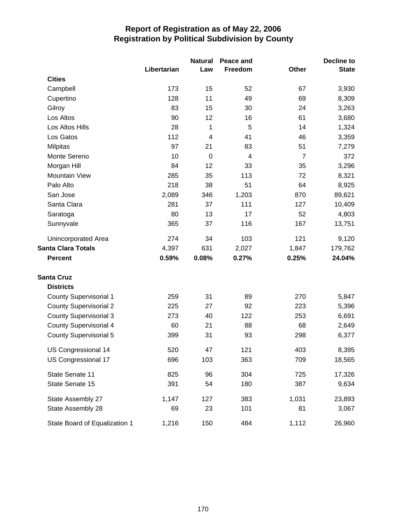|                               |             | <b>Natural</b>          | Peace and |                | Decline to   |
|-------------------------------|-------------|-------------------------|-----------|----------------|--------------|
|                               | Libertarian | Law                     | Freedom   | <b>Other</b>   | <b>State</b> |
| <b>Cities</b>                 |             |                         |           |                |              |
| Campbell                      | 173         | 15                      | 52        | 67             | 3,930        |
| Cupertino                     | 128         | 11                      | 49        | 69             | 8,309        |
| Gilroy                        | 83          | 15                      | 30        | 24             | 3,263        |
| Los Altos                     | 90          | 12                      | 16        | 61             | 3,680        |
| Los Altos Hills               | 28          | 1                       | 5         | 14             | 1,324        |
| Los Gatos                     | 112         | $\overline{\mathbf{4}}$ | 41        | 46             | 3,359        |
| <b>Milpitas</b>               | 97          | 21                      | 83        | 51             | 7,279        |
| Monte Sereno                  | 10          | $\mathbf 0$             | 4         | $\overline{7}$ | 372          |
| Morgan Hill                   | 84          | 12                      | 33        | 35             | 3,296        |
| <b>Mountain View</b>          | 285         | 35                      | 113       | 72             | 8,321        |
| Palo Alto                     | 218         | 38                      | 51        | 64             | 8,925        |
| San Jose                      | 2,089       | 346                     | 1,203     | 870            | 89,621       |
| Santa Clara                   | 281         | 37                      | 111       | 127            | 10,409       |
| Saratoga                      | 80          | 13                      | 17        | 52             | 4,803        |
| Sunnyvale                     | 365         | 37                      | 116       | 167            | 13,751       |
| <b>Unincorporated Area</b>    | 274         | 34                      | 103       | 121            | 9,120        |
| <b>Santa Clara Totals</b>     | 4,397       | 631                     | 2,027     | 1,847          | 179,762      |
| <b>Percent</b>                | 0.59%       | 0.08%                   | 0.27%     | 0.25%          | 24.04%       |
| <b>Santa Cruz</b>             |             |                         |           |                |              |
| <b>Districts</b>              |             |                         |           |                |              |
| <b>County Supervisorial 1</b> | 259         | 31                      | 89        | 270            | 5,847        |
| <b>County Supervisorial 2</b> | 225         | 27                      | 92        | 223            | 5,396        |
| <b>County Supervisorial 3</b> | 273         | 40                      | 122       | 253            | 6,691        |
| <b>County Supervisorial 4</b> | 60          | 21                      | 88        | 68             | 2,649        |
| <b>County Supervisorial 5</b> | 399         | 31                      | 93        | 298            | 6,377        |
| US Congressional 14           | 520         | 47                      | 121       | 403            | 8,395        |
| US Congressional 17           | 696         | 103                     | 363       | 709            | 18,565       |
| State Senate 11               | 825         | 96                      | 304       | 725            | 17,326       |
| State Senate 15               | 391         | 54                      | 180       | 387            | 9,634        |
| State Assembly 27             | 1,147       | 127                     | 383       | 1,031          | 23,893       |
| State Assembly 28             | 69          | 23                      | 101       | 81             | 3,067        |
| State Board of Equalization 1 | 1,216       | 150                     | 484       | 1,112          | 26,960       |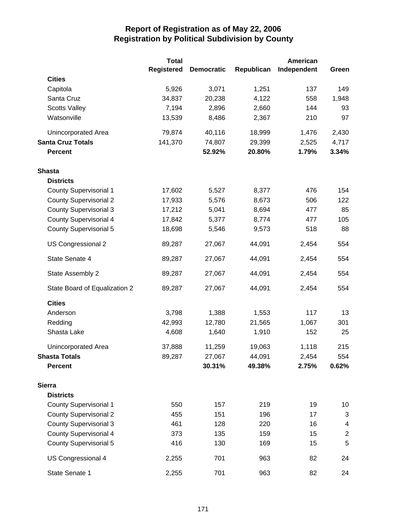|                               | <b>Total</b>      |                   |            | American    |            |
|-------------------------------|-------------------|-------------------|------------|-------------|------------|
|                               | <b>Registered</b> | <b>Democratic</b> | Republican | Independent | Green      |
| <b>Cities</b>                 |                   |                   |            |             |            |
| Capitola                      | 5,926             | 3,071             | 1,251      | 137         | 149        |
| Santa Cruz                    | 34,837            | 20,238            | 4,122      | 558         | 1,948      |
| <b>Scotts Valley</b>          | 7,194             | 2,896             | 2,660      | 144         | 93         |
| Watsonville                   | 13,539            | 8,486             | 2,367      | 210         | 97         |
| Unincorporated Area           | 79,874            | 40,116            | 18,999     | 1,476       | 2,430      |
| <b>Santa Cruz Totals</b>      | 141,370           | 74,807            | 29,399     | 2,525       | 4,717      |
| <b>Percent</b>                |                   | 52.92%            | 20.80%     | 1.79%       | 3.34%      |
| <b>Shasta</b>                 |                   |                   |            |             |            |
| <b>Districts</b>              |                   |                   |            |             |            |
| <b>County Supervisorial 1</b> | 17,602            | 5,527             | 8,377      | 476         | 154        |
| <b>County Supervisorial 2</b> | 17,933            | 5,576             | 8,673      | 506         | 122        |
| <b>County Supervisorial 3</b> | 17,212            | 5,041             | 8,694      | 477         | 85         |
| <b>County Supervisorial 4</b> | 17,842            | 5,377             | 8,774      | 477         | 105        |
| <b>County Supervisorial 5</b> | 18,698            | 5,546             | 9,573      | 518         | 88         |
| US Congressional 2            | 89,287            | 27,067            | 44,091     | 2,454       | 554        |
| State Senate 4                | 89,287            | 27,067            | 44,091     | 2,454       | 554        |
| State Assembly 2              | 89,287            | 27,067            | 44,091     | 2,454       | 554        |
| State Board of Equalization 2 | 89,287            | 27,067            | 44,091     | 2,454       | 554        |
| <b>Cities</b>                 |                   |                   |            |             |            |
| Anderson                      | 3,798             | 1,388             | 1,553      | 117         | 13         |
| Redding                       | 42,993            | 12,780            | 21,565     | 1,067       | 301        |
| Shasta Lake                   | 4,608             | 1,640             | 1,910      | 152         | 25         |
| Unincorporated Area           | 37,888            | 11,259            | 19,063     | 1,118       | 215        |
| <b>Shasta Totals</b>          | 89,287            | 27,067            | 44,091     | 2,454       | 554        |
| <b>Percent</b>                |                   | 30.31%            | 49.38%     | 2.75%       | 0.62%      |
| <b>Sierra</b>                 |                   |                   |            |             |            |
| <b>Districts</b>              |                   |                   |            |             |            |
| <b>County Supervisorial 1</b> | 550               | 157               | 219        | 19          | 10         |
| <b>County Supervisorial 2</b> | 455               | 151               | 196        | 17          | 3          |
| <b>County Supervisorial 3</b> | 461               | 128               | 220        | 16          | 4          |
| <b>County Supervisorial 4</b> | 373               | 135               | 159        | 15          | $\sqrt{2}$ |
| <b>County Supervisorial 5</b> | 416               | 130               | 169        | 15          | 5          |
| US Congressional 4            | 2,255             | 701               | 963        | 82          | 24         |
| State Senate 1                | 2,255             | 701               | 963        | 82          | 24         |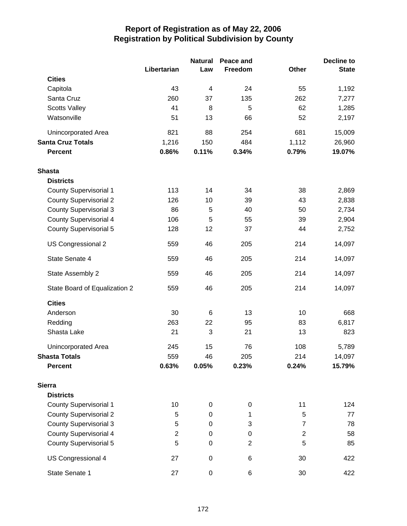|                               |                | <b>Natural</b> | Peace and      |                | <b>Decline to</b> |
|-------------------------------|----------------|----------------|----------------|----------------|-------------------|
|                               | Libertarian    | Law            | Freedom        | Other          | <b>State</b>      |
| <b>Cities</b>                 |                |                |                |                |                   |
| Capitola                      | 43             | 4              | 24             | 55             | 1,192             |
| Santa Cruz                    | 260            | 37             | 135            | 262            | 7,277             |
| <b>Scotts Valley</b>          | 41             | 8              | 5              | 62             | 1,285             |
| Watsonville                   | 51             | 13             | 66             | 52             | 2,197             |
| Unincorporated Area           | 821            | 88             | 254            | 681            | 15,009            |
| <b>Santa Cruz Totals</b>      | 1,216          | 150            | 484            | 1,112          | 26,960            |
| <b>Percent</b>                | 0.86%          | 0.11%          | 0.34%          | 0.79%          | 19.07%            |
| <b>Shasta</b>                 |                |                |                |                |                   |
| <b>Districts</b>              |                |                |                |                |                   |
| County Supervisorial 1        | 113            | 14             | 34             | 38             | 2,869             |
| <b>County Supervisorial 2</b> | 126            | 10             | 39             | 43             | 2,838             |
| <b>County Supervisorial 3</b> | 86             | 5              | 40             | 50             | 2,734             |
| <b>County Supervisorial 4</b> | 106            | 5              | 55             | 39             | 2,904             |
| <b>County Supervisorial 5</b> | 128            | 12             | 37             | 44             | 2,752             |
| US Congressional 2            | 559            | 46             | 205            | 214            | 14,097            |
| State Senate 4                | 559            | 46             | 205            | 214            | 14,097            |
| State Assembly 2              | 559            | 46             | 205            | 214            | 14,097            |
| State Board of Equalization 2 | 559            | 46             | 205            | 214            | 14,097            |
| <b>Cities</b>                 |                |                |                |                |                   |
| Anderson                      | 30             | 6              | 13             | 10             | 668               |
| Redding                       | 263            | 22             | 95             | 83             | 6,817             |
| Shasta Lake                   | 21             | 3              | 21             | 13             | 823               |
| <b>Unincorporated Area</b>    | 245            | 15             | 76             | 108            | 5,789             |
| <b>Shasta Totals</b>          | 559            | 46             | 205            | 214            | 14,097            |
| <b>Percent</b>                | 0.63%          | 0.05%          | 0.23%          | 0.24%          | 15.79%            |
| <b>Sierra</b>                 |                |                |                |                |                   |
| <b>Districts</b>              |                |                |                |                |                   |
| <b>County Supervisorial 1</b> | 10             | $\mathbf 0$    | $\mathbf 0$    | 11             | 124               |
| <b>County Supervisorial 2</b> | 5              | 0              | 1              | 5              | 77                |
| <b>County Supervisorial 3</b> | 5              | 0              | 3              | 7              | 78                |
| <b>County Supervisorial 4</b> | $\overline{c}$ | 0              | $\mathbf 0$    | $\overline{c}$ | 58                |
| <b>County Supervisorial 5</b> | 5              | 0              | $\overline{2}$ | 5              | 85                |
| US Congressional 4            | 27             | $\pmb{0}$      | 6              | 30             | 422               |
| State Senate 1                | 27             | $\pmb{0}$      | 6              | 30             | 422               |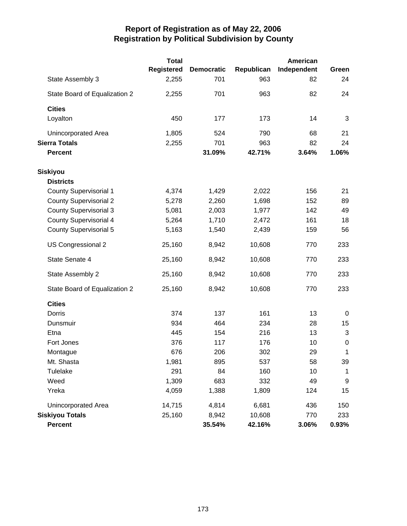|                               | <b>Total</b>      |                   |            | American    |             |
|-------------------------------|-------------------|-------------------|------------|-------------|-------------|
|                               | <b>Registered</b> | <b>Democratic</b> | Republican | Independent | Green       |
| State Assembly 3              | 2,255             | 701               | 963        | 82          | 24          |
| State Board of Equalization 2 | 2,255             | 701               | 963        | 82          | 24          |
| <b>Cities</b>                 |                   |                   |            |             |             |
| Loyalton                      | 450               | 177               | 173        | 14          | 3           |
| <b>Unincorporated Area</b>    | 1,805             | 524               | 790        | 68          | 21          |
| <b>Sierra Totals</b>          | 2,255             | 701               | 963        | 82          | 24          |
| <b>Percent</b>                |                   | 31.09%            | 42.71%     | 3.64%       | 1.06%       |
| Siskiyou                      |                   |                   |            |             |             |
| <b>Districts</b>              |                   |                   |            |             |             |
| <b>County Supervisorial 1</b> | 4,374             | 1,429             | 2,022      | 156         | 21          |
| <b>County Supervisorial 2</b> | 5,278             | 2,260             | 1,698      | 152         | 89          |
| <b>County Supervisorial 3</b> | 5,081             | 2,003             | 1,977      | 142         | 49          |
| <b>County Supervisorial 4</b> | 5,264             | 1,710             | 2,472      | 161         | 18          |
| <b>County Supervisorial 5</b> | 5,163             | 1,540             | 2,439      | 159         | 56          |
| US Congressional 2            | 25,160            | 8,942             | 10,608     | 770         | 233         |
| State Senate 4                | 25,160            | 8,942             | 10,608     | 770         | 233         |
| State Assembly 2              | 25,160            | 8,942             | 10,608     | 770         | 233         |
| State Board of Equalization 2 | 25,160            | 8,942             | 10,608     | 770         | 233         |
| <b>Cities</b>                 |                   |                   |            |             |             |
| Dorris                        | 374               | 137               | 161        | 13          | 0           |
| Dunsmuir                      | 934               | 464               | 234        | 28          | 15          |
| Etna                          | 445               | 154               | 216        | 13          | 3           |
| Fort Jones                    | 376               | 117               | 176        | 10          | $\mathbf 0$ |
| Montague                      | 676               | 206               | 302        | 29          | 1           |
| Mt. Shasta                    | 1,981             | 895               | 537        | 58          | 39          |
| Tulelake                      | 291               | 84                | 160        | 10          | $\mathbf 1$ |
| Weed                          | 1,309             | 683               | 332        | 49          | 9           |
| Yreka                         | 4,059             | 1,388             | 1,809      | 124         | 15          |
| <b>Unincorporated Area</b>    | 14,715            | 4,814             | 6,681      | 436         | 150         |
| <b>Siskiyou Totals</b>        | 25,160            | 8,942             | 10,608     | 770         | 233         |
| Percent                       |                   | 35.54%            | 42.16%     | 3.06%       | 0.93%       |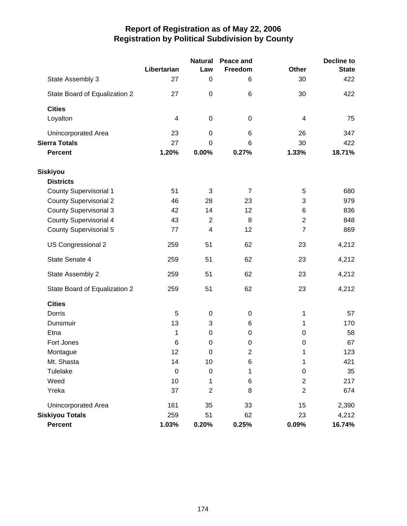|                               |             | <b>Natural</b>           | <b>Peace and</b> |                  | <b>Decline to</b> |
|-------------------------------|-------------|--------------------------|------------------|------------------|-------------------|
|                               | Libertarian | Law                      | Freedom          | <b>Other</b>     | <b>State</b>      |
| State Assembly 3              | 27          | 0                        | 6                | 30               | 422               |
| State Board of Equalization 2 | 27          | $\boldsymbol{0}$         | 6                | 30               | 422               |
| <b>Cities</b>                 |             |                          |                  |                  |                   |
| Loyalton                      | 4           | $\mathbf 0$              | 0                | 4                | 75                |
| Unincorporated Area           | 23          | 0                        | 6                | 26               | 347               |
| <b>Sierra Totals</b>          | 27          | 0                        | 6                | 30               | 422               |
| <b>Percent</b>                | 1.20%       | 0.00%                    | 0.27%            | 1.33%            | 18.71%            |
| <b>Siskiyou</b>               |             |                          |                  |                  |                   |
| <b>Districts</b>              |             |                          |                  |                  |                   |
| <b>County Supervisorial 1</b> | 51          | 3                        | $\overline{7}$   | 5                | 680               |
| <b>County Supervisorial 2</b> | 46          | 28                       | 23               | 3                | 979               |
| <b>County Supervisorial 3</b> | 42          | 14                       | 12               | 6                | 836               |
| County Supervisorial 4        | 43          | $\overline{2}$           | 8                | $\overline{2}$   | 848               |
| <b>County Supervisorial 5</b> | 77          | $\overline{\mathcal{A}}$ | 12               | $\overline{7}$   | 869               |
| US Congressional 2            | 259         | 51                       | 62               | 23               | 4,212             |
| State Senate 4                | 259         | 51                       | 62               | 23               | 4,212             |
| State Assembly 2              | 259         | 51                       | 62               | 23               | 4,212             |
| State Board of Equalization 2 | 259         | 51                       | 62               | 23               | 4,212             |
| <b>Cities</b>                 |             |                          |                  |                  |                   |
| Dorris                        | 5           | $\mathbf 0$              | 0                | 1                | 57                |
| Dunsmuir                      | 13          | 3                        | 6                | 1                | 170               |
| Etna                          | 1           | $\mathbf 0$              | 0                | 0                | 58                |
| Fort Jones                    | 6           | $\mathbf 0$              | $\mathbf 0$      | $\boldsymbol{0}$ | 67                |
| Montague                      | 12          | 0                        | 2                | 1                | 123               |
| Mt. Shasta                    | 14          | 10                       | 6                | 1                | 421               |
| Tulelake                      | $\mathbf 0$ | $\boldsymbol{0}$         | 1                | $\boldsymbol{0}$ | 35                |
| Weed                          | 10          | 1                        | 6                | $\overline{c}$   | 217               |
| Yreka                         | 37          | $\overline{c}$           | 8                | $\mathbf 2$      | 674               |
| <b>Unincorporated Area</b>    | 161         | 35                       | 33               | 15               | 2,390             |
| <b>Siskiyou Totals</b>        | 259         | 51                       | 62               | 23               | 4,212             |
| Percent                       | 1.03%       | 0.20%                    | 0.25%            | 0.09%            | 16.74%            |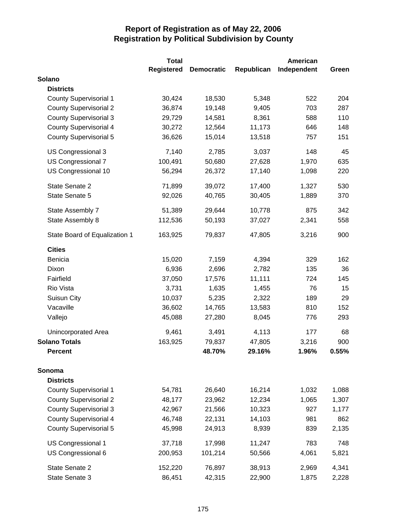|                               | <b>Total</b>      |                   |            | American    |       |
|-------------------------------|-------------------|-------------------|------------|-------------|-------|
|                               | <b>Registered</b> | <b>Democratic</b> | Republican | Independent | Green |
| Solano                        |                   |                   |            |             |       |
| <b>Districts</b>              |                   |                   |            |             |       |
| <b>County Supervisorial 1</b> | 30,424            | 18,530            | 5,348      | 522         | 204   |
| <b>County Supervisorial 2</b> | 36,874            | 19,148            | 9,405      | 703         | 287   |
| <b>County Supervisorial 3</b> | 29,729            | 14,581            | 8,361      | 588         | 110   |
| <b>County Supervisorial 4</b> | 30,272            | 12,564            | 11,173     | 646         | 148   |
| <b>County Supervisorial 5</b> | 36,626            | 15,014            | 13,518     | 757         | 151   |
| US Congressional 3            | 7,140             | 2,785             | 3,037      | 148         | 45    |
| US Congressional 7            | 100,491           | 50,680            | 27,628     | 1,970       | 635   |
| US Congressional 10           | 56,294            | 26,372            | 17,140     | 1,098       | 220   |
| State Senate 2                | 71,899            | 39,072            | 17,400     | 1,327       | 530   |
| State Senate 5                | 92,026            | 40,765            | 30,405     | 1,889       | 370   |
| State Assembly 7              | 51,389            | 29,644            | 10,778     | 875         | 342   |
| State Assembly 8              | 112,536           | 50,193            | 37,027     | 2,341       | 558   |
| State Board of Equalization 1 | 163,925           | 79,837            | 47,805     | 3,216       | 900   |
| <b>Cities</b>                 |                   |                   |            |             |       |
| Benicia                       | 15,020            | 7,159             | 4,394      | 329         | 162   |
| Dixon                         | 6,936             | 2,696             | 2,782      | 135         | 36    |
| Fairfield                     | 37,050            | 17,576            | 11,111     | 724         | 145   |
| Rio Vista                     | 3,731             | 1,635             | 1,455      | 76          | 15    |
| Suisun City                   | 10,037            | 5,235             | 2,322      | 189         | 29    |
| Vacaville                     | 36,602            | 14,765            | 13,583     | 810         | 152   |
| Vallejo                       | 45,088            | 27,280            | 8,045      | 776         | 293   |
| Unincorporated Area           | 9,461             | 3,491             | 4,113      | 177         | 68    |
| <b>Solano Totals</b>          | 163,925           | 79,837            | 47,805     | 3,216       | 900   |
| <b>Percent</b>                |                   | 48.70%            | 29.16%     | 1.96%       | 0.55% |
| Sonoma                        |                   |                   |            |             |       |
| <b>Districts</b>              |                   |                   |            |             |       |
| <b>County Supervisorial 1</b> | 54,781            | 26,640            | 16,214     | 1,032       | 1,088 |
| <b>County Supervisorial 2</b> | 48,177            | 23,962            | 12,234     | 1,065       | 1,307 |
| <b>County Supervisorial 3</b> | 42,967            | 21,566            | 10,323     | 927         | 1,177 |
| <b>County Supervisorial 4</b> | 46,748            | 22,131            | 14,103     | 981         | 862   |
| <b>County Supervisorial 5</b> | 45,998            | 24,913            | 8,939      | 839         | 2,135 |
| US Congressional 1            | 37,718            | 17,998            | 11,247     | 783         | 748   |
| US Congressional 6            | 200,953           | 101,214           | 50,566     | 4,061       | 5,821 |
| State Senate 2                | 152,220           | 76,897            | 38,913     | 2,969       | 4,341 |
| State Senate 3                | 86,451            | 42,315            | 22,900     | 1,875       | 2,228 |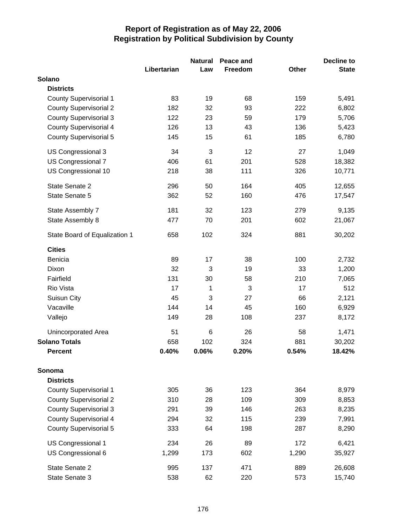|                               |             | <b>Natural</b> | Peace and |              | <b>Decline to</b> |
|-------------------------------|-------------|----------------|-----------|--------------|-------------------|
|                               | Libertarian | Law            | Freedom   | <b>Other</b> | <b>State</b>      |
| Solano                        |             |                |           |              |                   |
| <b>Districts</b>              |             |                |           |              |                   |
| <b>County Supervisorial 1</b> | 83          | 19             | 68        | 159          | 5,491             |
| <b>County Supervisorial 2</b> | 182         | 32             | 93        | 222          | 6,802             |
| <b>County Supervisorial 3</b> | 122         | 23             | 59        | 179          | 5,706             |
| <b>County Supervisorial 4</b> | 126         | 13             | 43        | 136          | 5,423             |
| <b>County Supervisorial 5</b> | 145         | 15             | 61        | 185          | 6,780             |
| US Congressional 3            | 34          | 3              | 12        | 27           | 1,049             |
| US Congressional 7            | 406         | 61             | 201       | 528          | 18,382            |
| US Congressional 10           | 218         | 38             | 111       | 326          | 10,771            |
| State Senate 2                | 296         | 50             | 164       | 405          | 12,655            |
| State Senate 5                | 362         | 52             | 160       | 476          | 17,547            |
| State Assembly 7              | 181         | 32             | 123       | 279          | 9,135             |
| State Assembly 8              | 477         | 70             | 201       | 602          | 21,067            |
| State Board of Equalization 1 | 658         | 102            | 324       | 881          | 30,202            |
| <b>Cities</b>                 |             |                |           |              |                   |
| Benicia                       | 89          | 17             | 38        | 100          | 2,732             |
| Dixon                         | 32          | 3              | 19        | 33           | 1,200             |
| Fairfield                     | 131         | 30             | 58        | 210          | 7,065             |
| Rio Vista                     | 17          | 1              | 3         | 17           | 512               |
| Suisun City                   | 45          | 3              | 27        | 66           | 2,121             |
| Vacaville                     | 144         | 14             | 45        | 160          | 6,929             |
| Vallejo                       | 149         | 28             | 108       | 237          | 8,172             |
| Unincorporated Area           | 51          | 6              | 26        | 58           | 1,471             |
| <b>Solano Totals</b>          | 658         | 102            | 324       | 881          | 30,202            |
| <b>Percent</b>                | 0.40%       | 0.06%          | 0.20%     | 0.54%        | 18.42%            |
| Sonoma                        |             |                |           |              |                   |
| <b>Districts</b>              |             |                |           |              |                   |
| <b>County Supervisorial 1</b> | 305         | 36             | 123       | 364          | 8,979             |
| <b>County Supervisorial 2</b> | 310         | 28             | 109       | 309          | 8,853             |
| <b>County Supervisorial 3</b> | 291         | 39             | 146       | 263          | 8,235             |
| County Supervisorial 4        | 294         | 32             | 115       | 239          | 7,991             |
| <b>County Supervisorial 5</b> | 333         | 64             | 198       | 287          | 8,290             |
| US Congressional 1            | 234         | 26             | 89        | 172          | 6,421             |
| US Congressional 6            | 1,299       | 173            | 602       | 1,290        | 35,927            |
| State Senate 2                | 995         | 137            | 471       | 889          | 26,608            |
| State Senate 3                | 538         | 62             | 220       | 573          | 15,740            |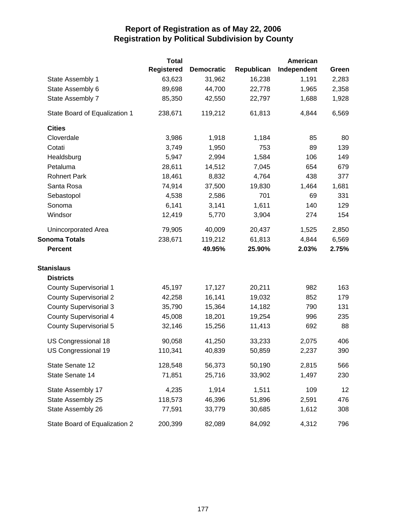|                               | <b>Total</b>      |                   |            | <b>American</b> |       |
|-------------------------------|-------------------|-------------------|------------|-----------------|-------|
|                               | <b>Registered</b> | <b>Democratic</b> | Republican | Independent     | Green |
| State Assembly 1              | 63,623            | 31,962            | 16,238     | 1,191           | 2,283 |
| State Assembly 6              | 89,698            | 44,700            | 22,778     | 1,965           | 2,358 |
| State Assembly 7              | 85,350            | 42,550            | 22,797     | 1,688           | 1,928 |
| State Board of Equalization 1 | 238,671           | 119,212           | 61,813     | 4,844           | 6,569 |
| <b>Cities</b>                 |                   |                   |            |                 |       |
| Cloverdale                    | 3,986             | 1,918             | 1,184      | 85              | 80    |
| Cotati                        | 3,749             | 1,950             | 753        | 89              | 139   |
| Healdsburg                    | 5,947             | 2,994             | 1,584      | 106             | 149   |
| Petaluma                      | 28,611            | 14,512            | 7,045      | 654             | 679   |
| <b>Rohnert Park</b>           | 18,461            | 8,832             | 4,764      | 438             | 377   |
| Santa Rosa                    | 74,914            | 37,500            | 19,830     | 1,464           | 1,681 |
| Sebastopol                    | 4,538             | 2,586             | 701        | 69              | 331   |
| Sonoma                        | 6,141             | 3,141             | 1,611      | 140             | 129   |
| Windsor                       | 12,419            | 5,770             | 3,904      | 274             | 154   |
| Unincorporated Area           | 79,905            | 40,009            | 20,437     | 1,525           | 2,850 |
| <b>Sonoma Totals</b>          | 238,671           | 119,212           | 61,813     | 4,844           | 6,569 |
| <b>Percent</b>                |                   | 49.95%            | 25.90%     | 2.03%           | 2.75% |
| <b>Stanislaus</b>             |                   |                   |            |                 |       |
| <b>Districts</b>              |                   |                   |            |                 |       |
| <b>County Supervisorial 1</b> | 45,197            | 17,127            | 20,211     | 982             | 163   |
| <b>County Supervisorial 2</b> | 42,258            | 16,141            | 19,032     | 852             | 179   |
| <b>County Supervisorial 3</b> | 35,790            | 15,364            | 14,182     | 790             | 131   |
| <b>County Supervisorial 4</b> | 45,008            | 18,201            | 19,254     | 996             | 235   |
| County Supervisorial 5        | 32,146            | 15,256            | 11,413     | 692             | 88    |
| US Congressional 18           | 90,058            | 41,250            | 33,233     | 2,075           | 406   |
| US Congressional 19           | 110,341           | 40,839            | 50,859     | 2,237           | 390   |
| State Senate 12               | 128,548           | 56,373            | 50,190     | 2,815           | 566   |
| State Senate 14               | 71,851            | 25,716            | 33,902     | 1,497           | 230   |
| State Assembly 17             | 4,235             | 1,914             | 1,511      | 109             | 12    |
| State Assembly 25             | 118,573           | 46,396            | 51,896     | 2,591           | 476   |
| State Assembly 26             | 77,591            | 33,779            | 30,685     | 1,612           | 308   |
| State Board of Equalization 2 | 200,399           | 82,089            | 84,092     | 4,312           | 796   |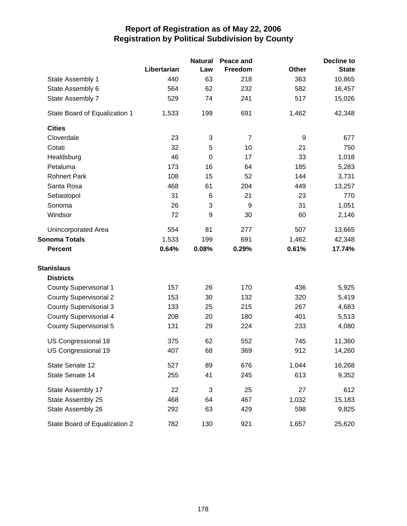|                               |             | <b>Natural</b> | Peace and      |       | <b>Decline to</b> |
|-------------------------------|-------------|----------------|----------------|-------|-------------------|
|                               | Libertarian | Law            | Freedom        | Other | <b>State</b>      |
| State Assembly 1              | 440         | 63             | 218            | 363   | 10,865            |
| State Assembly 6              | 564         | 62             | 232            | 582   | 16,457            |
| State Assembly 7              | 529         | 74             | 241            | 517   | 15,026            |
| State Board of Equalization 1 | 1,533       | 199            | 691            | 1,462 | 42,348            |
| <b>Cities</b>                 |             |                |                |       |                   |
| Cloverdale                    | 23          | 3              | $\overline{7}$ | 9     | 677               |
| Cotati                        | 32          | 5              | 10             | 21    | 750               |
| Healdsburg                    | 46          | $\mathbf 0$    | 17             | 33    | 1,018             |
| Petaluma                      | 173         | 16             | 64             | 185   | 5,283             |
| <b>Rohnert Park</b>           | 108         | 15             | 52             | 144   | 3,731             |
| Santa Rosa                    | 468         | 61             | 204            | 449   | 13,257            |
| Sebastopol                    | 31          | 6              | 21             | 23    | 770               |
| Sonoma                        | 26          | 3              | 9              | 31    | 1,051             |
| Windsor                       | 72          | 9              | 30             | 60    | 2,146             |
| <b>Unincorporated Area</b>    | 554         | 81             | 277            | 507   | 13,665            |
| <b>Sonoma Totals</b>          | 1,533       | 199            | 691            | 1,462 | 42,348            |
| <b>Percent</b>                | 0.64%       | 0.08%          | 0.29%          | 0.61% | 17.74%            |
| <b>Stanislaus</b>             |             |                |                |       |                   |
| <b>Districts</b>              |             |                |                |       |                   |
| <b>County Supervisorial 1</b> | 157         | 26             | 170            | 436   | 5,925             |
| <b>County Supervisorial 2</b> | 153         | 30             | 132            | 320   | 5,419             |
| <b>County Supervisorial 3</b> | 133         | 25             | 215            | 267   | 4,683             |
| County Supervisorial 4        | 208         | 20             | 180            | 401   | 5,513             |
| <b>County Supervisorial 5</b> | 131         | 29             | 224            | 233   | 4,080             |
| US Congressional 18           | 375         | 62             | 552            | 745   | 11,360            |
| US Congressional 19           | 407         | 68             | 369            | 912   | 14,260            |
| State Senate 12               | 527         | 89             | 676            | 1,044 | 16,268            |
| State Senate 14               | 255         | 41             | 245            | 613   | 9,352             |
| State Assembly 17             | 22          | 3              | 25             | 27    | 612               |
| State Assembly 25             | 468         | 64             | 467            | 1,032 | 15,183            |
| State Assembly 26             | 292         | 63             | 429            | 598   | 9,825             |
| State Board of Equalization 2 | 782         | 130            | 921            | 1,657 | 25,620            |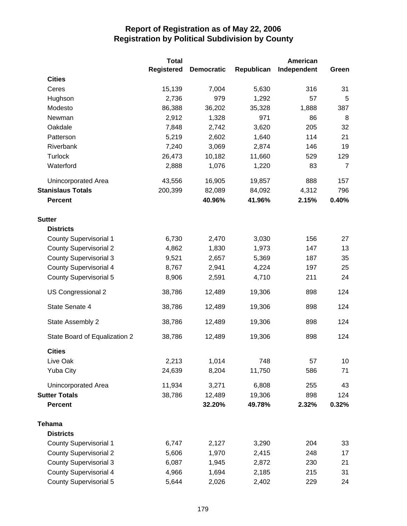|                               | <b>Total</b>      |                   |            | <b>American</b> |                |
|-------------------------------|-------------------|-------------------|------------|-----------------|----------------|
|                               | <b>Registered</b> | <b>Democratic</b> | Republican | Independent     | Green          |
| <b>Cities</b>                 |                   |                   |            |                 |                |
| Ceres                         | 15,139            | 7,004             | 5,630      | 316             | 31             |
| Hughson                       | 2,736             | 979               | 1,292      | 57              | 5              |
| Modesto                       | 86,388            | 36,202            | 35,328     | 1,888           | 387            |
| Newman                        | 2,912             | 1,328             | 971        | 86              | 8              |
| Oakdale                       | 7,848             | 2,742             | 3,620      | 205             | 32             |
| Patterson                     | 5,219             | 2,602             | 1,640      | 114             | 21             |
| Riverbank                     | 7,240             | 3,069             | 2,874      | 146             | 19             |
| <b>Turlock</b>                | 26,473            | 10,182            | 11,660     | 529             | 129            |
| Waterford                     | 2,888             | 1,076             | 1,220      | 83              | $\overline{7}$ |
| <b>Unincorporated Area</b>    | 43,556            | 16,905            | 19,857     | 888             | 157            |
| <b>Stanislaus Totals</b>      | 200,399           | 82,089            | 84,092     | 4,312           | 796            |
| <b>Percent</b>                |                   | 40.96%            | 41.96%     | 2.15%           | 0.40%          |
| <b>Sutter</b>                 |                   |                   |            |                 |                |
| <b>Districts</b>              |                   |                   |            |                 |                |
| <b>County Supervisorial 1</b> | 6,730             | 2,470             | 3,030      | 156             | 27             |
| <b>County Supervisorial 2</b> | 4,862             | 1,830             | 1,973      | 147             | 13             |
| <b>County Supervisorial 3</b> | 9,521             | 2,657             | 5,369      | 187             | 35             |
| <b>County Supervisorial 4</b> | 8,767             | 2,941             | 4,224      | 197             | 25             |
| <b>County Supervisorial 5</b> | 8,906             | 2,591             | 4,710      | 211             | 24             |
| US Congressional 2            | 38,786            | 12,489            | 19,306     | 898             | 124            |
| State Senate 4                | 38,786            | 12,489            | 19,306     | 898             | 124            |
| State Assembly 2              | 38,786            | 12,489            | 19,306     | 898             | 124            |
| State Board of Equalization 2 | 38,786            | 12,489            | 19,306     | 898             | 124            |
| <b>Cities</b>                 |                   |                   |            |                 |                |
| Live Oak                      | 2,213             | 1,014             | 748        | 57              | 10             |
| <b>Yuba City</b>              | 24,639            | 8,204             | 11,750     | 586             | 71             |
| Unincorporated Area           | 11,934            | 3,271             | 6,808      | 255             | 43             |
| <b>Sutter Totals</b>          | 38,786            | 12,489            | 19,306     | 898             | 124            |
| <b>Percent</b>                |                   | 32.20%            | 49.78%     | 2.32%           | 0.32%          |
| <b>Tehama</b>                 |                   |                   |            |                 |                |
| <b>Districts</b>              |                   |                   |            |                 |                |
| <b>County Supervisorial 1</b> | 6,747             | 2,127             | 3,290      | 204             | 33             |
| <b>County Supervisorial 2</b> | 5,606             | 1,970             | 2,415      | 248             | 17             |
| <b>County Supervisorial 3</b> | 6,087             | 1,945             | 2,872      | 230             | 21             |
| <b>County Supervisorial 4</b> | 4,966             | 1,694             | 2,185      | 215             | 31             |
| <b>County Supervisorial 5</b> | 5,644             | 2,026             | 2,402      | 229             | 24             |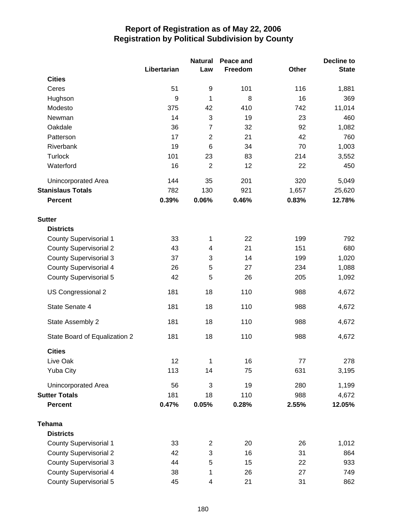|                               |             | <b>Natural</b><br>Peace and |         |              | <b>Decline to</b> |
|-------------------------------|-------------|-----------------------------|---------|--------------|-------------------|
|                               | Libertarian | Law                         | Freedom | <b>Other</b> | <b>State</b>      |
| <b>Cities</b>                 |             |                             |         |              |                   |
| Ceres                         | 51          | 9                           | 101     | 116          | 1,881             |
| Hughson                       | 9           | 1                           | 8       | 16           | 369               |
| Modesto                       | 375         | 42                          | 410     | 742          | 11,014            |
| Newman                        | 14          | 3                           | 19      | 23           | 460               |
| Oakdale                       | 36          | 7                           | 32      | 92           | 1,082             |
| Patterson                     | 17          | $\overline{2}$              | 21      | 42           | 760               |
| Riverbank                     | 19          | 6                           | 34      | 70           | 1,003             |
| <b>Turlock</b>                | 101         | 23                          | 83      | 214          | 3,552             |
| Waterford                     | 16          | $\overline{2}$              | 12      | 22           | 450               |
| <b>Unincorporated Area</b>    | 144         | 35                          | 201     | 320          | 5,049             |
| <b>Stanislaus Totals</b>      | 782         | 130                         | 921     | 1,657        | 25,620            |
| <b>Percent</b>                | 0.39%       | 0.06%                       | 0.46%   | 0.83%        | 12.78%            |
| <b>Sutter</b>                 |             |                             |         |              |                   |
| <b>Districts</b>              |             |                             |         |              |                   |
| <b>County Supervisorial 1</b> | 33          | 1                           | 22      | 199          | 792               |
| <b>County Supervisorial 2</b> | 43          | 4                           | 21      | 151          | 680               |
| <b>County Supervisorial 3</b> | 37          | 3                           | 14      | 199          | 1,020             |
| <b>County Supervisorial 4</b> | 26          | 5                           | 27      | 234          | 1,088             |
| <b>County Supervisorial 5</b> | 42          | 5                           | 26      | 205          | 1,092             |
| US Congressional 2            | 181         | 18                          | 110     | 988          | 4,672             |
| State Senate 4                | 181         | 18                          | 110     | 988          | 4,672             |
| State Assembly 2              | 181         | 18                          | 110     | 988          | 4,672             |
| State Board of Equalization 2 | 181         | 18                          | 110     | 988          | 4,672             |
| <b>Cities</b>                 |             |                             |         |              |                   |
| Live Oak                      | 12          | 1                           | 16      | 77           | 278               |
| <b>Yuba City</b>              | 113         | 14                          | 75      | 631          | 3,195             |
| <b>Unincorporated Area</b>    | 56          | 3                           | 19      | 280          | 1,199             |
| <b>Sutter Totals</b>          | 181         | 18                          | 110     | 988          | 4,672             |
| <b>Percent</b>                | 0.47%       | 0.05%                       | 0.28%   | 2.55%        | 12.05%            |
| <b>Tehama</b>                 |             |                             |         |              |                   |
| <b>Districts</b>              |             |                             |         |              |                   |
| <b>County Supervisorial 1</b> | 33          | $\overline{c}$              | 20      | 26           | 1,012             |
| <b>County Supervisorial 2</b> | 42          | 3                           | 16      | 31           | 864               |
| <b>County Supervisorial 3</b> | 44          | 5                           | 15      | 22           | 933               |
| <b>County Supervisorial 4</b> | 38          | 1                           | 26      | 27           | 749               |
| <b>County Supervisorial 5</b> | 45          | 4                           | 21      | 31           | 862               |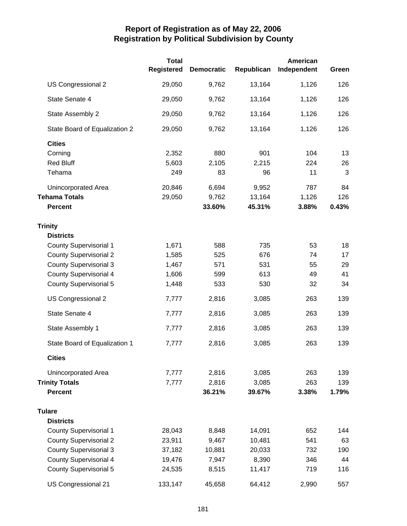|                               | <b>Total</b><br><b>Registered</b> | <b>Democratic</b> | Republican | American<br>Independent | Green |
|-------------------------------|-----------------------------------|-------------------|------------|-------------------------|-------|
| US Congressional 2            | 29,050                            | 9,762             | 13,164     | 1,126                   | 126   |
| State Senate 4                | 29,050                            | 9,762             | 13,164     | 1,126                   | 126   |
| State Assembly 2              | 29,050                            | 9,762             | 13,164     | 1,126                   | 126   |
| State Board of Equalization 2 | 29,050                            | 9,762             | 13,164     | 1,126                   | 126   |
| <b>Cities</b>                 |                                   |                   |            |                         |       |
| Corning                       | 2,352                             | 880               | 901        | 104                     | 13    |
| <b>Red Bluff</b>              | 5,603                             | 2,105             | 2,215      | 224                     | 26    |
| Tehama                        | 249                               | 83                | 96         | 11                      | 3     |
| Unincorporated Area           | 20,846                            | 6,694             | 9,952      | 787                     | 84    |
| <b>Tehama Totals</b>          | 29,050                            | 9,762             | 13,164     | 1,126                   | 126   |
| <b>Percent</b>                |                                   | 33.60%            | 45.31%     | 3.88%                   | 0.43% |
| <b>Trinity</b>                |                                   |                   |            |                         |       |
| <b>Districts</b>              |                                   |                   |            |                         |       |
| <b>County Supervisorial 1</b> | 1,671                             | 588               | 735        | 53                      | 18    |
| <b>County Supervisorial 2</b> | 1,585                             | 525               | 676        | 74                      | 17    |
| <b>County Supervisorial 3</b> | 1,467                             | 571               | 531        | 55                      | 29    |
| <b>County Supervisorial 4</b> | 1,606                             | 599               | 613        | 49                      | 41    |
| <b>County Supervisorial 5</b> | 1,448                             | 533               | 530        | 32                      | 34    |
| US Congressional 2            | 7,777                             | 2,816             | 3,085      | 263                     | 139   |
| State Senate 4                | 7,777                             | 2,816             | 3,085      | 263                     | 139   |
| State Assembly 1              | 7,777                             | 2,816             | 3,085      | 263                     | 139   |
| State Board of Equalization 1 | 7,777                             | 2,816             | 3,085      | 263                     | 139   |
| <b>Cities</b>                 |                                   |                   |            |                         |       |
| <b>Unincorporated Area</b>    | 7,777                             | 2,816             | 3,085      | 263                     | 139   |
| <b>Trinity Totals</b>         | 7,777                             | 2,816             | 3,085      | 263                     | 139   |
| <b>Percent</b>                |                                   | 36.21%            | 39.67%     | 3.38%                   | 1.79% |
| <b>Tulare</b>                 |                                   |                   |            |                         |       |
| <b>Districts</b>              |                                   |                   |            |                         |       |
| <b>County Supervisorial 1</b> | 28,043                            | 8,848             | 14,091     | 652                     | 144   |
| <b>County Supervisorial 2</b> | 23,911                            | 9,467             | 10,481     | 541                     | 63    |
| <b>County Supervisorial 3</b> | 37,182                            | 10,881            | 20,033     | 732                     | 190   |
| <b>County Supervisorial 4</b> | 19,476                            | 7,947             | 8,390      | 346                     | 44    |
| <b>County Supervisorial 5</b> | 24,535                            | 8,515             | 11,417     | 719                     | 116   |
| US Congressional 21           | 133,147                           | 45,658            | 64,412     | 2,990                   | 557   |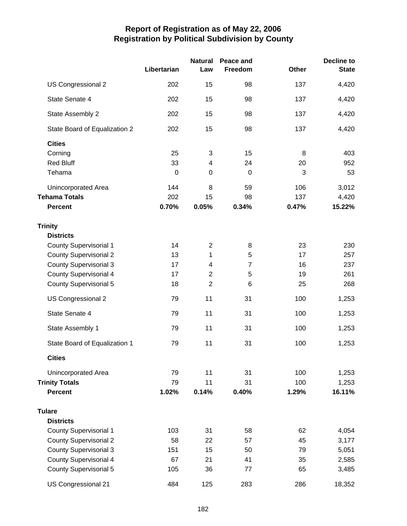|                               | Libertarian | <b>Natural</b><br>Law | Peace and<br>Freedom | <b>Other</b> | <b>Decline to</b><br><b>State</b> |
|-------------------------------|-------------|-----------------------|----------------------|--------------|-----------------------------------|
| US Congressional 2            | 202         | 15                    | 98                   | 137          | 4,420                             |
| State Senate 4                | 202         | 15                    | 98                   | 137          | 4,420                             |
| State Assembly 2              | 202         | 15                    | 98                   | 137          | 4,420                             |
| State Board of Equalization 2 | 202         | 15                    | 98                   | 137          | 4,420                             |
| <b>Cities</b>                 |             |                       |                      |              |                                   |
| Corning                       | 25          | 3                     | 15                   | 8            | 403                               |
| <b>Red Bluff</b>              | 33          | 4                     | 24                   | 20           | 952                               |
| Tehama                        | $\mathbf 0$ | $\mathbf 0$           | $\mathbf 0$          | 3            | 53                                |
| Unincorporated Area           | 144         | 8                     | 59                   | 106          | 3,012                             |
| <b>Tehama Totals</b>          | 202         | 15                    | 98                   | 137          | 4,420                             |
| <b>Percent</b>                | 0.70%       | 0.05%                 | 0.34%                | 0.47%        | 15.22%                            |
| <b>Trinity</b>                |             |                       |                      |              |                                   |
| <b>Districts</b>              |             |                       |                      |              |                                   |
| <b>County Supervisorial 1</b> | 14          | $\overline{2}$        | 8                    | 23           | 230                               |
| <b>County Supervisorial 2</b> | 13          | 1                     | 5                    | 17           | 257                               |
| <b>County Supervisorial 3</b> | 17          | 4                     | $\overline{7}$       | 16           | 237                               |
| <b>County Supervisorial 4</b> | 17          | $\overline{2}$        | 5                    | 19           | 261                               |
| <b>County Supervisorial 5</b> | 18          | $\overline{2}$        | 6                    | 25           | 268                               |
| US Congressional 2            | 79          | 11                    | 31                   | 100          | 1,253                             |
| State Senate 4                | 79          | 11                    | 31                   | 100          | 1,253                             |
| State Assembly 1              | 79          | 11                    | 31                   | 100          | 1,253                             |
| State Board of Equalization 1 | 79          | 11                    | 31                   | 100          | 1,253                             |
| <b>Cities</b>                 |             |                       |                      |              |                                   |
| Unincorporated Area           | 79          | 11                    | 31                   | 100          | 1,253                             |
| <b>Trinity Totals</b>         | 79          | 11                    | 31                   | 100          | 1,253                             |
| <b>Percent</b>                | 1.02%       | 0.14%                 | 0.40%                | 1.29%        | 16.11%                            |
| <b>Tulare</b>                 |             |                       |                      |              |                                   |
| <b>Districts</b>              |             |                       |                      |              |                                   |
| <b>County Supervisorial 1</b> | 103         | 31                    | 58                   | 62           | 4,054                             |
| <b>County Supervisorial 2</b> | 58          | 22                    | 57                   | 45           | 3,177                             |
| <b>County Supervisorial 3</b> | 151         | 15                    | 50                   | 79           | 5,051                             |
| <b>County Supervisorial 4</b> | 67          | 21                    | 41                   | 35           | 2,585                             |
| <b>County Supervisorial 5</b> | 105         | 36                    | 77                   | 65           | 3,485                             |
| US Congressional 21           | 484         | 125                   | 283                  | 286          | 18,352                            |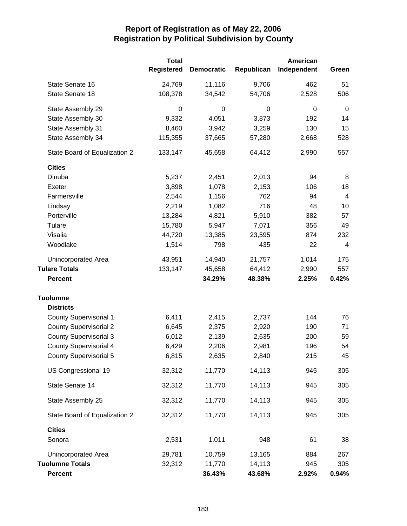|                               | <b>Total</b><br><b>Registered</b> | <b>Democratic</b> | Republican | American<br>Independent | Green          |
|-------------------------------|-----------------------------------|-------------------|------------|-------------------------|----------------|
| State Senate 16               | 24,769                            | 11,116            | 9,706      | 462                     | 51             |
| State Senate 18               | 108,378                           | 34,542            | 54,706     | 2,528                   | 506            |
| State Assembly 29             | 0                                 | $\mathbf 0$       | 0          | $\boldsymbol{0}$        | $\mathbf 0$    |
| State Assembly 30             | 9,332                             | 4,051             | 3,873      | 192                     | 14             |
| State Assembly 31             | 8,460                             | 3,942             | 3,259      | 130                     | 15             |
| State Assembly 34             | 115,355                           | 37,665            | 57,280     | 2,668                   | 528            |
| State Board of Equalization 2 | 133,147                           | 45,658            | 64,412     | 2,990                   | 557            |
| <b>Cities</b>                 |                                   |                   |            |                         |                |
| Dinuba                        | 5,237                             | 2,451             | 2,013      | 94                      | 8              |
| Exeter                        | 3,898                             | 1,078             | 2,153      | 106                     | 18             |
| Farmersville                  | 2,544                             | 1,156             | 762        | 94                      | $\overline{4}$ |
| Lindsay                       | 2,219                             | 1,082             | 716        | 48                      | 10             |
| Porterville                   | 13,284                            | 4,821             | 5,910      | 382                     | 57             |
| Tulare                        | 15,780                            | 5,947             | 7,071      | 356                     | 49             |
| Visalia                       | 44,720                            | 13,385            | 23,595     | 874                     | 232            |
| Woodlake                      | 1,514                             | 798               | 435        | 22                      | 4              |
| Unincorporated Area           | 43,951                            | 14,940            | 21,757     | 1,014                   | 175            |
| <b>Tulare Totals</b>          | 133,147                           | 45,658            | 64,412     | 2,990                   | 557            |
| <b>Percent</b>                |                                   | 34.29%            | 48.38%     | 2.25%                   | 0.42%          |
| <b>Tuolumne</b>               |                                   |                   |            |                         |                |
| <b>Districts</b>              |                                   |                   |            |                         |                |
| <b>County Supervisorial 1</b> | 6,411                             | 2,415             | 2,737      | 144                     | 76             |
| <b>County Supervisorial 2</b> | 6,645                             | 2,375             | 2,920      | 190                     | 71             |
| <b>County Supervisorial 3</b> | 6,012                             | 2,139             | 2,635      | 200                     | 59             |
| <b>County Supervisorial 4</b> | 6,429                             | 2,206             | 2,981      | 196                     | 54             |
| County Supervisorial 5        | 6,815                             | 2,635             | 2,840      | 215                     | 45             |
| US Congressional 19           | 32,312                            | 11,770            | 14,113     | 945                     | 305            |
| State Senate 14               | 32,312                            | 11,770            | 14,113     | 945                     | 305            |
| State Assembly 25             | 32,312                            | 11,770            | 14,113     | 945                     | 305            |
| State Board of Equalization 2 | 32,312                            | 11,770            | 14,113     | 945                     | 305            |
| <b>Cities</b>                 |                                   |                   |            |                         |                |
| Sonora                        | 2,531                             | 1,011             | 948        | 61                      | 38             |
| Unincorporated Area           | 29,781                            | 10,759            | 13,165     | 884                     | 267            |
| <b>Tuolumne Totals</b>        | 32,312                            | 11,770            | 14,113     | 945                     | 305            |
| <b>Percent</b>                |                                   | 36.43%            | 43.68%     | 2.92%                   | 0.94%          |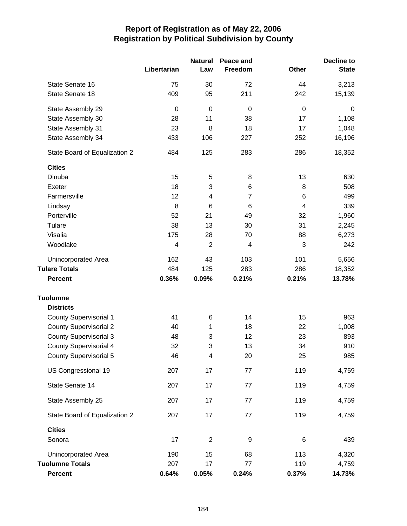|                               |             | <b>Natural</b>          | Peace and      |                  | <b>Decline to</b> |
|-------------------------------|-------------|-------------------------|----------------|------------------|-------------------|
|                               | Libertarian | Law                     | Freedom        | <b>Other</b>     | <b>State</b>      |
| State Senate 16               | 75          | 30                      | 72             | 44               | 3,213             |
| State Senate 18               | 409         | 95                      | 211            | 242              | 15,139            |
| State Assembly 29             | $\mathbf 0$ | $\mathbf 0$             | $\mathbf 0$    | $\boldsymbol{0}$ | $\mathbf 0$       |
| State Assembly 30             | 28          | 11                      | 38             | 17               | 1,108             |
| State Assembly 31             | 23          | 8                       | 18             | 17               | 1,048             |
| State Assembly 34             | 433         | 106                     | 227            | 252              | 16,196            |
| State Board of Equalization 2 | 484         | 125                     | 283            | 286              | 18,352            |
| <b>Cities</b>                 |             |                         |                |                  |                   |
| Dinuba                        | 15          | 5                       | 8              | 13               | 630               |
| Exeter                        | 18          | 3                       | 6              | 8                | 508               |
| Farmersville                  | 12          | $\overline{\mathbf{4}}$ | $\overline{7}$ | 6                | 499               |
| Lindsay                       | 8           | 6                       | 6              | 4                | 339               |
| Porterville                   | 52          | 21                      | 49             | 32               | 1,960             |
| Tulare                        | 38          | 13                      | 30             | 31               | 2,245             |
| Visalia                       | 175         | 28                      | 70             | 88               | 6,273             |
| Woodlake                      | 4           | $\overline{2}$          | 4              | 3                | 242               |
| Unincorporated Area           | 162         | 43                      | 103            | 101              | 5,656             |
| <b>Tulare Totals</b>          | 484         | 125                     | 283            | 286              | 18,352            |
| <b>Percent</b>                | 0.36%       | 0.09%                   | 0.21%          | 0.21%            | 13.78%            |
| <b>Tuolumne</b>               |             |                         |                |                  |                   |
| <b>Districts</b>              |             |                         |                |                  |                   |
| <b>County Supervisorial 1</b> | 41          | 6                       | 14             | 15               | 963               |
| <b>County Supervisorial 2</b> | 40          | 1                       | 18             | 22               | 1,008             |
| <b>County Supervisorial 3</b> | 48          | 3                       | 12             | 23               | 893               |
| <b>County Supervisorial 4</b> | 32          | 3                       | 13             | 34               | 910               |
| <b>County Supervisorial 5</b> | 46          | Δ                       | 20             | 25               | 985               |
| US Congressional 19           | 207         | 17                      | 77             | 119              | 4,759             |
| State Senate 14               | 207         | 17                      | 77             | 119              | 4,759             |
| State Assembly 25             | 207         | 17                      | 77             | 119              | 4,759             |
| State Board of Equalization 2 | 207         | 17                      | $77 \,$        | 119              | 4,759             |
| <b>Cities</b>                 |             |                         |                |                  |                   |
| Sonora                        | 17          | $\overline{2}$          | 9              | $\,6$            | 439               |
| Unincorporated Area           | 190         | 15                      | 68             | 113              | 4,320             |
| <b>Tuolumne Totals</b>        | 207         | 17                      | 77             | 119              | 4,759             |
| <b>Percent</b>                | 0.64%       | 0.05%                   | 0.24%          | 0.37%            | 14.73%            |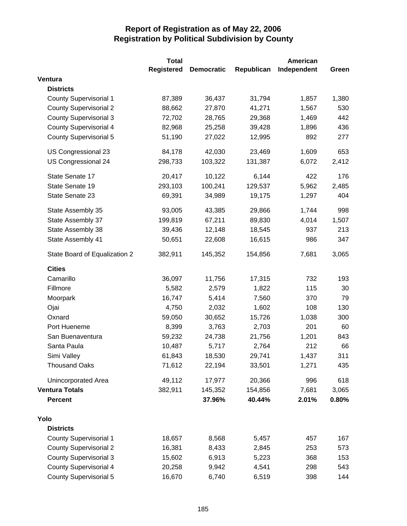|                               | <b>Total</b>      |                   |            | <b>American</b> |       |  |
|-------------------------------|-------------------|-------------------|------------|-----------------|-------|--|
|                               | <b>Registered</b> | <b>Democratic</b> | Republican | Independent     | Green |  |
| Ventura                       |                   |                   |            |                 |       |  |
| <b>Districts</b>              |                   |                   |            |                 |       |  |
| <b>County Supervisorial 1</b> | 87,389            | 36,437            | 31,794     | 1,857           | 1,380 |  |
| <b>County Supervisorial 2</b> | 88,662            | 27,870            | 41,271     | 1,567           | 530   |  |
| <b>County Supervisorial 3</b> | 72,702            | 28,765            | 29,368     | 1,469           | 442   |  |
| <b>County Supervisorial 4</b> | 82,968            | 25,258            | 39,428     | 1,896           | 436   |  |
| <b>County Supervisorial 5</b> | 51,190            | 27,022            | 12,995     | 892             | 277   |  |
| US Congressional 23           | 84,178            | 42,030            | 23,469     | 1,609           | 653   |  |
| US Congressional 24           | 298,733           | 103,322           | 131,387    | 6,072           | 2,412 |  |
| State Senate 17               | 20,417            | 10,122            | 6,144      | 422             | 176   |  |
| State Senate 19               | 293,103           | 100,241           | 129,537    | 5,962           | 2,485 |  |
| State Senate 23               | 69,391            | 34,989            | 19,175     | 1,297           | 404   |  |
| State Assembly 35             | 93,005            | 43,385            | 29,866     | 1,744           | 998   |  |
| State Assembly 37             | 199,819           | 67,211            | 89,830     | 4,014           | 1,507 |  |
| State Assembly 38             | 39,436            | 12,148            | 18,545     | 937             | 213   |  |
| State Assembly 41             | 50,651            | 22,608            | 16,615     | 986             | 347   |  |
| State Board of Equalization 2 | 382,911           | 145,352           | 154,856    | 7,681           | 3,065 |  |
| <b>Cities</b>                 |                   |                   |            |                 |       |  |
| Camarillo                     | 36,097            | 11,756            | 17,315     | 732             | 193   |  |
| Fillmore                      | 5,582             | 2,579             | 1,822      | 115             | 30    |  |
| Moorpark                      | 16,747            | 5,414             | 7,560      | 370             | 79    |  |
| Ojai                          | 4,750             | 2,032             | 1,602      | 108             | 130   |  |
| Oxnard                        | 59,050            | 30,652            | 15,726     | 1,038           | 300   |  |
| Port Hueneme                  | 8,399             | 3,763             | 2,703      | 201             | 60    |  |
| San Buenaventura              | 59,232            | 24,738            | 21,756     | 1,201           | 843   |  |
| Santa Paula                   | 10,487            | 5,717             | 2,764      | 212             | 66    |  |
| Simi Valley                   | 61,843            | 18,530            | 29,741     | 1,437           | 311   |  |
| <b>Thousand Oaks</b>          | 71,612            | 22,194            | 33,501     | 1,271           | 435   |  |
| Unincorporated Area           | 49,112            | 17,977            | 20,366     | 996             | 618   |  |
| <b>Ventura Totals</b>         | 382,911           | 145,352           | 154,856    | 7,681           | 3,065 |  |
| <b>Percent</b>                |                   | 37.96%            | 40.44%     | 2.01%           | 0.80% |  |
| Yolo                          |                   |                   |            |                 |       |  |
| <b>Districts</b>              |                   |                   |            |                 |       |  |
| <b>County Supervisorial 1</b> | 18,657            | 8,568             | 5,457      | 457             | 167   |  |
| <b>County Supervisorial 2</b> | 16,381            | 8,433             | 2,845      | 253             | 573   |  |
| <b>County Supervisorial 3</b> | 15,602            | 6,913             | 5,223      | 368             | 153   |  |
| <b>County Supervisorial 4</b> | 20,258            | 9,942             | 4,541      | 298             | 543   |  |
| <b>County Supervisorial 5</b> | 16,670            | 6,740             | 6,519      | 398             | 144   |  |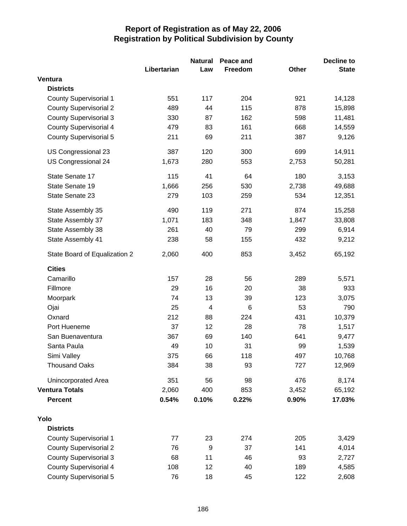|                               | <b>Natural</b> |                         | Peace and |       | <b>Decline to</b> |  |
|-------------------------------|----------------|-------------------------|-----------|-------|-------------------|--|
|                               | Libertarian    | Law                     | Freedom   | Other | <b>State</b>      |  |
| Ventura                       |                |                         |           |       |                   |  |
| <b>Districts</b>              |                |                         |           |       |                   |  |
| <b>County Supervisorial 1</b> | 551            | 117                     | 204       | 921   | 14,128            |  |
| <b>County Supervisorial 2</b> | 489            | 44                      | 115       | 878   | 15,898            |  |
| <b>County Supervisorial 3</b> | 330            | 87                      | 162       | 598   | 11,481            |  |
| <b>County Supervisorial 4</b> | 479            | 83                      | 161       | 668   | 14,559            |  |
| <b>County Supervisorial 5</b> | 211            | 69                      | 211       | 387   | 9,126             |  |
| US Congressional 23           | 387            | 120                     | 300       | 699   | 14,911            |  |
| US Congressional 24           | 1,673          | 280                     | 553       | 2,753 | 50,281            |  |
| State Senate 17               | 115            | 41                      | 64        | 180   | 3,153             |  |
| State Senate 19               | 1,666          | 256                     | 530       | 2,738 | 49,688            |  |
| State Senate 23               | 279            | 103                     | 259       | 534   | 12,351            |  |
| State Assembly 35             | 490            | 119                     | 271       | 874   | 15,258            |  |
| State Assembly 37             | 1,071          | 183                     | 348       | 1,847 | 33,808            |  |
| State Assembly 38             | 261            | 40                      | 79        | 299   | 6,914             |  |
| State Assembly 41             | 238            | 58                      | 155       | 432   | 9,212             |  |
| State Board of Equalization 2 | 2,060          | 400                     | 853       | 3,452 | 65,192            |  |
| <b>Cities</b>                 |                |                         |           |       |                   |  |
| Camarillo                     | 157            | 28                      | 56        | 289   | 5,571             |  |
| Fillmore                      | 29             | 16                      | 20        | 38    | 933               |  |
| Moorpark                      | 74             | 13                      | 39        | 123   | 3,075             |  |
| Ojai                          | 25             | $\overline{\mathbf{4}}$ | 6         | 53    | 790               |  |
| Oxnard                        | 212            | 88                      | 224       | 431   | 10,379            |  |
| Port Hueneme                  | 37             | 12                      | 28        | 78    | 1,517             |  |
| San Buenaventura              | 367            | 69                      | 140       | 641   | 9,477             |  |
| Santa Paula                   | 49             | 10                      | 31        | 99    | 1,539             |  |
| Simi Valley                   | 375            | 66                      | 118       | 497   | 10,768            |  |
| <b>Thousand Oaks</b>          | 384            | 38                      | 93        | 727   | 12,969            |  |
| Unincorporated Area           | 351            | 56                      | 98        | 476   | 8,174             |  |
| <b>Ventura Totals</b>         | 2,060          | 400                     | 853       | 3,452 | 65,192            |  |
| <b>Percent</b>                | 0.54%          | 0.10%                   | 0.22%     | 0.90% | 17.03%            |  |
| Yolo                          |                |                         |           |       |                   |  |
| <b>Districts</b>              |                |                         |           |       |                   |  |
| <b>County Supervisorial 1</b> | 77             | 23                      | 274       | 205   | 3,429             |  |
| <b>County Supervisorial 2</b> | 76             | 9                       | 37        | 141   | 4,014             |  |
| <b>County Supervisorial 3</b> | 68             | 11                      | 46        | 93    | 2,727             |  |
| <b>County Supervisorial 4</b> | 108            | 12                      | 40        | 189   | 4,585             |  |
| <b>County Supervisorial 5</b> | 76             | 18                      | 45        | 122   | 2,608             |  |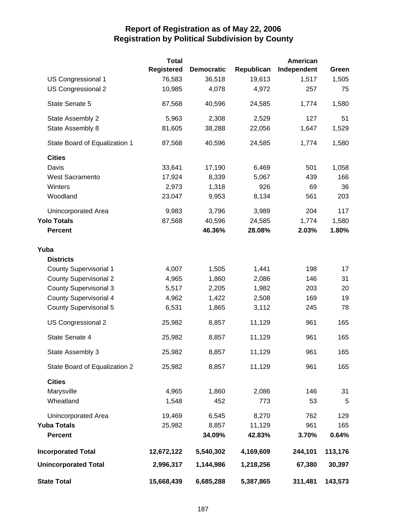|                               | <b>Total</b>      |                   |            | American    |         |
|-------------------------------|-------------------|-------------------|------------|-------------|---------|
|                               | <b>Registered</b> | <b>Democratic</b> | Republican | Independent | Green   |
| US Congressional 1            | 76,583            | 36,518            | 19,613     | 1,517       | 1,505   |
| US Congressional 2            | 10,985            | 4,078             | 4,972      | 257         | 75      |
| State Senate 5                | 87,568            | 40,596            | 24,585     | 1,774       | 1,580   |
| State Assembly 2              | 5,963             | 2,308             | 2,529      | 127         | 51      |
| State Assembly 8              | 81,605            | 38,288            | 22,056     | 1,647       | 1,529   |
| State Board of Equalization 1 | 87,568            | 40,596            | 24,585     | 1,774       | 1,580   |
| <b>Cities</b>                 |                   |                   |            |             |         |
| Davis                         | 33,641            | 17,190            | 6,469      | 501         | 1,058   |
| <b>West Sacramento</b>        | 17,924            | 8,339             | 5,067      | 439         | 166     |
| Winters                       | 2,973             | 1,318             | 926        | 69          | 36      |
| Woodland                      | 23,047            | 9,953             | 8,134      | 561         | 203     |
| Unincorporated Area           | 9,983             | 3,796             | 3,989      | 204         | 117     |
| <b>Yolo Totals</b>            | 87,568            | 40,596            | 24,585     | 1,774       | 1,580   |
| <b>Percent</b>                |                   | 46.36%            | 28.08%     | 2.03%       | 1.80%   |
| Yuba                          |                   |                   |            |             |         |
| <b>Districts</b>              |                   |                   |            |             |         |
| <b>County Supervisorial 1</b> | 4,007             | 1,505             | 1,441      | 198         | 17      |
| <b>County Supervisorial 2</b> | 4,965             | 1,860             | 2,086      | 146         | 31      |
| <b>County Supervisorial 3</b> | 5,517             | 2,205             | 1,982      | 203         | 20      |
| <b>County Supervisorial 4</b> | 4,962             | 1,422             | 2,508      | 169         | 19      |
| <b>County Supervisorial 5</b> | 6,531             | 1,865             | 3,112      | 245         | 78      |
| US Congressional 2            | 25,982            | 8,857             | 11,129     | 961         | 165     |
| State Senate 4                | 25,982            | 8,857             | 11,129     | 961         | 165     |
| State Assembly 3              | 25,982            | 8,857             | 11,129     | 961         | 165     |
| State Board of Equalization 2 | 25,982            | 8,857             | 11,129     | 961         | 165     |
| <b>Cities</b>                 |                   |                   |            |             |         |
| Marysville                    | 4,965             | 1,860             | 2,086      | 146         | 31      |
| Wheatland                     | 1,548             | 452               | 773        | 53          | 5       |
| <b>Unincorporated Area</b>    | 19,469            | 6,545             | 8,270      | 762         | 129     |
| <b>Yuba Totals</b>            | 25,982            | 8,857             | 11,129     | 961         | 165     |
| <b>Percent</b>                |                   | 34.09%            | 42.83%     | 3.70%       | 0.64%   |
| <b>Incorporated Total</b>     | 12,672,122        | 5,540,302         | 4,169,609  | 244,101     | 113,176 |
| <b>Unincorporated Total</b>   | 2,996,317         | 1,144,986         | 1,218,256  | 67,380      | 30,397  |
| <b>State Total</b>            | 15,668,439        | 6,685,288         | 5,387,865  | 311,481     | 143,573 |